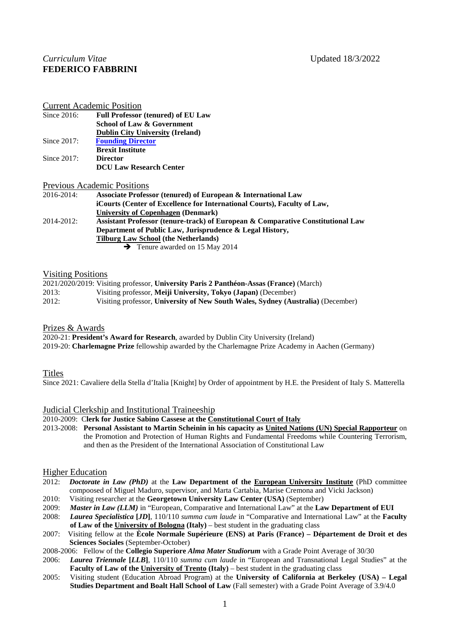# *Curriculum Vitae* **Updated 18/3/2022 FEDERICO FABBRINI**

Current Academic Position

| Since $2016$ : | <b>Full Professor (tenured) of EU Law</b> |
|----------------|-------------------------------------------|
|                | <b>School of Law &amp; Government</b>     |
|                | <b>Dublin City University (Ireland)</b>   |
| Since $2017$ : | <b>Founding Director</b>                  |
|                | <b>Brexit Institute</b>                   |
| Since $2017$ : | <b>Director</b>                           |
|                | <b>DCU Law Research Center</b>            |
|                |                                           |

Previous Academic Positions

| 2016-2014:    | Associate Professor (tenured) of European & International Law                   |
|---------------|---------------------------------------------------------------------------------|
|               | iCourts (Center of Excellence for International Courts), Faculty of Law,        |
|               | <b>University of Copenhagen (Denmark)</b>                                       |
| $2014 - 2012$ | Assistant Professor (tenure-track) of European & Comparative Constitutional Law |
|               | Department of Public Law, Jurisprudence & Legal History,                        |
|               | <b>Tilburg Law School (the Netherlands)</b>                                     |
|               | $\rightarrow$ Tenure awarded on 15 May 2014                                     |

# Visiting Positions

|       | 2021/2020/2019: Visiting professor, University Paris 2 Panthéon-Assas (France) (March) |
|-------|----------------------------------------------------------------------------------------|
| 2013: | Visiting professor, Meiji University, Tokyo (Japan) (December)                         |
| 2012: | Visiting professor, University of New South Wales, Sydney (Australia) (December)       |

## Prizes & Awards

2020-21: **President's Award for Research**, awarded by Dublin City University (Ireland) 2019-20: **Charlemagne Prize** fellowship awarded by the Charlemagne Prize Academy in Aachen (Germany)

# Titles

Since 2021: Cavaliere della Stella d'Italia [Knight] by Order of appointment by H.E. the President of Italy S. Matterella

## Judicial Clerkship and Institutional Traineeship

2010-2009: C**lerk for Justice Sabino Cassese at the Constitutional Court of Italy**

2013-2008: **Personal Assistant to Martin Scheinin in his capacity as United Nations (UN) Special Rapporteur** on the Promotion and Protection of Human Rights and Fundamental Freedoms while Countering Terrorism, and then as the President of the International Association of Constitutional Law

## Higher Education

- 2012: *Doctorate in Law (PhD)* at the **Law Department of the European University Institute** (PhD committee compoosed of Miguel Maduro, supervisor, and Marta Cartabia, Marise Cremona and Vicki Jackson)
- 2010: Visiting researcher at the **Georgetown University Law Center (USA)** (September) 2009: *Master in Law (LLM)* in "European, Comparative and International Law" at the La
- 2009: *Master in Law (LLM)* in "European, Comparative and International Law" at the Law Department of EUI 2008: *Laurea Specialistica [JD]*, 110/110 *summa cum laude* in "Comparative and International Law" at the Fact
- 2008: *Laurea Specialistica* **[***JD***]**, 110/110 *summa cum laude* in "Comparative and International Law" at the **Faculty of Law of the University of Bologna (Italy)** – best student in the graduating class
- 2007: Visiting fellow at the **Ècole Normale Supérieure (ENS) at Paris (France) – Département de Droit et des Sciences Sociales** (September-October)

2008-2006: Fellow of the **Collegio Superiore** *Alma Mater Studiorum* with a Grade Point Average of 30/30

- 2006: *Laurea Triennale* **[***LLB***]**, 110/110 *summa cum laude* in "European and Transnational Legal Studies" at the **Faculty of Law of the University of Trento (Italy) – best student in the graduating class**
- 2005: Visiting student (Education Abroad Program) at the **University of California at Berkeley (USA) – Legal Studies Department and Boalt Hall School of Law** (Fall semester) with a Grade Point Average of 3.9/4.0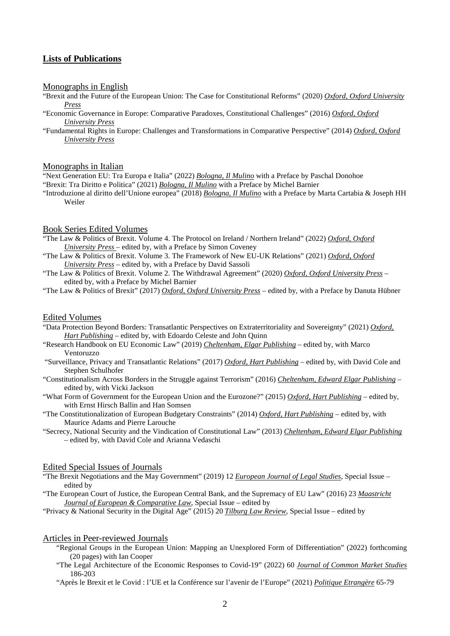# **Lists of Publications**

#### Monographs in English

- "Brexit and the Future of the European Union: The Case for Constitutional Reforms" (2020) *Oxford, Oxford University Press*
- "Economic Governance in Europe: Comparative Paradoxes, Constitutional Challenges" (2016) *Oxford, Oxford University Press*
- "Fundamental Rights in Europe: Challenges and Transformations in Comparative Perspective" (2014) *Oxford, Oxford University Press*

#### Monographs in Italian

"Next Generation EU: Tra Europa e Italia" (2022) *Bologna, Il Mulino* with a Preface by Paschal Donohoe

- "Brexit: Tra Diritto e Politica" (2021) *Bologna, Il Mulino* with a Preface by Michel Barnier
- "Introduzione al diritto dell'Unione europea" (2018) *Bologna, Il Mulino* with a Preface by Marta Cartabia & Joseph HH Weiler

### Book Series Edited Volumes

- "The Law & Politics of Brexit. Volume 4. The Protocol on Ireland / Northern Ireland" (2022) *Oxford, Oxford University Press* – edited by, with a Preface by Simon Coveney
- "The Law & Politics of Brexit. Volume 3. The Framework of New EU-UK Relations" (2021) *Oxford, Oxford University Press* – edited by, with a Preface by David Sassoli
- "The Law & Politics of Brexit. Volume 2. The Withdrawal Agreement" (2020) *Oxford, Oxford University Press* edited by, with a Preface by Michel Barnier
- "The Law & Politics of Brexit" (2017) *Oxford, Oxford University Press* edited by, with a Preface by Danuta Hübner

### Edited Volumes

- "Data Protection Beyond Borders: Transatlantic Perspectives on Extraterritoriality and Sovereignty" (2021) *Oxford, Hart Publishing* – edited by, with Edoardo Celeste and John Quinn
- "Research Handbook on EU Economic Law" (2019) *Cheltenham, Elgar Publishing* edited by, with Marco Ventoruzzo
- "Surveillance, Privacy and Transatlantic Relations" (2017) *Oxford, Hart Publishing* edited by, with David Cole and Stephen Schulhofer
- "Constitutionalism Across Borders in the Struggle against Terrorism" (2016) *Cheltenham, Edward Elgar Publishing* edited by, with Vicki Jackson
- "What Form of Government for the European Union and the Eurozone?" (2015) *Oxford, Hart Publishing* edited by, with Ernst Hirsch Ballin and Han Somsen
- "The Constitutionalization of European Budgetary Constraints" (2014) *Oxford, Hart Publishing* edited by, with Maurice Adams and Pierre Larouche
- "Secrecy, National Security and the Vindication of Constitutional Law" (2013) *Cheltenham, Edward Elgar Publishing* – edited by, with David Cole and Arianna Vedaschi

### Edited Special Issues of Journals

- "The Brexit Negotiations and the May Government" (2019) 12 *European Journal of Legal Studies*, Special Issue edited by
- "The European Court of Justice, the European Central Bank, and the Supremacy of EU Law" (2016) 23 *Maastricht Journal of European & Comparative Law*, Special Issue – edited by

"Privacy & National Security in the Digital Age" (2015) 20 *Tilburg Law Review*, Special Issue – edited by

#### Articles in Peer-reviewed Journals

- "Regional Groups in the European Union: Mapping an Unexplored Form of Differentiation" (2022) forthcoming (20 pages) with Ian Cooper
- "The Legal Architecture of the Economic Responses to Covid-19" (2022) 60 *Journal of Common Market Studies* 186-203
- "Après le Brexit et le Covid : l'UE et la Conférence sur l'avenir de l'Europe" (2021) *Politique Etrangère* 65-79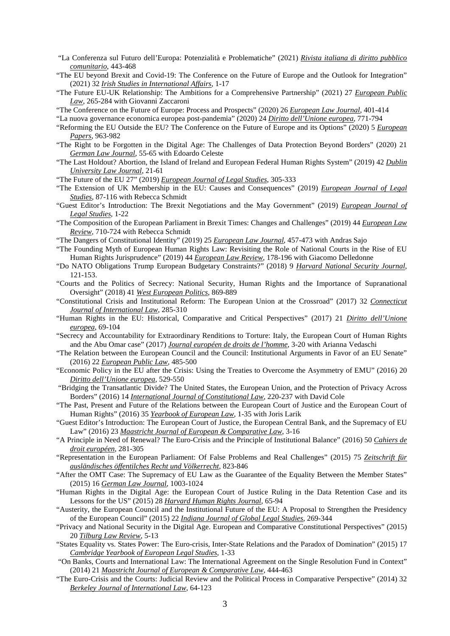- "La Conferenza sul Futuro dell'Europa: Potenzialità e Problematiche" (2021) *Rivista italiana di diritto pubblico comunitario*, 443-468
- "The EU beyond Brexit and Covid-19: The Conference on the Future of Europe and the Outlook for Integration" (2021) 32 *Irish Studies in International Affairs*, 1-17
- "The Future EU-UK Relationship: The Ambitions for a Comprehensive Partnership" (2021) 27 *European Public Law*, 265-284 with Giovanni Zaccaroni
- "The Conference on the Future of Europe: Process and Prospects" (2020) 26 *European Law Journal*, 401-414

"La nuova governance economica europea post-pandemia" (2020) 24 *Diritto dell'Unione europea*, 771-794

- "Reforming the EU Outside the EU? The Conference on the Future of Europe and its Options" (2020) 5 *European Papers*, 963-982
- "The Right to be Forgotten in the Digital Age: The Challenges of Data Protection Beyond Borders" (2020) 21 *German Law Journal*, 55-65 with Edoardo Celeste
- "The Last Holdout? Abortion, the Island of Ireland and European Federal Human Rights System" (2019) 42 *Dublin University Law Journal*, 21-61
- "The Future of the EU 27" (2019) *European Journal of Legal Studies*, 305-333
- "The Extension of UK Membership in the EU: Causes and Consequences" (2019) *European Journal of Legal Studies*, 87-116 with Rebecca Schmidt
- "Guest Editor's Introduction: The Brexit Negotiations and the May Government" (2019) *European Journal of Legal Studies*, 1-22
- "The Composition of the European Parliament in Brexit Times: Changes and Challenges" (2019) 44 *European Law Review*, 710-724 with Rebecca Schmidt
- "The Dangers of Constitutional Identity" (2019) 25 *European Law Journal*, 457-473 with Andras Sajo
- "The Founding Myth of European Human Rights Law: Revisiting the Role of National Courts in the Rise of EU Human Rights Jurisprudence" (2019) 44 *European Law Review*, 178-196 with Giacomo Delledonne
- "Do NATO Obligations Trump European Budgetary Constraints?" (2018) 9 *Harvard National Security Journal*, 121-153.
- "Courts and the Politics of Secrecy: National Security, Human Rights and the Importance of Supranational Oversight" (2018) 41 *West European Politics*, 869-889
- "Constitutional Crisis and Institutional Reform: The European Union at the Crossroad" (2017) 32 *Connecticut Journal of International Law*, 285-310
- "Human Rights in the EU: Historical, Comparative and Critical Perspectives" (2017) 21 *Diritto dell'Unione europea*, 69-104
- "Secrecy and Accountability for Extraordinary Renditions to Torture: Italy, the European Court of Human Rights and the Abu Omar case" (2017) *Journal européen de droits de l'homme*, 3-20 with Arianna Vedaschi
- "The Relation between the European Council and the Council: Institutional Arguments in Favor of an EU Senate" (2016) 22 *European Public Law*, 485-500
- "Economic Policy in the EU after the Crisis: Using the Treaties to Overcome the Asymmetry of EMU" (2016) 20 *Diritto dell'Unione europea*, 529-550
- "Bridging the Transatlantic Divide? The United States, the European Union, and the Protection of Privacy Across Borders" (2016) 14 *International Journal of Constitutional Law*, 220-237 with David Cole
- "The Past, Present and Future of the Relations between the European Court of Justice and the European Court of Human Rights" (2016) 35 *Yearbook of European Law*, 1-35 with Joris Larik
- "Guest Editor's Introduction: The European Court of Justice, the European Central Bank, and the Supremacy of EU Law" (2016) 23 *Maastricht Journal of European & Comparative Law*, 3-16
- "A Principle in Need of Renewal? The Euro-Crisis and the Principle of Institutional Balance" (2016) 50 *Cahiers de droit européen*, 281-305
- "Representation in the European Parliament: Of False Problems and Real Challenges" (2015) 75 *Zeitschrift für ausländisches öffentilches Recht und Völkerrecht*, 823-846
- "After the OMT Case: The Supremacy of EU Law as the Guarantee of the Equality Between the Member States" (2015) 16 *German Law Journal*, 1003-1024
- "Human Rights in the Digital Age: the European Court of Justice Ruling in the Data Retention Case and its Lessons for the US" (2015) 28 *Harvard Human Rights Journal*, 65-94
- "Austerity, the European Council and the Institutional Future of the EU: A Proposal to Strengthen the Presidency of the European Council" (2015) 22 *Indiana Journal of Global Legal Studies*, 269-344
- "Privacy and National Security in the Digital Age. European and Comparative Constitutional Perspectives" (2015) 20 *Tilburg Law Review*, 5-13
- "States Equality vs. States Power: The Euro-crisis, Inter-State Relations and the Paradox of Domination" (2015) 17 *Cambridge Yearbook of European Legal Studies*, 1-33
- "On Banks, Courts and International Law: The International Agreement on the Single Resolution Fund in Context" (2014) 21 *Maastricht Journal of European & Comparative Law*, 444-463
- "The Euro-Crisis and the Courts: Judicial Review and the Political Process in Comparative Perspective" (2014) 32 *Berkeley Journal of International Law*, 64-123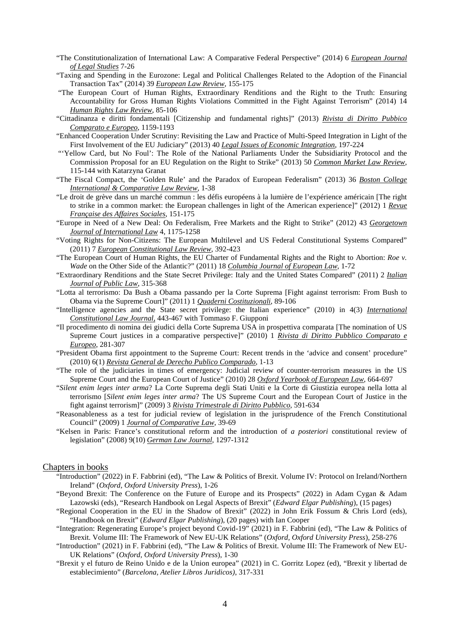- "The Constitutionalization of International Law: A Comparative Federal Perspective" (2014) 6 *European Journal of Legal Studies* 7-26
- "Taxing and Spending in the Eurozone: Legal and Political Challenges Related to the Adoption of the Financial Transaction Tax" (2014) 39 *European Law Review*, 155-175
- "The European Court of Human Rights, Extraordinary Renditions and the Right to the Truth: Ensuring Accountability for Gross Human Rights Violations Committed in the Fight Against Terrorism" (2014) 14 *Human Rights Law Review*, 85-106
- "Cittadinanza e diritti fondamentali [Citizenship and fundamental rights]" (2013) *Rivista di Diritto Pubbico Comparato e Europeo*, 1159-1193
- "Enhanced Cooperation Under Scrutiny: Revisiting the Law and Practice of Multi-Speed Integration in Light of the First Involvement of the EU Judiciary" (2013) 40 *Legal Issues of Economic Integration*, 197-224
- "'Yellow Card, but No Foul': The Role of the National Parliaments Under the Subsidiarity Protocol and the Commission Proposal for an EU Regulation on the Right to Strike" (2013) 50 *Common Market Law Review*, 115-144 with Katarzyna Granat
- "The Fiscal Compact, the 'Golden Rule' and the Paradox of European Federalism" (2013) 36 *Boston College International & Comparative Law Review*, 1-38
- "Le droit de grève dans un marché commun : les défis européens à la lumière de l'expérience américain [The right to strike in a common market: the European challenges in light of the American experience]" (2012) 1 *Revue Française des Affaires Sociales*, 151-175
- "Europe in Need of a New Deal: On Federalism, Free Markets and the Right to Strike" (2012) 43 *Georgetown Journal of International Law* 4, 1175-1258
- "Voting Rights for Non-Citizens: The European Multilevel and US Federal Constitutional Systems Compared" (2011) 7 *European Constitutional Law Review*, 392-423
- "The European Court of Human Rights, the EU Charter of Fundamental Rights and the Right to Abortion: *Roe v. Wade* on the Other Side of the Atlantic?" (2011) 18 *Columbia Journal of European Law*, 1-72
- "Extraordinary Renditions and the State Secret Privilege: Italy and the United States Compared" (2011) 2 *Italian Journal of Public Law*, 315-368
- "Lotta al terrorismo: Da Bush a Obama passando per la Corte Suprema [Fight against terrorism: From Bush to Obama via the Supreme Court]" (2011) 1 *Quaderni Costituzionali*, 89-106
- "Intelligence agencies and the State secret privilege: the Italian experience" (2010) in 4(3) *International Constitutional Law Journal*, 443-467 with Tommaso F. Giupponi
- "Il procedimento di nomina dei giudici della Corte Suprema USA in prospettiva comparata [The nomination of US Supreme Court justices in a comparative perspective]" (2010) 1 *Rivista di Diritto Pubblico Comparato e Europeo*, 281-307
- "President Obama first appointment to the Supreme Court: Recent trends in the 'advice and consent' procedure" (2010) 6(1) *Revista General de Derecho Publico Comparado*, 1-13
- "The role of the judiciaries in times of emergency: Judicial review of counter-terrorism measures in the US Supreme Court and the European Court of Justice" (2010) 28 *Oxford Yearbook of European Law*, 664-697
- "*Silent enim leges inter arma*? La Corte Suprema degli Stati Uniti e la Corte di Giustizia europea nella lotta al terrorismo [*Silent enim leges inter arma*? The US Supreme Court and the European Court of Justice in the fight against terrorism]" (2009) 3 *Rivista Trimestrale di Diritto Pubblico*, 591-634
- "Reasonableness as a test for judicial review of legislation in the jurisprudence of the French Constitutional Council" (2009) 1 *Journal of Comparative Law*, 39-69
- "Kelsen in Paris: France's constitutional reform and the introduction of *a posteriori* constitutional review of legislation" (2008) 9(10) *German Law Journal*, 1297-1312

#### Chapters in books

- "Introduction" (2022) in F. Fabbrini (ed), "The Law & Politics of Brexit. Volume IV: Protocol on Ireland/Northern Ireland" (*Oxford, Oxford University Press*), 1-26
- "Beyond Brexit: The Conference on the Future of Europe and its Prospects" (2022) in Adam Cygan & Adam Lazowski (eds), "Research Handbook on Legal Aspects of Brexit" (*Edward Elgar Publishing*), (15 pages)
- "Regional Cooperation in the EU in the Shadow of Brexit" (2022) in John Erik Fossum & Chris Lord (eds), "Handbook on Brexit" (*Edward Elgar Publishing*), (20 pages) with Ian Cooper
- "Integration: Regenerating Europe's project beyond Covid-19" (2021) in F. Fabbrini (ed), "The Law & Politics of Brexit. Volume III: The Framework of New EU-UK Relations" (*Oxford, Oxford University Press*), 258-276
- "Introduction" (2021) in F. Fabbrini (ed), "The Law & Politics of Brexit. Volume III: The Framework of New EU-UK Relations" (*Oxford, Oxford University Press*), 1-30
- "Brexit y el futuro de Reino Unido e de la Union europea" (2021) in C. Gorritz Lopez (ed), "Brexit y libertad de establecimiento" (*Barcelona, Atelier Libros Juridicos)*, 317-331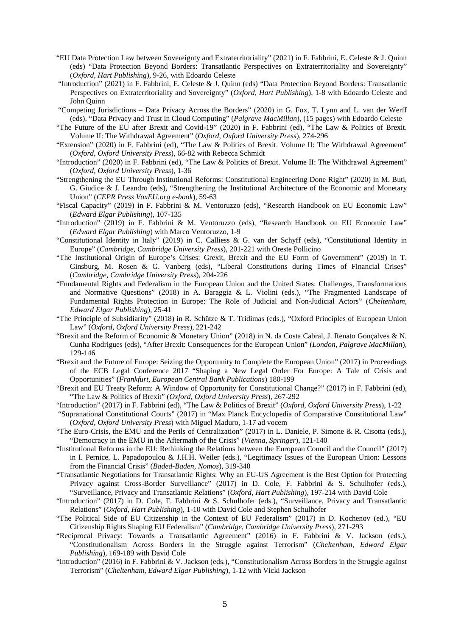- "EU Data Protection Law between Sovereignty and Extraterritoriality" (2021) in F. Fabbrini, E. Celeste & J. Quinn (eds) "Data Protection Beyond Borders: Transatlantic Perspectives on Extraterritoriality and Sovereignty" (*Oxford, Hart Publishing*), 9-26, with Edoardo Celeste
- "Introduction" (2021) in F. Fabbrini, E. Celeste & J. Quinn (eds) "Data Protection Beyond Borders: Transatlantic Perspectives on Extraterritoriality and Sovereignty" (*Oxford, Hart Publishing*), 1-8 with Edoardo Celeste and John Quinn
- "Competing Jurisdictions Data Privacy Across the Borders" (2020) in G. Fox, T. Lynn and L. van der Werff (eds), "Data Privacy and Trust in Cloud Computing" (*Palgrave MacMillan*), (15 pages) with Edoardo Celeste
- "The Future of the EU after Brexit and Covid-19" (2020) in F. Fabbrini (ed), "The Law & Politics of Brexit. Volume II: The Withdrawal Agreement" (*Oxford, Oxford University Press*), 274-296
- "Extension" (2020) in F. Fabbrini (ed), "The Law & Politics of Brexit. Volume II: The Withdrawal Agreement" (*Oxford, Oxford University Press*), 66-82 with Rebecca Schmidt
- "Introduction" (2020) in F. Fabbrini (ed), "The Law & Politics of Brexit. Volume II: The Withdrawal Agreement" (*Oxford, Oxford University Press*), 1-36
- "Strengthening the EU Through Institutional Reforms: Constitutional Engineering Done Right" (2020) in M. Buti, G. Giudice & J. Leandro (eds), "Strengthening the Institutional Architecture of the Economic and Monetary Union" (*CEPR Press VoxEU.org e-book*), 59-63
- "Fiscal Capacity" (2019) in F. Fabbrini & M. Ventoruzzo (eds), "Research Handbook on EU Economic Law" (*Edward Elgar Publishing*), 107-135
- "Introduction" (2019) in F. Fabbrini & M. Ventoruzzo (eds), "Research Handbook on EU Economic Law" (*Edward Elgar Publishing*) with Marco Ventoruzzo, 1-9
- "Constitutional Identity in Italy" (2019) in C. Calliess & G. van der Schyff (eds), "Constitutional Identity in Europe" (*Cambridge, Cambridge University Press*), 201-221 with Oreste Pollicino
- "The Institutional Origin of Europe's Crises: Grexit, Brexit and the EU Form of Government" (2019) in T. Ginsburg, M. Rosen & G. Vanberg (eds), "Liberal Constitutions during Times of Financial Crises" (*Cambridge, Cambridge University Press*), 204-226
- "Fundamental Rights and Federalism in the European Union and the United States: Challenges, Transformations and Normative Questions" (2018) in A. Baraggia & L. Violini (eds.), "The Fragmented Landscape of Fundamental Rights Protection in Europe: The Role of Judicial and Non-Judicial Actors" (*Cheltenham, Edward Elgar Publishing*), 25-41
- "The Principle of Subsidiarity" (2018) in R. Schütze & T. Tridimas (eds.), "Oxford Principles of European Union Law" (*Oxford, Oxford University Press*), 221-242
- "Brexit and the Reform of Economic & Monetary Union" (2018) in N. da Costa Cabral, J. Renato Gonçalves & N. Cunha Rodrigues (eds), "After Brexit: Consequences for the European Union" (*London, Palgrave MacMillan*), 129-146
- "Brexit and the Future of Europe: Seizing the Opportunity to Complete the European Union" (2017) in Proceedings of the ECB Legal Conference 2017 "Shaping a New Legal Order For Europe: A Tale of Crisis and Opportunities" (*Frankfurt, European Central Bank Publications*) 180-199
- "Brexit and EU Treaty Reform: A Window of Opportunity for Constitutional Change?" (2017) in F. Fabbrini (ed), "The Law & Politics of Brexit" (*Oxford, Oxford University Press*), 267-292
- "Introduction" (2017) in F. Fabbrini (ed), "The Law & Politics of Brexit" (*Oxford, Oxford University Press*), 1-22
- "Supranational Constitutional Courts" (2017) in "Max Planck Encyclopedia of Comparative Constitutional Law" (*Oxford, Oxford University Press*) with Miguel Maduro, 1-17 ad vocem
- "The Euro-Crisis, the EMU and the Perils of Centralization" (2017) in L. Daniele, P. Simone & R. Cisotta (eds.), "Democracy in the EMU in the Aftermath of the Crisis" (*Vienna, Springer*), 121-140
- "Institutional Reforms in the EU: Rethinking the Relations between the European Council and the Council" (2017) in I. Pernice, L. Papadopoulou & J.H.H. Weiler (eds.), "Legitimacy Issues of the European Union: Lessons from the Financial Crisis" (*Baded-Baden, Nomos*), 319-340
- "Transatlantic Negotiations for Transatlantic Rights: Why an EU-US Agreement is the Best Option for Protecting Privacy against Cross-Border Surveillance" (2017) in D. Cole, F. Fabbrini & S. Schulhofer (eds.), "Surveillance, Privacy and Transatlantic Relations" (*Oxford, Hart Publishing*), 197-214 with David Cole
- "Introduction" (2017) in D. Cole, F. Fabbrini & S. Schulhofer (eds.), "Surveillance, Privacy and Transatlantic Relations" (*Oxford, Hart Publishing*), 1-10 with David Cole and Stephen Schulhofer
- "The Political Side of EU Citizenship in the Context of EU Federalism" (2017) in D. Kochenov (ed.), "EU Citizenship Rights Shaping EU Federalism" (*Cambridge, Cambridge University Press*), 271-293
- "Reciprocal Privacy: Towards a Transatlantic Agreement" (2016) in F. Fabbrini & V. Jackson (eds.), "Constitutionalism Across Borders in the Struggle against Terrorism" (*Cheltenham, Edward Elgar Publishing*), 169-189 with David Cole
- "Introduction" (2016) in F. Fabbrini & V. Jackson (eds.), "Constitutionalism Across Borders in the Struggle against Terrorism" (*Cheltenham, Edward Elgar Publishing*), 1-12 with Vicki Jackson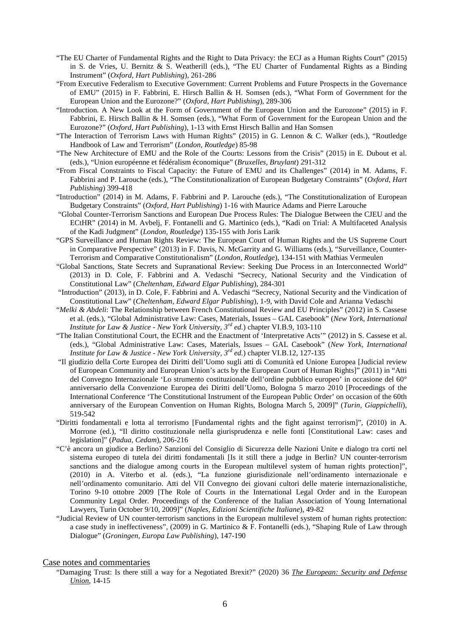- "The EU Charter of Fundamental Rights and the Right to Data Privacy: the ECJ as a Human Rights Court" (2015) in S. de Vries, U. Bernitz & S. Weatherill (eds.), "The EU Charter of Fundamental Rights as a Binding Instrument" (*Oxford, Hart Publishing*), 261-286
- "From Executive Federalism to Executive Government: Current Problems and Future Prospects in the Governance of EMU" (2015) in F. Fabbrini, E. Hirsch Ballin & H. Somsen (eds.), "What Form of Government for the European Union and the Eurozone?" (*Oxford, Hart Publishing*), 289-306
- "Introduction. A New Look at the Form of Government of the European Union and the Eurozone" (2015) in F. Fabbrini, E. Hirsch Ballin & H. Somsen (eds.), "What Form of Government for the European Union and the Eurozone?" (*Oxford, Hart Publishing*), 1-13 with Ernst Hirsch Ballin and Han Somsen
- "The Interaction of Terrorism Laws with Human Rights" (2015) in G. Lennon & C. Walker (eds.), "Routledge Handbook of Law and Terrorism" (*London, Routledge*) 85-98
- "The New Architecture of EMU and the Role of the Courts: Lessons from the Crisis" (2015) in E. Dubout et al. (eds.), "Union européenne et fédéralism économique" (*Bruxelles, Bruylant*) 291-312
- "From Fiscal Constraints to Fiscal Capacity: the Future of EMU and its Challenges" (2014) in M. Adams, F. Fabbrini and P. Larouche (eds.), "The Constitutionalization of European Budgetary Constraints" (*Oxford, Hart Publishing*) 399-418
- "Introduction" (2014) in M. Adams, F. Fabbrini and P. Larouche (eds.), "The Constitutionalization of European Budgetary Constraints" (*Oxford, Hart Publishing*) 1-16 with Maurice Adams and Pierre Larouche
- "Global Counter-Terrorism Sanctions and European Due Process Rules: The Dialogue Between the CJEU and the ECtHR" (2014) in M. Avbelj, F. Fontanelli and G. Martinico (eds.), "Kadi on Trial: A Multifaceted Analysis of the Kadi Judgment" (*London, Routledge*) 135-155 with Joris Larik
- "GPS Surveillance and Human Rights Review: The European Court of Human Rights and the US Supreme Court in Comparative Perspective" (2013) in F. Davis, N. McGarrity and G. Williams (eds.), "Surveillance, Counter-Terrorism and Comparative Constitutionalism" (*London, Routledge*), 134-151 with Mathias Vermeulen
- "Global Sanctions, State Secrets and Supranational Review: Seeking Due Process in an Interconnected World" (2013) in D. Cole, F. Fabbrini and A. Vedaschi "Secrecy, National Security and the Vindication of Constitutional Law" (*Cheltenham, Edward Elgar Publishing*), 284-301
- "Introduction" (2013), in D. Cole, F. Fabbrini and A. Vedaschi "Secrecy, National Security and the Vindication of Constitutional Law" (*Cheltenham, Edward Elgar Publishing*), 1-9, with David Cole and Arianna Vedaschi
- "*Melki & Abdeli*: The Relationship between French Constitutional Review and EU Principles" (2012) in S. Cassese et al. (eds.), "Global Administrative Law: Cases, Materials, Issues – GAL Casebook" (*New York, International Institute for Law & Justice - New York University, 3rd ed.*) chapter VI.B.9, 103-110
- "The Italian Constitutional Court, the ECHR and the Enactment of 'Interpretative Acts'" (2012) in S. Cassese et al. (eds.), "Global Administrative Law: Cases, Materials, Issues – GAL Casebook" (*New York, International Institute for Law & Justice - New York University, 3rd ed.*) chapter VI.B.12, 127-135
- "Il giudizio della Corte Europea dei Diritti dell'Uomo sugli atti di Comunità ed Unione Europea [Judicial review of European Community and European Union's acts by the European Court of Human Rights]" (2011) in "Atti del Convegno Internazionale 'Lo strumento costituzionale dell'ordine pubblico europeo' in occasione del 60° anniversario della Convenzione Europea dei Diritti dell'Uomo, Bologna 5 marzo 2010 [Proceedings of the International Conference 'The Constitutional Instrument of the European Public Order' on occasion of the 60th anniversary of the European Convention on Human Rights, Bologna March 5, 2009]" (*Turin, Giappichelli*), 519-542
- "Diritti fondamentali e lotta al terrorismo [Fundamental rights and the fight against terrorism]", (2010) in A. Morrone (ed.), "Il diritto costituzionale nella giurisprudenza e nelle fonti [Constitutional Law: cases and legislation]" (*Padua, Cedam*), 206-216
- "C'è ancora un giudice a Berlino? Sanzioni del Consiglio di Sicurezza delle Nazioni Unite e dialogo tra corti nel sistema europeo di tutela dei diritti fondamentali [Is it still there a judge in Berlin? UN counter-terrorism sanctions and the dialogue among courts in the European multilevel system of human rights protection]", (2010) in A. Viterbo et al. (eds.), "La funzione giurisdizionale nell'ordinamento internazionale e nell'ordinamento comunitario. Atti del VII Convegno dei giovani cultori delle materie internazionalistiche, Torino 9-10 ottobre 2009 [The Role of Courts in the International Legal Order and in the European Community Legal Order. Proceedings of the Conference of the Italian Association of Young International Lawyers, Turin October 9/10, 2009]" (*Naples, Edizioni Scientifiche Italiane*), 49-82
- "Judicial Review of UN counter-terrorism sanctions in the European multilevel system of human rights protection: a case study in ineffectiveness", (2009) in G. Martinico & F. Fontanelli (eds.), "Shaping Rule of Law through Dialogue" (*Groningen, Europa Law Publishing*), 147-190

### Case notes and commentaries

"Damaging Trust: Is there still a way for a Negotiated Brexit?" (2020) 36 *The European: Security and Defense Union*, 14-15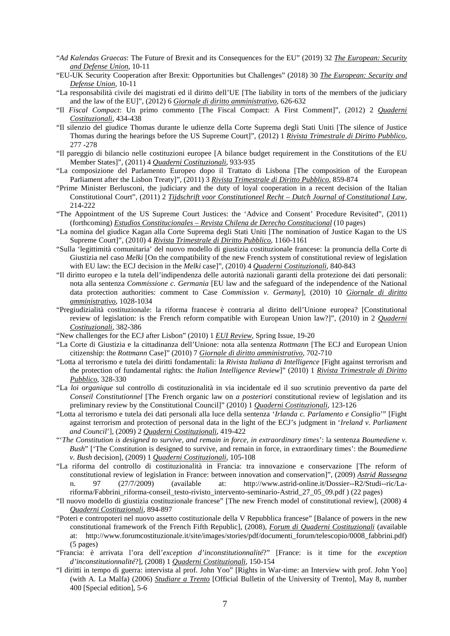- "*Ad Kalendas Graecas*: The Future of Brexit and its Consequences for the EU" (2019) 32 *The European: Security and Defense Union*, 10-11
- "EU-UK Security Cooperation after Brexit: Opportunities but Challenges" (2018) 30 *The European: Security and Defense Union*, 10-11
- "La responsabilità civile dei magistrati ed il diritto dell'UE [The liability in torts of the members of the judiciary and the law of the EU]", (2012) 6 *Giornale di diritto amministrativo*, 626-632
- "Il *Fiscal Compact*: Un primo commento [The Fiscal Compact: A First Comment]", (2012) 2 *Quaderni Costituzionali*, 434-438
- "Il silenzio del giudice Thomas durante le udienze della Corte Suprema degli Stati Uniti [The silence of Justice Thomas during the hearings before the US Supreme Court]", (2012) 1 *Rivista Trimestrale di Diritto Pubblico*, 277 -278
- "Il pareggio di bilancio nelle costituzioni europee [A bilance budget requirement in the Constitutions of the EU Member States]", (2011) 4 *Quaderni Costituzionali*, 933-935
- "La composizione del Parlamento Europeo dopo il Trattato di Lisbona [The composition of the European Parliament after the Lisbon Treaty]", (2011) 3 *Rivista Trimestrale di Diritto Pubblico*, 859-874
- "Prime Minister Berlusconi, the judiciary and the duty of loyal cooperation in a recent decision of the Italian Constitutional Court", (2011) 2 *Tijdschrift voor Constitutioneel Recht – Dutch Journal of Constitutional Law*, 214-222
- "The Appointment of the US Supreme Court Justices: the 'Advice and Consent' Procedure Revisited", (2011) (forthcoming) *Estudios Constitucionales – Revista Chilena de Derecho Constitucional* (10 pages)
- "La nomina del giudice Kagan alla Corte Suprema degli Stati Uniti [The nomination of Justice Kagan to the US Supreme Court]", (2010) 4 *Rivista Trimestrale di Diritto Pubblico*, 1160-1161
- "Sulla 'legittimità comunitaria' del nuovo modello di giustizia costituzionale francese: la pronuncia della Corte di Giustizia nel caso *Melki* [On the compatibility of the new French system of constitutional review of legislation with EU law: the ECJ decision in the *Melki* case]", (2010) 4 *Quaderni Costituzionali*, 840-843
- "Il diritto europeo e la tutela dell'indipendenza delle autorità nazionali garanti della protezione dei dati personali: nota alla sentenza *Commissione c. Germania* [EU law and the safeguard of the independence of the National data protection authorities: comment to Case *Commission v. Germany*], (2010) 10 *Giornale di diritto amministrativo*, 1028-1034
- "Pregiudizialità costituzionale: la riforma francese è contraria al diritto dell'Unione europea? [Constitutional review of legislation: is the French reform compatible with European Union law?]", (2010) in 2 *Quaderni Costituzionali*, 382-386
- "New challenges for the ECJ after Lisbon" (2010) 1 *EUI Review*, Spring Issue, 19-20
- "La Corte di Giustizia e la cittadinanza dell'Unione: nota alla sentenza *Rottmann* [The ECJ and European Union citizenship: the *Rottmann* Case]" (2010) 7 *Giornale di diritto amministrativo*, 702-710
- "Lotta al terrorismo e tutela dei diritti fondamentali: la *Rivista Italiana di Intelligence* [Fight against terrorism and the protection of fundamental rights: the *Italian Intelligence Review*]" (2010) 1 *Rivista Trimestrale di Diritto Pubblico*, 328-330
- "La *loi organique* sul controllo di costituzionalità in via incidentale ed il suo scrutinio preventivo da parte del *Conseil Constitutionnel* [The French organic law on *a posteriori* constitutional review of legislation and its preliminary review by the Constitutional Council]" (2010) 1 *Quaderni Costituzionali*, 123-126
- "Lotta al terrorismo e tutela dei dati personali alla luce della sentenza '*Irlanda c. Parlamento e Consiglio*'" [Fight against terrorism and protection of personal data in the light of the ECJ's judgment in '*Ireland v. Parliament and Council*'], (2009) 2 *Quaderni Costituzionali*, 419-422
- "'*The Constitution is designed to survive, and remain in force, in extraordinary times*': la sentenza *Boumediene v. Bush*" ['The Constitution is designed to survive, and remain in force, in extraordinary times': the *Boumediene v. Bush* decision], (2009) 1 *Quaderni Costituzionali*, 105-108
- "La riforma del controllo di costituzionalità in Francia: tra innovazione e conservazione [The reform of constitutional review of legislation in France: between innovation and conservation]", (2009) *Astrid Rassegna* n. 97 (27/7/2009) (available at: http://www.astrid-online.it/Dossier--R2/Studi--ric/Lariforma/Fabbrini\_riforma-conseil\_testo-rivisto\_intervento-seminario-Astrid\_27\_05\_09.pdf ) (22 pages)
- "Il nuovo modello di giustizia costituzionale francese" [The new French model of constitutional review], (2008) 4 *Quaderni Costituzionali*, 894-897
- "Poteri e contropoteri nel nuovo assetto costituzionale della V Repubblica francese" [Balance of powers in the new constitutional framework of the French Fifth Republic], (2008), *Forum di Quaderni Costituzionali* (available at: http://www.forumcostituzionale.it/site/images/stories/pdf/documenti\_forum/telescopio/0008\_fabbrini.pdf) (5 pages)
- "Francia: è arrivata l'ora dell'*exception d'inconstitutionnalité*?" [France: is it time for the *exception d'inconstitutionnalité*?], (2008) 1 *Quaderni Costituzionali*, 150-154
- "I diritti in tempo di guerra: intervista al prof. John Yoo" [Rights in War-time: an Interview with prof. John Yoo] (with A. La Malfa) (2006) *Studiare a Trento* [Official Bulletin of the University of Trento], May 8, number 400 [Special edition], 5-6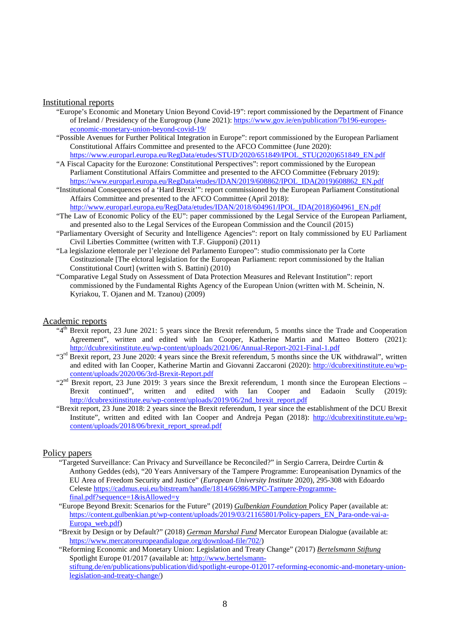#### Institutional reports

- "Europe's Economic and Monetary Union Beyond Covid-19": report commissioned by the Department of Finance of Ireland / Presidency of the Eurogroup (June 2021)[: https://www.gov.ie/en/publication/7b196-europes](https://www.gov.ie/en/publication/7b196-europes-economic-monetary-union-beyond-covid-19/)[economic-monetary-union-beyond-covid-19/](https://www.gov.ie/en/publication/7b196-europes-economic-monetary-union-beyond-covid-19/)
- "Possible Avenues for Further Political Integration in Europe": report commissioned by the European Parliament Constitutional Affairs Committee and presented to the AFCO Committee (June 2020): [https://www.europarl.europa.eu/RegData/etudes/STUD/2020/651849/IPOL\\_STU\(2020\)651849\\_EN.pdf](https://www.europarl.europa.eu/RegData/etudes/STUD/2020/651849/IPOL_STU(2020)651849_EN.pdf)
- "A Fiscal Capacity for the Eurozone: Constitutional Perspectives": report commissioned by the European Parliament Constitutional Affairs Committee and presented to the AFCO Committee (February 2019): [https://www.europarl.europa.eu/RegData/etudes/IDAN/2019/608862/IPOL\\_IDA\(2019\)608862\\_EN.pdf](https://www.europarl.europa.eu/RegData/etudes/IDAN/2019/608862/IPOL_IDA(2019)608862_EN.pdf)
- "Institutional Consequences of a 'Hard Brexit'": report commissioned by the European Parliament Constitutional Affairs Committee and presented to the AFCO Committee (April 2018):
	- [http://www.europarl.europa.eu/RegData/etudes/IDAN/2018/604961/IPOL\\_IDA\(2018\)604961\\_EN.pdf](http://www.europarl.europa.eu/RegData/etudes/IDAN/2018/604961/IPOL_IDA(2018)604961_EN.pdf)
- "The Law of Economic Policy of the EU": paper commissioned by the Legal Service of the European Parliament, and presented also to the Legal Services of the European Commission and the Council (2015)
- "Parliamentary Oversight of Security and Intelligence Agencies": report on Italy commissioned by EU Parliament Civil Liberties Committee (written with T.F. Giupponi) (2011)
- "La legislazione elettorale per l'elezione del Parlamento Europeo": studio commissionato per la Corte Costituzionale [The elctoral legislation for the European Parliament: report commissioned by the Italian Constitutional Court] (written with S. Battini) (2010)
- "Comparative Legal Study on Assessment of Data Protection Measures and Relevant Institution": report commissioned by the Fundamental Rights Agency of the European Union (written with M. Scheinin, N. Kyriakou, T. Ojanen and M. Tzanou) (2009)

### Academic reports

- "4th Brexit report, 23 June 2021: 5 years since the Brexit referendum, 5 months since the Trade and Cooperation Agreement", written and edited with Ian Cooper, Katherine Martin and Matteo Bottero (2021): <http://dcubrexitinstitute.eu/wp-content/uploads/2021/06/Annual-Report-2021-Final-1.pdf>
- "3<sup>rd</sup> Brexit report, 23 June 2020: 4 years since the Brexit referendum, 5 months since the UK withdrawal", written and edited with Ian Cooper, Katherine Martin and Giovanni Zaccaroni (2020): [http://dcubrexitinstitute.eu/wp](http://dcubrexitinstitute.eu/wp-content/uploads/2020/06/3rd-Brexit-Report.pdf)[content/uploads/2020/06/3rd-Brexit-Report.pdf](http://dcubrexitinstitute.eu/wp-content/uploads/2020/06/3rd-Brexit-Report.pdf)
- "2<sup>nd</sup> Brexit report, 23 June 2019: 3 years since the Brexit referendum, 1 month since the European Elections Brexit continued", written and edited with Ian Cooper and Eadaoin Scully (2019): [http://dcubrexitinstitute.eu/wp-content/uploads/2019/06/2nd\\_brexit\\_report.pdf](http://dcubrexitinstitute.eu/wp-content/uploads/2019/06/2nd_brexit_report.pdf)
- "Brexit report, 23 June 2018: 2 years since the Brexit referendum, 1 year since the establishment of the DCU Brexit Institute", written and edited with Ian Cooper and Andreja Pegan (2018): [http://dcubrexitinstitute.eu/wp](http://dcubrexitinstitute.eu/wp-content/uploads/2018/06/brexit_report_spread.pdf)[content/uploads/2018/06/brexit\\_report\\_spread.pdf](http://dcubrexitinstitute.eu/wp-content/uploads/2018/06/brexit_report_spread.pdf)

### Policy papers

- "Targeted Surveillance: Can Privacy and Surveillance be Reconciled?" in Sergio Carrera, Deirdre Curtin & Anthony Geddes (eds), "20 Years Anniversary of the Tampere Programme: Europeanisation Dynamics of the EU Area of Freedom Security and Justice" (*European University Institute* 2020), 295-308 with Edoardo Celeste [https://cadmus.eui.eu/bitstream/handle/1814/66986/MPC-Tampere-Programme](https://cadmus.eui.eu/bitstream/handle/1814/66986/MPC-Tampere-Programme-final.pdf?sequence=1&isAllowed=y)[final.pdf?sequence=1&isAllowed=y](https://cadmus.eui.eu/bitstream/handle/1814/66986/MPC-Tampere-Programme-final.pdf?sequence=1&isAllowed=y)
- "Europe Beyond Brexit: Scenarios for the Future" (2019) *Gulbenkian Foundation* Policy Paper (available at: [https://content.gulbenkian.pt/wp-content/uploads/2019/03/21165801/Policy-papers\\_EN\\_Para-onde-vai-a-](https://content.gulbenkian.pt/wp-content/uploads/2019/03/21165801/Policy-papers_EN_Para-onde-vai-a-Europa_web.pdf)[Europa\\_web.pdf\)](https://content.gulbenkian.pt/wp-content/uploads/2019/03/21165801/Policy-papers_EN_Para-onde-vai-a-Europa_web.pdf)
- "Brexit by Design or by Default?" (2018) *German Marshal Fund* Mercator European Dialogue (available at: [https://www.mercatoreuropeandialogue.org/download-file/702/\)](https://www.mercatoreuropeandialogue.org/download-file/702/)
- "Reforming Economic and Monetary Union: Legislation and Treaty Change" (2017) *Bertelsmann Stiftung* Spotlight Europe 01/2017 (available at: [http://www.bertelsmann](http://www.bertelsmann-stiftung.de/en/publications/publication/did/spotlight-europe-012017-reforming-economic-and-monetary-union-legislation-and-treaty-change/)[stiftung.de/en/publications/publication/did/spotlight-europe-012017-reforming-economic-and-monetary-union](http://www.bertelsmann-stiftung.de/en/publications/publication/did/spotlight-europe-012017-reforming-economic-and-monetary-union-legislation-and-treaty-change/)[legislation-and-treaty-change/\)](http://www.bertelsmann-stiftung.de/en/publications/publication/did/spotlight-europe-012017-reforming-economic-and-monetary-union-legislation-and-treaty-change/)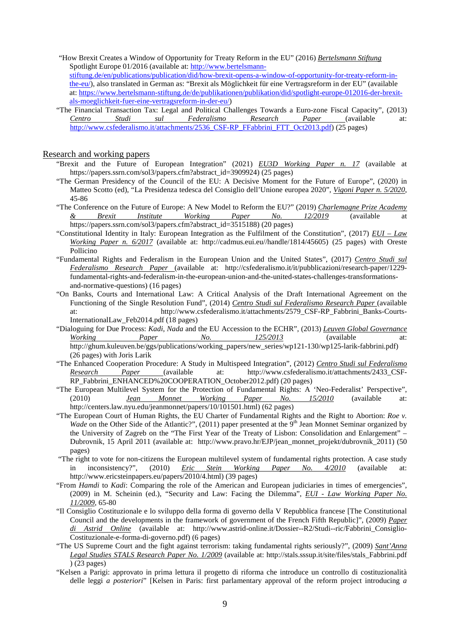"How Brexit Creates a Window of Opportunity for Treaty Reform in the EU" (2016) *Bertelsmann Stiftung*  Spotlight Europe 01/2016 (available at: [http://www.bertelsmann](http://www.bertelsmann-stiftung.de/en/publications/publication/did/how-brexit-opens-a-window-of-opportunity-for-treaty-reform-in-the-eu/)[stiftung.de/en/publications/publication/did/how-brexit-opens-a-window-of-opportunity-for-treaty-reform-in](http://www.bertelsmann-stiftung.de/en/publications/publication/did/how-brexit-opens-a-window-of-opportunity-for-treaty-reform-in-the-eu/)[the-eu/\)](http://www.bertelsmann-stiftung.de/en/publications/publication/did/how-brexit-opens-a-window-of-opportunity-for-treaty-reform-in-the-eu/), also translated in German as: "Brexit als Möglichkeit für eine Vertragsreform in der EU" (available at[: https://www.bertelsmann-stiftung.de/de/publikationen/publikation/did/spotlight-europe-012016-der-brexit](https://www.bertelsmann-stiftung.de/de/publikationen/publikation/did/spotlight-europe-012016-der-brexit-als-moeglichkeit-fuer-eine-vertragsreform-in-der-eu/)[als-moeglichkeit-fuer-eine-vertragsreform-in-der-eu/\)](https://www.bertelsmann-stiftung.de/de/publikationen/publikation/did/spotlight-europe-012016-der-brexit-als-moeglichkeit-fuer-eine-vertragsreform-in-der-eu/)

"The Financial Transaction Tax: Legal and Political Challenges Towards a Euro-zone Fiscal Capacity", (2013) *Centro Studi sul Federalismo Research Paper* (available at: [http://www.csfederalismo.it/attachments/2536\\_CSF-RP\\_FFabbrini\\_FTT\\_Oct2013.pdf\)](http://www.csfederalismo.it/attachments/2536_CSF-RP_FFabbrini_FTT_Oct2013.pdf) (25 pages)

#### Research and working papers

- "Brexit and the Future of European Integration" (2021) *EU3D Working Paper n. 17* (available at https://papers.ssrn.com/sol3/papers.cfm?abstract\_id=3909924) (25 pages)
- "The German Presidency of the Council of the EU: A Decisive Moment for the Future of Europe", (2020) in Matteo Scotto (ed), "La Presidenza tedesca del Consiglio dell'Unione europea 2020", *Vigoni Paper n. 5/2020*, 45-86
- "The Conference on the Future of Europe: A New Model to Reform the EU?" (2019) *Charlemagne Prize Academy & Brexit Institute Working Paper No. 12/2019* (available https://papers.ssrn.com/sol3/papers.cfm?abstract\_id=3515188) (20 pages)
- "Constitutional Identity in Italy: European Integration as the Fulfilment of the Constitution", (2017) *EUI – Law Working Paper n. 6/2017* (available at: http://cadmus.eui.eu//handle/1814/45605) (25 pages) with Oreste Pollicino
- "Fundamental Rights and Federalism in the European Union and the United States", (2017) *Centro Studi sul Federalismo Research Paper* (available at: http://csfederalismo.it/it/pubblicazioni/research-paper/1229 fundamental-rights-and-federalism-in-the-european-union-and-the-united-states-challenges-transformationsand-normative-questions) (16 pages)
- "On Banks, Courts and International Law: A Critical Analysis of the Draft International Agreement on the Functioning of the Single Resolution Fund", (2014) *Centro Studi sul Federalismo Research Paper* (available at: http://www.csfederalismo.it/attachments/2579\_CSF-RP\_Fabbrini\_Banks-Courts-InternationalLaw\_Feb2014.pdf (18 pages)
- "Dialoguing for Due Process: *Kadi*, *Nada* and the EU Accession to the ECHR", (2013) *Leuven Global Governance Working Paper No. 125/2013* (available at: http://ghum.kuleuven.be/ggs/publications/working\_papers/new\_series/wp121-130/wp125-larik-fabbrini.pdf) (26 pages) with Joris Larik
- "The Enhanced Cooperation Procedure: A Study in Multispeed Integration", (2012) *Centro Studi sul Federalismo Research Paper* (available at: http://www.csfederalismo.it/attachments/2433 CSF-RP\_Fabbrini\_ENHANCED%20COOPERATION\_October2012.pdf) (20 pages)
- "The European Multilevel System for the Protection of Fundamental Rights: A 'Neo-Federalist' Perspective", (2010) *Jean Monnet Working Paper No. 15/2010* (available http://centers.law.nyu.edu/jeanmonnet/papers/10/101501.html) (62 pages)
- "The European Court of Human Rights, the EU Charter of Fundamental Rights and the Right to Abortion: *Roe v. Wade* on the Other Side of the Atlantic?", (2011) paper presented at the 9<sup>th</sup> Jean Monnet Seminar organized by the University of Zagreb on the "The First Year of the Treaty of Lisbon: Consolidation and Enlargement" – Dubrovnik, 15 April 2011 (available at: http://www.pravo.hr/EJP/jean\_monnet\_projekt/dubrovnik\_2011) (50 pages)
- "The right to vote for non-citizens the European multilevel system of fundamental rights protection. A case study in inconsistency?", (2010) *Eric Stein Working Paper No. 4/2010* (available at: http://www.ericsteinpapers.eu/papers/2010/4.html) (39 pages)
- "From *Hamdi* to *Kadi*: Comparing the role of the American and European judiciaries in times of emergencies", (2009) in M. Scheinin (ed.), "Security and Law: Facing the Dilemma", *EUI - Law Working Paper No. 11/2009*, 65-80
- "Il Consiglio Costituzionale e lo sviluppo della forma di governo della V Repubblica francese [The Constitutional Council and the developments in the framework of government of the French Fifth Republic]", (2009) *Paper di Astrid Online* (available at: http://www.astrid-online.it/Dossier--R2/Studi--ric/Fabbrini\_Consiglio-Costituzionale-e-forma-di-governo.pdf) (6 pages)
- "The US Supreme Court and the fight against terrorism: taking fundamental rights seriously?", (2009) *Sant'Anna Legal Studies STALS Research Paper No. 1/2009* (available at: http://stals.sssup.it/site/files/stals\_Fabbrini.pdf ) (23 pages)
- "Kelsen a Parigi: approvato in prima lettura il progetto di riforma che introduce un controllo di costituzionalità delle leggi *a posteriori*" [Kelsen in Paris: first parlamentary approval of the reform project introducing *a*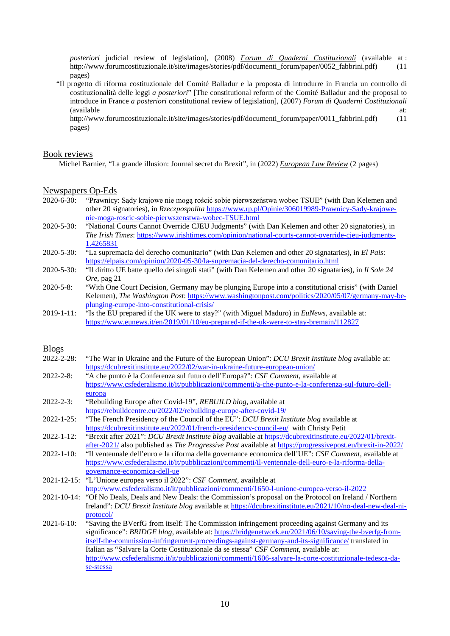*posteriori* judicial review of legislation], (2008) *Forum di Quaderni Costituzionali* (available at : http://www.forumcostituzionale.it/site/images/stories/pdf/documenti\_forum/paper/0052\_fabbrini.pdf) (11 pages)

"Il progetto di riforma costituzionale del Comité Balladur e la proposta di introdurre in Francia un controllo di costituzionalità delle leggi *a posteriori*" [The constitutional reform of the Comité Balladur and the proposal to introduce in France *a posteriori* constitutional review of legislation], (2007) *Forum di Quaderni Costituzionali* (available at:  $\overline{a}$ ) and  $\overline{a}$  at:  $\overline{a}$  at:  $\overline{a}$  at:  $\overline{a}$  at:  $\overline{a}$  at:  $\overline{a}$ 

http://www.forumcostituzionale.it/site/images/stories/pdf/documenti\_forum/paper/0011\_fabbrini.pdf) (11 pages)

### Book reviews

Michel Barnier, "La grande illusion: Journal secret du Brexit", in (2022) *European Law Review* (2 pages)

### Newspapers Op-Eds

- 2020-6-30: "Prawnicy: Sądy krajowe nie mogą rościć sobie pierwszeństwa wobec TSUE" (with Dan Kelemen and other 20 signatories), in *Rzeczpospolita* [https://www.rp.pl/Opinie/306019989-Prawnicy-Sady-krajowe](https://www.rp.pl/Opinie/306019989-Prawnicy-Sady-krajowe-nie-moga-roscic-sobie-pierwszenstwa-wobec-TSUE.html)[nie-moga-roscic-sobie-pierwszenstwa-wobec-TSUE.html](https://www.rp.pl/Opinie/306019989-Prawnicy-Sady-krajowe-nie-moga-roscic-sobie-pierwszenstwa-wobec-TSUE.html)
- 2020-5-30: "National Courts Cannot Override CJEU Judgments" (with Dan Kelemen and other 20 signatories), in *The Irish Times*: [https://www.irishtimes.com/opinion/national-courts-cannot-override-cjeu-judgments-](https://www.irishtimes.com/opinion/national-courts-cannot-override-cjeu-judgments-1.4265831)[1.4265831](https://www.irishtimes.com/opinion/national-courts-cannot-override-cjeu-judgments-1.4265831)
- 2020-5-30: "La supremacia del derecho comunitario" (with Dan Kelemen and other 20 signataries), in *El Pais*: <https://elpais.com/opinion/2020-05-30/la-supremacia-del-derecho-comunitario.html>
- 2020-5-30: "Il diritto UE batte quello dei singoli stati" (with Dan Kelemen and other 20 signataries), in *Il Sole 24 Ore*, pag 21
- 2020-5-8: "With One Court Decision, Germany may be plunging Europe into a constitutional crisis" (with Daniel Kelemen), *The Washington Post*: [https://www.washingtonpost.com/politics/2020/05/07/germany-may-be](https://www.washingtonpost.com/politics/2020/05/07/germany-may-be-plunging-europe-into-constitutional-crisis/)[plunging-europe-into-constitutional-crisis/](https://www.washingtonpost.com/politics/2020/05/07/germany-may-be-plunging-europe-into-constitutional-crisis/)
- 2019-1-11: "Is the EU prepared if the UK were to stay?" (with Miguel Maduro) in *EuNews*, available at: <https://www.eunews.it/en/2019/01/10/eu-prepared-if-the-uk-were-to-stay-bremain/112827>

# Blogs

| 2022-2-28:        | "The War in Ukraine and the Future of the European Union": DCU Brexit Institute blog available at:             |
|-------------------|----------------------------------------------------------------------------------------------------------------|
|                   | https://dcubrexitinstitute.eu/2022/02/war-in-ukraine-future-european-union/                                    |
| $2022 - 2 - 8$ :  | "A che punto è la Conferenza sul futuro dell'Europa?": CSF Comment, available at                               |
|                   | https://www.csfederalismo.it/it/pubblicazioni/commenti/a-che-punto-e-la-conferenza-sul-futuro-dell-            |
|                   | europa                                                                                                         |
| $2022 - 2 - 3$ :  | "Rebuilding Europe after Covid-19", REBUILD blog, available at                                                 |
|                   | https://rebuildcentre.eu/2022/02/rebuilding-europe-after-covid-19/                                             |
| $2022 - 1 - 25$ : | "The French Presidency of the Council of the EU": DCU Brexit Institute blog available at                       |
|                   | https://dcubrexitinstitute.eu/2022/01/french-presidency-council-eu/ with Christy Petit                         |
| 2022-1-12:        | "Brexit after 2021": DCU Brexit Institute blog available at https://dcubrexitinstitute.eu/2022/01/brexit-      |
|                   | after-2021/ also published as The Progressive Post available at https://progressivepost.eu/brexit-in-2022/     |
| $2022 - 1 - 10$ : | "Il ventennale dell'euro e la riforma della governance economica dell'UE": CSF Comment, available at           |
|                   | https://www.csfederalismo.it/it/pubblicazioni/commenti/il-ventennale-dell-euro-e-la-riforma-della-             |
|                   | governance-economica-dell-ue                                                                                   |
|                   | 2021-12-15: "L'Unione europea verso il 2022": CSF Comment, available at                                        |
|                   | http://www.csfederalismo.it/it/pubblicazioni/commenti/1650-l-unione-europea-verso-il-2022                      |
|                   | 2021-10-14: "Of No Deals, Deals and New Deals: the Commission's proposal on the Protocol on Ireland / Northern |
|                   | Ireland": DCU Brexit Institute blog available at https://dcubrexitinstitute.eu/2021/10/no-deal-new-deal-ni-    |
|                   | protocol/                                                                                                      |
| $2021 - 6 - 10$ : | "Saving the BVerfG from itself: The Commission infringement proceeding against Germany and its                 |
|                   | significance": BRIDGE blog, available at: https://bridgenetwork.eu/2021/06/10/saving-the-bverfg-from-          |
|                   | itself-the-commission-infringement-proceedings-against-germany-and-its-significance/translated in              |
|                   | Italian as "Salvare la Corte Costituzionale da se stessa" CSF Comment, available at:                           |
|                   | http://www.csfederalismo.it/it/pubblicazioni/commenti/1606-salvare-la-corte-costituzionale-tedesca-da-         |
|                   | se-stessa                                                                                                      |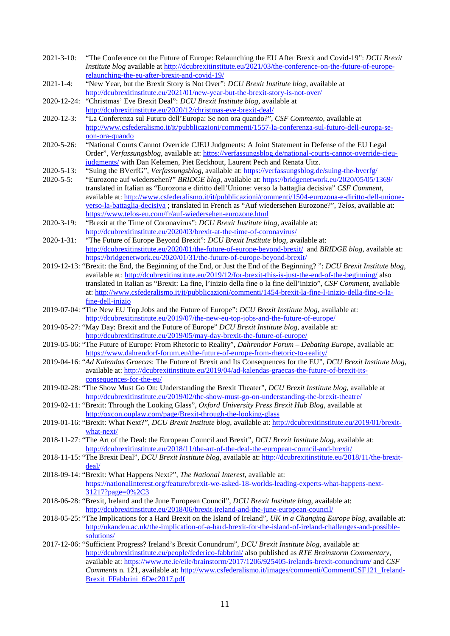- 2021-3-10: "The Conference on the Future of Europe: Relaunching the EU After Brexit and Covid-19": *DCU Brexit Institute blog* available at [http://dcubrexitinstitute.eu/2021/03/the-conference-on-the-future-of-europe](http://dcubrexitinstitute.eu/2021/03/the-conference-on-the-future-of-europe-relaunching-the-eu-after-brexit-and-covid-19/)[relaunching-the-eu-after-brexit-and-covid-19/](http://dcubrexitinstitute.eu/2021/03/the-conference-on-the-future-of-europe-relaunching-the-eu-after-brexit-and-covid-19/)
- 2021-1-4: "New Year, but the Brexit Story is Not Over": *DCU Brexit Institute blog*, available at <http://dcubrexitinstitute.eu/2021/01/new-year-but-the-brexit-story-is-not-over/>
- 2020-12-24: "Christmas' Eve Brexit Deal": *DCU Brexit Institute blog*, available at <http://dcubrexitinstitute.eu/2020/12/christmas-eve-brexit-deal/>
- 2020-12-3: "La Conferenza sul Futuro dell'Europa: Se non ora quando?", *CSF Commento*, available at [http://www.csfederalismo.it/it/pubblicazioni/commenti/1557-la-conferenza-sul-futuro-dell-europa-se](http://www.csfederalismo.it/it/pubblicazioni/commenti/1557-la-conferenza-sul-futuro-dell-europa-se-non-ora-quando)[non-ora-quando](http://www.csfederalismo.it/it/pubblicazioni/commenti/1557-la-conferenza-sul-futuro-dell-europa-se-non-ora-quando)
- 2020-5-26: "National Courts Cannot Override CJEU Judgments: A Joint Statement in Defense of the EU Legal Order", *Verfassungsblog*, available at: [https://verfassungsblog.de/national-courts-cannot-override-cjeu](https://verfassungsblog.de/national-courts-cannot-override-cjeu-judgments/)[judgments/](https://verfassungsblog.de/national-courts-cannot-override-cjeu-judgments/) with Dan Kelemen, Piet Eeckhout, Laurent Pech and Renata Uitz.
- 2020-5-13: "Suing the BVerfG", *Verfassungsblog*, available at:<https://verfassungsblog.de/suing-the-bverfg/><br>2020-5-5: "Eurozone auf wiedersehen?" BRIDGE blog. available at: https://bridgenetwork.eu/2020/05/05/1
- 2020-5-5: "Eurozone auf wiedersehen?" *BRIDGE blog*, available at[: https://bridgenetwork.eu/2020/05/05/1369/](https://bridgenetwork.eu/2020/05/05/1369/) translated in Italian as "Eurozona e diritto dell'Unione: verso la battaglia decisiva" *CSF Comment*, available at: [http://www.csfederalismo.it/it/pubblicazioni/commenti/1504-eurozona-e-diritto-dell-unione](http://www.csfederalismo.it/it/pubblicazioni/commenti/1504-eurozona-e-diritto-dell-unione-verso-la-battaglia-decisiva)[verso-la-battaglia-decisiva](http://www.csfederalismo.it/it/pubblicazioni/commenti/1504-eurozona-e-diritto-dell-unione-verso-la-battaglia-decisiva) ; translated in French as "Auf wiedersehen Eurozone?", *Telos*, available at: <https://www.telos-eu.com/fr/auf-wiedersehen-eurozone.html>
- 2020-3-19: "Brexit at the Time of Coronavirus": *DCU Brexit Institute blog*, available at: <http://dcubrexitinstitute.eu/2020/03/brexit-at-the-time-of-coronavirus/>
- 2020-1-31: "The Future of Europe Beyond Brexit": *DCU Brexit Institute blog*, available at: <http://dcubrexitinstitute.eu/2020/01/the-future-of-europe-beyond-brexit/>and *BRIDGE blog*, available at: <https://bridgenetwork.eu/2020/01/31/the-future-of-europe-beyond-brexit/>
- 2019-12-13: "Brexit: the End, the Beginning of the End, or Just the End of the Beginning? ": *DCU Brexit Institute blog*, available at: <http://dcubrexitinstitute.eu/2019/12/for-brexit-this-is-just-the-end-of-the-beginning/> also translated in Italian as "Brexit: La fine, l'inizio della fine o la fine dell'inizio", *CSF Comment*, available at: [http://www.csfederalismo.it/it/pubblicazioni/commenti/1454-brexit-la-fine-l-inizio-della-fine-o-la](http://www.csfederalismo.it/it/pubblicazioni/commenti/1454-brexit-la-fine-l-inizio-della-fine-o-la-fine-dell-inizio)[fine-dell-inizio](http://www.csfederalismo.it/it/pubblicazioni/commenti/1454-brexit-la-fine-l-inizio-della-fine-o-la-fine-dell-inizio)
- 2019-07-04: "The New EU Top Jobs and the Future of Europe": *DCU Brexit Institute blog*, available at: <http://dcubrexitinstitute.eu/2019/07/the-new-eu-top-jobs-and-the-future-of-europe/>
- 2019-05-27: "May Day: Brexit and the Future of Europe" *DCU Brexit Institute blog*, available at: <http://dcubrexitinstitute.eu/2019/05/may-day-brexit-the-future-of-europe/>
- 2019-05-06: "The Future of Europe: From Rhetoric to Reality", *Dahrendor Forum – Debating Europe*, available at: <https://www.dahrendorf-forum.eu/the-future-of-europe-from-rhetoric-to-reality/>
- 2019-04-16: "*Ad Kalendas Graecas*: The Future of Brexit and Its Consequences for the EU", *DCU Brexit Institute blog*, available at: [http://dcubrexitinstitute.eu/2019/04/ad-kalendas-graecas-the-future-of-brexit-its](http://dcubrexitinstitute.eu/2019/04/ad-kalendas-graecas-the-future-of-brexit-its-consequences-for-the-eu/)[consequences-for-the-eu/](http://dcubrexitinstitute.eu/2019/04/ad-kalendas-graecas-the-future-of-brexit-its-consequences-for-the-eu/)
- 2019-02-28: "The Show Must Go On: Understanding the Brexit Theater", *DCU Brexit Institute blog*, available at <http://dcubrexitinstitute.eu/2019/02/the-show-must-go-on-understanding-the-brexit-theatre/>
- 2019-02-11: "Brexit: Through the Looking Glass", *Oxford University Press Brexit Hub Blog*, available at <http://oxcon.ouplaw.com/page/Brexit-through-the-looking-glass>
- 2019-01-16: "Brexit: What Next?", *DCU Brexit Institute blog*, available at: [http://dcubrexitinstitute.eu/2019/01/brexit](http://dcubrexitinstitute.eu/2019/01/brexit-what-next/)[what-next/](http://dcubrexitinstitute.eu/2019/01/brexit-what-next/)
- 2018-11-27: "The Art of the Deal: the European Council and Brexit", *DCU Brexit Institute blog*, available at: <http://dcubrexitinstitute.eu/2018/11/the-art-of-the-deal-the-european-council-and-brexit/>
- 2018-11-15: "The Brexit Deal", *DCU Brexit Institute blog*, available at[: http://dcubrexitinstitute.eu/2018/11/the-brexit](http://dcubrexitinstitute.eu/2018/11/the-brexit-deal/)[deal/](http://dcubrexitinstitute.eu/2018/11/the-brexit-deal/)
- 2018-09-14: "Brexit: What Happens Next?", *The National Interest*, available at: [https://nationalinterest.org/feature/brexit-we-asked-18-worlds-leading-experts-what-happens-next-](https://nationalinterest.org/feature/brexit-we-asked-18-worlds-leading-experts-what-happens-next-31217?page=0%2C3)[31217?page=0%2C3](https://nationalinterest.org/feature/brexit-we-asked-18-worlds-leading-experts-what-happens-next-31217?page=0%2C3)
- 2018-06-28: "Brexit, Ireland and the June European Council", *DCU Brexit Institute blog*, available at: <http://dcubrexitinstitute.eu/2018/06/brexit-ireland-and-the-june-european-council/>
- 2018-05-25: "The Implications for a Hard Brexit on the Island of Ireland", *UK in a Changing Europe blog*, available at: [http://ukandeu.ac.uk/the-implication-of-a-hard-brexit-for-the-island-of-ireland-challenges-and-possible](http://ukandeu.ac.uk/the-implication-of-a-hard-brexit-for-the-island-of-ireland-challenges-and-possible-solutions/)[solutions/](http://ukandeu.ac.uk/the-implication-of-a-hard-brexit-for-the-island-of-ireland-challenges-and-possible-solutions/)
- 2017-12-06: "Sufficient Progress? Ireland's Brexit Conundrum", *DCU Brexit Institute blog*, available at: <http://dcubrexitinstitute.eu/people/federico-fabbrini/> also published as *RTE Brainstorm Commentary*, available at:<https://www.rte.ie/eile/brainstorm/2017/1206/925405-irelands-brexit-conundrum/> and *CSF Comments* n. 121, available at: [http://www.csfederalismo.it/images/commenti/CommentCSF121\\_Ireland-](http://www.csfederalismo.it/images/commenti/CommentCSF121_Ireland-Brexit_FFabbrini_6Dec2017.pdf)[Brexit\\_FFabbrini\\_6Dec2017.pdf](http://www.csfederalismo.it/images/commenti/CommentCSF121_Ireland-Brexit_FFabbrini_6Dec2017.pdf)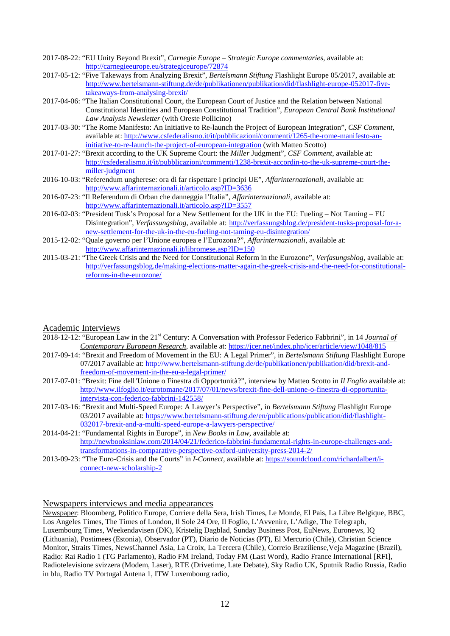- 2017-08-22: "EU Unity Beyond Brexit", *Carnegie Europe – Strategic Europe commentaries*, available at: <http://carnegieeurope.eu/strategiceurope/72874>
- 2017-05-12: "Five Takeways from Analyzing Brexit", *Bertelsmann Stiftung* Flashlight Europe 05/2017, available at: [http://www.bertelsmann-stiftung.de/de/publikationen/publikation/did/flashlight-europe-052017-five](http://www.bertelsmann-stiftung.de/de/publikationen/publikation/did/flashlight-europe-052017-five-takeaways-from-analysing-brexit/)[takeaways-from-analysing-brexit/](http://www.bertelsmann-stiftung.de/de/publikationen/publikation/did/flashlight-europe-052017-five-takeaways-from-analysing-brexit/)
- 2017-04-06: "The Italian Constitutional Court, the European Court of Justice and the Relation between National Constitutional Identities and European Constitutional Tradition", *European Central Bank Institutional Law Analysis Newsletter* (with Oreste Pollicino)
- 2017-03-30: "The Rome Manifesto: An Initiative to Re-launch the Project of European Integration", *CSF Comment*, available at: [http://www.csfederalismo.it/it/pubblicazioni/commenti/1265-the-rome-manifesto-an](http://www.csfederalismo.it/it/pubblicazioni/commenti/1265-the-rome-manifesto-an-initiative-to-re-launch-the-project-of-european-integration)[initiative-to-re-launch-the-project-of-european-integration](http://www.csfederalismo.it/it/pubblicazioni/commenti/1265-the-rome-manifesto-an-initiative-to-re-launch-the-project-of-european-integration) (with Matteo Scotto)
- 2017-01-27: "Brexit according to the UK Supreme Court: the *Miller* Judgment", *CSF Comment*, available at: [http://csfederalismo.it/it/pubblicazioni/commenti/1238-brexit-accordin-to-the-uk-supreme-court-the](http://csfederalismo.it/it/pubblicazioni/commenti/1238-brexit-accordin-to-the-uk-supreme-court-the-miller-judgment)[miller-judgment](http://csfederalismo.it/it/pubblicazioni/commenti/1238-brexit-accordin-to-the-uk-supreme-court-the-miller-judgment)
- 2016-10-03: "Referendum ungherese: ora di far rispettare i principi UE", *Affarinternazionali*, available at: <http://www.affarinternazionali.it/articolo.asp?ID=3636>
- 2016-07-23: "Il Referendum di Orban che danneggia l'Italia", *Affarinternazionali*, available at: <http://www.affarinternazionali.it/articolo.asp?ID=3557>
- 2016-02-03: "President Tusk's Proposal for a New Settlement for the UK in the EU: Fueling Not Taming EU Disintegration", *Verfassungsblog*, available at: [http://verfassungsblog.de/president-tusks-proposal-for-a](http://verfassungsblog.de/president-tusks-proposal-for-a-new-settlement-for-the-uk-in-the-eu-fueling-not-taming-eu-disintegration/)[new-settlement-for-the-uk-in-the-eu-fueling-not-taming-eu-disintegration/](http://verfassungsblog.de/president-tusks-proposal-for-a-new-settlement-for-the-uk-in-the-eu-fueling-not-taming-eu-disintegration/)
- 2015-12-02: "Quale governo per l'Unione europea e l'Eurozona?", *Affarinternazionali*, available at: <http://www.affarinternazionali.it/libromese.asp?ID=150>
- 2015-03-21: "The Greek Crisis and the Need for Constitutional Reform in the Eurozone", *Verfasungsblog*, available at: [http://verfassungsblog.de/making-elections-matter-again-the-greek-crisis-and-the-need-for-constitutional](http://verfassungsblog.de/making-elections-matter-again-the-greek-crisis-and-the-need-for-constitutional-reforms-in-the-eurozone/)[reforms-in-the-eurozone/](http://verfassungsblog.de/making-elections-matter-again-the-greek-crisis-and-the-need-for-constitutional-reforms-in-the-eurozone/)

## Academic Interviews

- 2018-12-12: "European Law in the 21st Century: A Conversation with Professor Federico Fabbrini", in 14 *Journal of Contemporary European Research*, available at:<https://jcer.net/index.php/jcer/article/view/1048/815>
- 2017-09-14: "Brexit and Freedom of Movement in the EU: A Legal Primer", in *Bertelsmann Stiftung* Flashlight Europe 07/2017 available at[: http://www.bertelsmann-stiftung.de/de/publikationen/publikation/did/brexit-and](http://www.bertelsmann-stiftung.de/de/publikationen/publikation/did/brexit-and-freedom-of-movement-in-the-eu-a-legal-primer/)[freedom-of-movement-in-the-eu-a-legal-primer/](http://www.bertelsmann-stiftung.de/de/publikationen/publikation/did/brexit-and-freedom-of-movement-in-the-eu-a-legal-primer/)
- 2017-07-01: "Brexit: Fine dell'Unione o Finestra di Opportunità?", interview by Matteo Scotto in *Il Foglio* available at: [http://www.ilfoglio.it/eurotomane/2017/07/01/news/brexit-fine-dell-unione-o-finestra-di-opportunita](http://www.ilfoglio.it/eurotomane/2017/07/01/news/brexit-fine-dell-unione-o-finestra-di-opportunita-intervista-con-federico-fabbrini-142558/)[intervista-con-federico-fabbrini-142558/](http://www.ilfoglio.it/eurotomane/2017/07/01/news/brexit-fine-dell-unione-o-finestra-di-opportunita-intervista-con-federico-fabbrini-142558/)
- 2017-03-16: "Brexit and Multi-Speed Europe: A Lawyer's Perspective", in *Bertelsmann Stiftung* Flashlight Europe 03/2017 available at[: https://www.bertelsmann-stiftung.de/en/publications/publication/did/flashlight-](https://www.bertelsmann-stiftung.de/en/publications/publication/did/flashlight-032017-brexit-and-a-multi-speed-europe-a-lawyers-perspective/)[032017-brexit-and-a-multi-speed-europe-a-lawyers-perspective/](https://www.bertelsmann-stiftung.de/en/publications/publication/did/flashlight-032017-brexit-and-a-multi-speed-europe-a-lawyers-perspective/)
- 2014-04-21: "Fundamental Rights in Europe", in *New Books in Law*, available at: [http://newbooksinlaw.com/2014/04/21/federico-fabbrini-fundamental-rights-in-europe-challenges-and](http://newbooksinlaw.com/2014/04/21/federico-fabbrini-fundamental-rights-in-europe-challenges-and-transformations-in-comparative-perspective-oxford-university-press-2014-2/)[transformations-in-comparative-perspective-oxford-university-press-2014-2/](http://newbooksinlaw.com/2014/04/21/federico-fabbrini-fundamental-rights-in-europe-challenges-and-transformations-in-comparative-perspective-oxford-university-press-2014-2/)
- 2013-09-23: "The Euro-Crisis and the Courts" in *I-Connect*, available at: [https://soundcloud.com/richardalbert/i](https://soundcloud.com/richardalbert/i-connect-new-scholarship-2)[connect-new-scholarship-2](https://soundcloud.com/richardalbert/i-connect-new-scholarship-2)

# Newspapers interviews and media appearances

Newspaper: Bloomberg, Politico Europe, Corriere della Sera, Irish Times, Le Monde, El Pais, La Libre Belgique, BBC, Los Angeles Times, The Times of London, Il Sole 24 Ore, Il Foglio, L'Avvenire, L'Adige, The Telegraph, Luxembourg Times, Weekendavisen (DK), Kristelig Dagblad, Sunday Business Post, EuNews, Euronews, IQ (Lithuania), Postimees (Estonia), Observador (PT), Diario de Noticias (PT), El Mercurio (Chile), Christian Science Monitor, Straits Times, NewsChannel Asia, La Croix, La Tercera (Chile), Correio Braziliense,Veja Magazine (Brazil), Radio: Rai Radio 1 (TG Parlamento), Radio FM Ireland, Today FM (Last Word), Radio France International [RFI], Radiotelevisione svizzera (Modem, Laser), RTE (Drivetime, Late Debate), Sky Radio UK, Sputnik Radio Russia, Radio in blu, Radio TV Portugal Antena 1, ITW Luxembourg radio,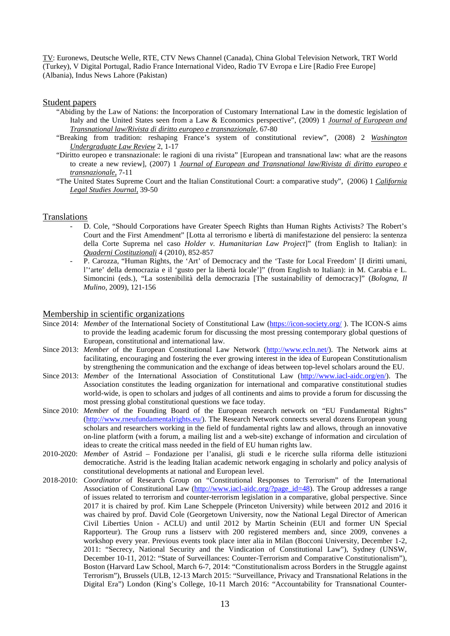TV: Euronews, Deutsche Welle, RTE, CTV News Channel (Canada), China Global Television Network, TRT World (Turkey), V Digital Portugal, Radio France International Video, Radio TV Evropa e Lire [Radio Free Europe] (Albania), Indus News Lahore (Pakistan)

### Student papers

- "Abiding by the Law of Nations: the Incorporation of Customary International Law in the domestic legislation of Italy and the United States seen from a Law & Economics perspective", (2009) 1 *Journal of European and Transnational law/Rivista di diritto europeo e transnazionale*, 67-80
- "Breaking from tradition: reshaping France's system of constitutional review", (2008) 2 *Washington Undergraduate Law Review* 2, 1-17
- "Diritto europeo e transnazionale: le ragioni di una rivista" [European and transnational law: what are the reasons to create a new review], (2007) 1 *Journal of European and Transnational law/Rivista di diritto europeo e transnazionale*, 7-11
- "The United States Supreme Court and the Italian Constitutional Court: a comparative study", (2006) 1 *California Legal Studies Journal*, 39-50

### **Translations**

- D. Cole, "Should Corporations have Greater Speech Rights than Human Rights Activists? The Robert's Court and the First Amendment" [Lotta al terrorismo e libertà di manifestazione del pensiero: la sentenza della Corte Suprema nel caso *Holder v. Humanitarian Law Project*]" (from English to Italian): in *Quaderni Costituzionali* 4 (2010), 852-857
- P. Carozza, "Human Rights, the 'Art' of Democracy and the 'Taste for Local Freedom' [I diritti umani, l''arte' della democrazia e il 'gusto per la libertà locale']" (from English to Italian): in M. Carabia e L. Simoncini (eds.), "La sostenibilità della democrazia [The sustainability of democracy]" (*Bologna, Il Mulino*, 2009), 121-156

### Membership in scientific organizations

- Since 2014: *Member* of the International Society of Constitutional Law [\(https://icon-society.org/](https://icon-society.org/)). The ICON-S aims to provide the leading academic forum for discussing the most pressing contemporary global questions of European, constitutional and international law.
- Since 2013: *Member* of the European Constitutional Law Network [\(http://www.ecln.net/\)](http://www.ecln.net/). The Network aims at facilitating, encouraging and fostering the ever growing interest in the idea of European Constitutionalism by strengthening the communication and the exchange of ideas between top-level scholars around the EU.
- Since 2013: *Member* of the International Association of Constitutional Law [\(http://www.iacl-aidc.org/en/\)](http://www.iacl-aidc.org/en/). The Association constitutes the leading organization for international and comparative constitutional studies world-wide, is open to scholars and judges of all continents and aims to provide a forum for discussing the most pressing global constitutional questions we face today.
- Since 2010: *Member* of the Founding Board of the European research network on "EU Fundamental Rights" [\(http://www.rneufundamentalrights.eu/\)](http://www.rneufundamentalrights.eu/). The Research Network connects several dozens European young scholars and researchers working in the field of fundamental rights law and allows, through an innovative on-line platform (with a forum, a mailing list and a web-site) exchange of information and circulation of ideas to create the critical mass needed in the field of EU human rights law.
- 2010-2020: *Member* of Astrid Fondazione per l'analisi, gli studi e le ricerche sulla riforma delle istituzioni democratiche. Astrid is the leading Italian academic network engaging in scholarly and policy analysis of constitutional developments at national and European level.
- 2018-2010: *Coordinator* of Research Group on "Constitutional Responses to Terrorism" of the International Association of Constitutional Law [\(http://www.iacl-aidc.org/?page\\_id=48\)](http://www.iacl-aidc.org/?page_id=48). The Group addresses a range of issues related to terrorism and counter-terrorism legislation in a comparative, global perspective. Since 2017 it is chaired by prof. Kim Lane Scheppele (Princeton University) while between 2012 and 2016 it was chaired by prof. David Cole (Georgetown University, now the National Legal Director of American Civil Liberties Union - ACLU) and until 2012 by Martin Scheinin (EUI and former UN Special Rapporteur). The Group runs a listserv with 200 registered members and, since 2009, convenes a workshop every year. Previous events took place inter alia in Milan (Bocconi University, December 1-2, 2011: "Secrecy, National Security and the Vindication of Constitutional Law"), Sydney (UNSW, December 10-11, 2012: "State of Surveillances: Counter-Terrorism and Comparative Constitutionalism"), Boston (Harvard Law School, March 6-7, 2014: "Constitutionalism across Borders in the Struggle against Terrorism"), Brussels (ULB, 12-13 March 2015: "Surveillance, Privacy and Transnational Relations in the Digital Era") London (King's College, 10-11 March 2016: "Accountability for Transnational Counter-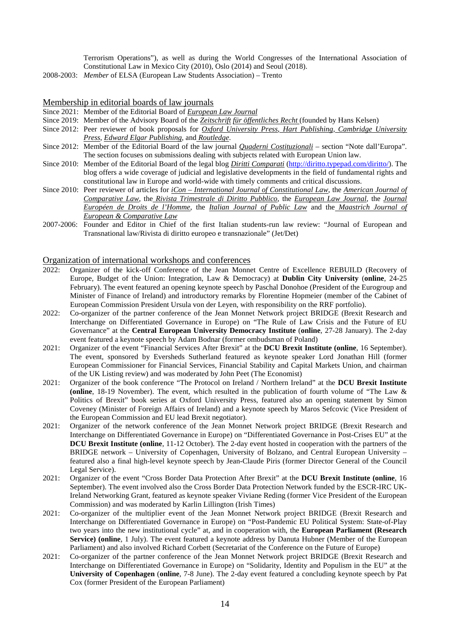Terrorism Operations"), as well as during the World Congresses of the International Association of Constitutional Law in Mexico City (2010), Oslo (2014) and Seoul (2018).

2008-2003: *Member* of ELSA (European Law Students Association) – Trento

### Membership in editorial boards of law journals

- Since 2021: Member of the Editorial Board of *European Law Journal*
- Since 2019: Member of the Advisory Board of the *Zeitschrift für öffentliches Recht* (founded by Hans Kelsen)
- Since 2012: Peer reviewer of book proposals for *Oxford University Press*, *Hart Publishing*, *Cambridge University Press*, *Edward Elgar Publishing*, and *Routledge*.
- Since 2012: Member of the Editorial Board of the law journal *Quaderni Costituzionali* section "Note dall'Europa". The section focuses on submissions dealing with subjects related with European Union law.
- Since 2010: Member of the Editorial Board of the legal blog *Diritti Comparati* [\(http://diritto.typepad.com/diritto/\)](http://diritto.typepad.com/diritto/). The blog offers a wide coverage of judicial and legislative developments in the field of fundamental rights and constitutional law in Europe and world-wide with timely comments and critical discussions.
- Since 2010: Peer reviewer of articles for *iCon – International Journal of Constitutional Law*, the *American Journal of Comparative Law*, the *Rivista Trimestrale di Diritto Pubblico*, the *European Law Journal*, the *Journal Européen de Droits de l'Homme*, the *Italian Journal of Public Law* and the *Maastrich Journal of European & Comparative Law*
- 2007-2006: Founder and Editor in Chief of the first Italian students-run law review: "Journal of European and Transnational law/Rivista di diritto europeo e transnazionale" (Jet/Det)

### Organization of international workshops and conferences

- 2022: Organizer of the kick-off Conference of the Jean Monnet Centre of Excellence REBUILD (Recovery of Europe, Budget of the Union: Integration, Law & Democracy) at **Dublin City University** (**online**, 24-25 February). The event featured an opening keynote speech by Paschal Donohoe (President of the Eurogroup and Minister of Finance of Ireland) and introductory remarks by Florentine Hopmeier (member of the Cabinet of European Commission President Ursula von der Leyen, with responsibility on the RRF portfolio).
- 2022: Co-organizer of the partner conference of the Jean Monnet Network project BRIDGE (Brexit Research and Interchange on Differentiated Governance in Europe) on "The Rule of Law Crisis and the Future of EU Governance" at the **Central European University Democracy Institute** (**online**, 27-28 January). The 2-day event featured a keynote speech by Adam Bodnar (former ombudsman of Poland)
- 2021: Organizer of the event "Financial Services After Brexit" at the **DCU Brexit Institute (online**, 16 September). The event, sponsored by Eversheds Sutherland featured as keynote speaker Lord Jonathan Hill (former European Commissioner for Financial Services, Financial Stability and Capital Markets Union, and chairman of the UK Listing review) and was moderated by John Peet (The Economist)
- 2021: Organizer of the book conference "The Protocol on Ireland / Northern Ireland" at the **DCU Brexit Institute (online**, 18-19 November). The event, which resulted in the publication of fourth volume of "The Law & Politics of Brexit" book series at Oxford University Press, featured also an opening statement by Simon Coveney (Minister of Foreign Affairs of Ireland) and a keynote speech by Maros Sefcovic (Vice President of the European Commission and EU lead Brexit negotiator).
- 2021: Organizer of the network conference of the Jean Monnet Network project BRIDGE (Brexit Research and Interchange on Differentiated Governance in Europe) on "Differentiated Governance in Post-Crises EU" at the **DCU Brexit Institute (online**, 11-12 October). The 2-day event hosted in cooperation with the partners of the BRIDGE network – University of Copenhagen, University of Bolzano, and Central European University – featured also a final high-level keynote speech by Jean-Claude Piris (former Director General of the Council Legal Service).
- 2021: Organizer of the event "Cross Border Data Protection After Brexit" at the **DCU Brexit Institute (online**, 16 September). The event involved also the Cross Border Data Protection Network funded by the ESCR-IRC UK-Ireland Networking Grant, featured as keynote speaker Viviane Reding (former Vice President of the European Commission) and was moderated by Karlin Lillington (Irish Times)
- 2021: Co-organizer of the multiplier event of the Jean Monnet Network project BRIDGE (Brexit Research and Interchange on Differentiated Governance in Europe) on "Post-Pandemic EU Political System: State-of-Play two years into the new institutional cycle" at, and in cooperation with, the **European Parliament (Research Service) (online**, 1 July). The event featured a keynote address by Danuta Hubner (Member of the European Parliament) and also involved Richard Corbett (Secretariat of the Conference on the Future of Europe)
- 2021: Co-organizer of the partner conference of the Jean Monnet Network project BRIDGE (Brexit Research and Interchange on Differentiated Governance in Europe) on "Solidarity, Identity and Populism in the EU" at the **University of Copenhagen** (**online**, 7-8 June). The 2-day event featured a concluding keynote speech by Pat Cox (former President of the European Parliament)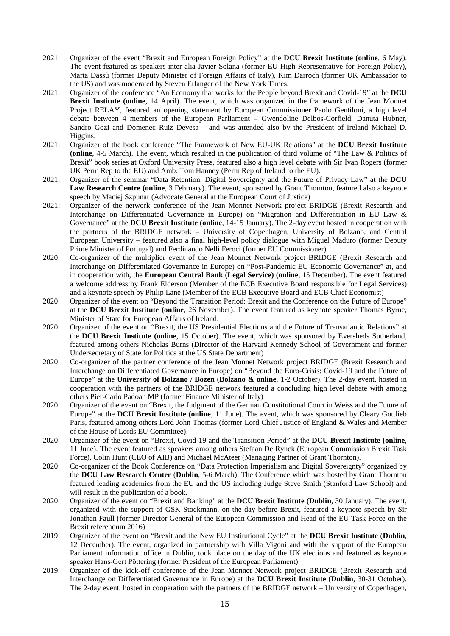- 2021: Organizer of the event "Brexit and European Foreign Policy" at the **DCU Brexit Institute (online**, 6 May). The event featured as speakers inter alia Javier Solana (former EU High Representative for Foreign Policy), Marta Dassù (former Deputy Minister of Foreign Affairs of Italy), Kim Darroch (former UK Ambassador to the US) and was moderated by Steven Erlanger of the New York Times.
- 2021: Organizer of the conference "An Economy that works for the People beyond Brexit and Covid-19" at the **DCU Brexit Institute (online**, 14 April). The event, which was organized in the framework of the Jean Monnet Project RELAY, featured an opening statement by European Commissioner Paolo Gentiloni, a high level debate between 4 members of the European Parliament – Gwendoline Delbos-Corfield, Danuta Hubner, Sandro Gozi and Domenec Ruiz Devesa – and was attended also by the President of Ireland Michael D. Higgins.
- 2021: Organizer of the book conference "The Framework of New EU-UK Relations" at the **DCU Brexit Institute (online**, 4-5 March). The event, which resulted in the publication of third volume of "The Law & Politics of Brexit" book series at Oxford University Press, featured also a high level debate with Sir Ivan Rogers (former UK Perm Rep to the EU) and Amb. Tom Hanney (Perm Rep of Ireland to the EU).
- 2021: Organizer of the seminar "Data Retention, Digital Sovereignty and the Future of Privacy Law" at the **DCU Law Research Centre (online**, 3 February). The event, sponsored by Grant Thornton, featured also a keynote speech by Maciej Szpunar (Advocate General at the European Court of Justice)
- 2021: Organizer of the network conference of the Jean Monnet Network project BRIDGE (Brexit Research and Interchange on Differentiated Governance in Europe) on "Migration and Differentiation in EU Law & Governance" at the **DCU Brexit Institute (online**, 14-15 January). The 2-day event hosted in cooperation with the partners of the BRIDGE network – University of Copenhagen, University of Bolzano, and Central European University – featured also a final high-level policy dialogue with Miguel Maduro (former Deputy Prime Minister of Portugal) and Ferdinando Nelli Feroci (former EU Commissioner)
- 2020: Co-organizer of the multiplier event of the Jean Monnet Network project BRIDGE (Brexit Research and Interchange on Differentiated Governance in Europe) on "Post-Pandemic EU Economic Governance" at, and in cooperation with, the **European Central Bank (Legal Service) (online**, 15 December). The event featured a welcome address by Frank Elderson (Member of the ECB Executive Board responsible for Legal Services) and a keynote speech by Philip Lane (Member of the ECB Executive Board and ECB Chief Economist)
- 2020: Organizer of the event on "Beyond the Transition Period: Brexit and the Conference on the Future of Europe" at the **DCU Brexit Institute (online**, 26 November). The event featured as keynote speaker Thomas Byrne, Minister of State for European Affairs of Ireland.
- 2020: Organizer of the event on "Brexit, the US Presidential Elections and the Future of Transatlantic Relations" at the **DCU Brexit Institute (online**, 15 October). The event, which was sponsored by Eversheds Sutherland, featured among others Nicholas Burns (Director of the Harvard Kennedy School of Government and former Undersecretary of State for Politics at the US State Department)
- 2020: Co-organizer of the partner conference of the Jean Monnet Network project BRIDGE (Brexit Research and Interchange on Differentiated Governance in Europe) on "Beyond the Euro-Crisis: Covid-19 and the Future of Europe" at the **University of Bolzano / Bozen** (**Bolzano & online**, 1-2 October). The 2-day event, hosted in cooperation with the partners of the BRIDGE network featured a concluding high level debate with among others Pier-Carlo Padoan MP (former Finance Minister of Italy)
- 2020: Organizer of the event on "Brexit, the Judgment of the German Constitutional Court in Weiss and the Future of Europe" at the **DCU Brexit Institute (online**, 11 June). The event, which was sponsored by Cleary Gottlieb Paris, featured among others Lord John Thomas (former Lord Chief Justice of England & Wales and Member of the House of Lords EU Committee).
- 2020: Organizer of the event on "Brexit, Covid-19 and the Transition Period" at the **DCU Brexit Institute (online**, 11 June). The event featured as speakers among others Stefaan De Rynck (European Commission Brexit Task Force), Colin Hunt (CEO of AIB) and Michael McAteer (Managing Partner of Grant Thornton).
- 2020: Co-organizer of the Book Conference on "Data Protection Imperialism and Digital Sovereignty" organized by the **DCU Law Research Center** (**Dublin**, 5-6 March). The Conference which was hosted by Grant Thornton featured leading academics from the EU and the US including Judge Steve Smith (Stanford Law School) and will result in the publication of a book.
- 2020: Organizer of the event on "Brexit and Banking" at the **DCU Brexit Institute (Dublin**, 30 January). The event, organized with the support of GSK Stockmann, on the day before Brexit, featured a keynote speech by Sir Jonathan Faull (former Director General of the European Commission and Head of the EU Task Force on the Brexit referendum 2016)
- 2019: Organizer of the event on "Brexit and the New EU Institutional Cycle" at the **DCU Brexit Institute** (**Dublin**, 12 December). The event, organized in partnership with Villa Vigoni and with the support of the European Parliament information office in Dublin, took place on the day of the UK elections and featured as keynote speaker Hans-Gert Pöttering (former President of the European Parliament)
- 2019: Organizer of the kick-off conference of the Jean Monnet Network project BRIDGE (Brexit Research and Interchange on Differentiated Governance in Europe) at the **DCU Brexit Institute** (**Dublin**, 30-31 October). The 2-day event, hosted in cooperation with the partners of the BRIDGE network – University of Copenhagen,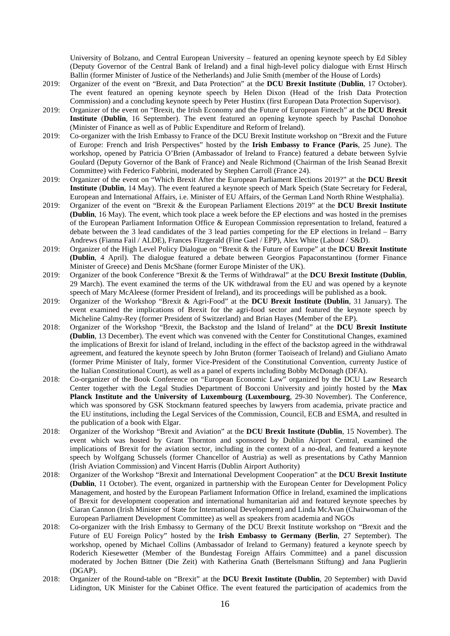University of Bolzano, and Central European University – featured an opening keynote speech by Ed Sibley (Deputy Governor of the Central Bank of Ireland) and a final high-level policy dialogue with Ernst Hirsch Ballin (former Minister of Justice of the Netherlands) and Julie Smith (member of the House of Lords)

- 2019: Organizer of the event on "Brexit, and Data Protection" at the **DCU Brexit Institute** (**Dublin**, 17 October). The event featured an opening keynote speech by Helen Dixon (Head of the Irish Data Protection Commission) and a concluding keynote speech by Peter Hustinx (first European Data Protection Supervisor).
- 2019: Organizer of the event on "Brexit, the Irish Economy and the Future of European Fintech" at the **DCU Brexit Institute** (**Dublin**, 16 September). The event featured an opening keynote speech by Paschal Donohoe (Minister of Finance as well as of Public Expenditure and Reform of Ireland).
- 2019: Co-organizer with the Irish Embassy to France of the DCU Brexit Institute workshop on "Brexit and the Future of Europe: French and Irish Perspectives" hosted by the **Irish Embassy to France (Paris**, 25 June). The workshop, opened by Patricia O'Brien (Ambassador of Ireland to France) featured a debate between Sylvie Goulard (Deputy Governor of the Bank of France) and Neale Richmond (Chairman of the Irish Seanad Brexit Committee) with Federico Fabbrini, moderated by Stephen Carroll (France 24).
- 2019: Organizer of the event on "Which Brexit After the European Parliament Elections 2019?" at the **DCU Brexit Institute** (**Dublin**, 14 May). The event featured a keynote speech of Mark Speich (State Secretary for Federal, European and International Affairs, i.e. Minister of EU Affairs, of the German Land North Rhine Westphalia).
- 2019: Organizer of the event on "Brexit & the European Parliament Elections 2019" at the **DCU Brexit Institute (Dublin**, 16 May). The event, which took place a week before the EP elections and was hosted in the premises of the European Parliament Information Office & European Commission representation to Ireland, featured a debate between the 3 lead candidates of the 3 lead parties competing for the EP elections in Ireland – Barry Andrews (Fianna Fail / ALDE), Frances Fitzgerald (Fine Gael / EPP), Alex White (Labout / S&D).
- 2019: Organizer of the High Level Policy Dialogue on "Brexit & the Future of Europe" at the **DCU Brexit Institute (Dublin**, 4 April). The dialogue featured a debate between Georgios Papaconstantinou (former Finance Minister of Greece) and Denis McShane (former Europe Minister of the UK).
- 2019: Organizer of the book Conference "Brexit & the Terms of Withdrawal" at the **DCU Brexit Institute (Dublin**, 29 March). The event examined the terms of the UK withdrawal from the EU and was opened by a keynote speech of Mary McAleese (former President of Ireland), and its proceedings will be published as a book.
- 2019: Organizer of the Workshop "Brexit & Agri-Food" at the **DCU Brexit Institute (Dublin**, 31 January). The event examined the implications of Brexit for the agri-food sector and featured the keynote speech by Micheline Calmy-Rey (former President of Switzerland) and Brian Hayes (Member of the EP).
- 2018: Organizer of the Workshop "Brexit, the Backstop and the Island of Ireland" at the **DCU Brexit Institute (Dublin**, 13 December). The event which was convened with the Center for Constitutional Changes, examined the implications of Brexit for island of Ireland, including in the effect of the backstop agreed in the withdrawal agreement, and featured the keynote speech by John Bruton (former Taoiseach of Ireland) and Giuliano Amato (former Prime Minister of Italy, former Vice-President of the Constitutional Convention, currenty Justice of the Italian Constitutional Court), as well as a panel of experts including Bobby McDonagh (DFA).
- 2018: Co-organizer of the Book Conference on "European Economic Law" organized by the DCU Law Research Center together with the Legal Studies Department of Bocconi University and jointly hosted by the **Max Planck Institute and the University of Luxembourg (Luxembourg**, 29-30 November). The Conference, which was sponsored by GSK Stockmann featured speeches by lawyers from academia, private practice and the EU institutions, including the Legal Services of the Commission, Council, ECB and ESMA, and resulted in the publication of a book with Elgar.
- 2018: Organizer of the Workshop "Brexit and Aviation" at the **DCU Brexit Institute (Dublin**, 15 November). The event which was hosted by Grant Thornton and sponsored by Dublin Airport Central, examined the implications of Brexit for the aviation sector, including in the context of a no-deal, and featured a keynote speech by Wolfgang Schussels (former Chancellor of Austria) as well as presentations by Cathy Mannion (Irish Aviation Commission) and Vincent Harris (Dublin Airport Authority)
- 2018: Organizer of the Workshop "Brexit and International Development Cooperation" at the **DCU Brexit Institute (Dublin**, 11 October). The event, organized in partnership with the European Center for Development Policy Management, and hosted by the European Parliament Information Office in Ireland, examined the implications of Brexit for development cooperation and international humanitarian aid and featured keynote speeches by Ciaran Cannon (Irish Minister of State for International Development) and Linda McAvan (Chairwoman of the European Parliament Development Committee) as well as speakers from academia and NGOs
- 2018: Co-organizer with the Irish Embassy to Germany of the DCU Brexit Institute workshop on "Brexit and the Future of EU Foreign Policy" hosted by the **Irish Embassy to Germany (Berlin**, 27 September). The workshop, opened by Michael Collins (Ambassador of Ireland to Germany) featured a keynote speech by Roderich Kiesewetter (Member of the Bundestag Foreign Affairs Committee) and a panel discussion moderated by Jochen Bittner (Die Zeit) with Katherina Gnath (Bertelsmann Stiftung) and Jana Puglierin (DGAP).
- 2018: Organizer of the Round-table on "Brexit" at the **DCU Brexit Institute (Dublin**, 20 September) with David Lidington, UK Minister for the Cabinet Office. The event featured the participation of academics from the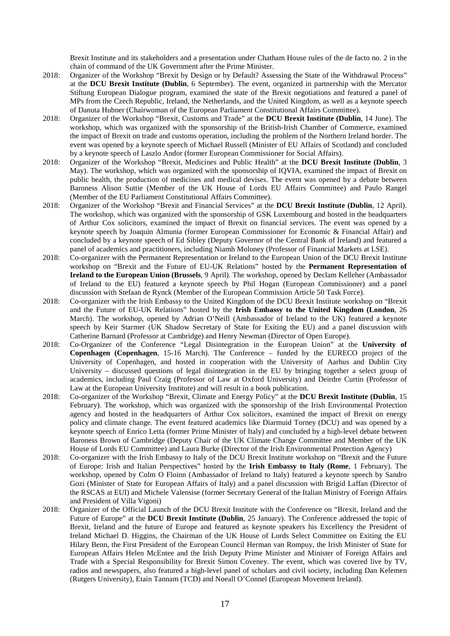Brexit Institute and its stakeholders and a presentation under Chatham House rules of the de facto no. 2 in the chain of command of the UK Government after the Prime Minister.

- 2018: Organizer of the Workshop "Brexit by Design or by Default? Assessing the State of the Withdrawal Process" at the **DCU Brexit Institute (Dublin**, 6 September). The event, organized in partnership with the Mercator Stiftung European Dialogue program, examined the state of the Brexit negotiations and featured a panel of MPs from the Czech Republic, Ireland, the Netherlands, and the United Kingdom, as well as a keynote speech of Danuta Hubner (Chairwoman of the European Parliament Constitutional Affairs Committee).
- 2018: Organizer of the Workshop "Brexit, Customs and Trade" at the **DCU Brexit Institute (Dublin**, 14 June). The workshop, which was organized with the sponsorship of the British-Irish Chamber of Commerce, examined the impact of Brexit on trade and customs operation, including the problem of the Northern Ireland border. The event was opened by a keynote speech of Michael Russell (Minister of EU Affairs of Scotland) and concluded by a keynote speech of Laszlo Andor (former European Commissioner for Social Affairs).
- 2018: Organizer of the Workshop "Brexit, Medicines and Public Health" at the **DCU Brexit Institute (Dublin**, 3 May). The workshop, which was organized with the sponsorship of IQVIA, examined the impact of Brexit on public health, the production of medicines and medical devises. The event was opened by a debate between Baroness Alison Suttie (Member of the UK House of Lords EU Affairs Committee) and Paulo Rangel (Member of the EU Parliament Constitutional Affairs Committee).
- 2018: Organizer of the Workshop "Brexit and Financial Services" at the **DCU Brexit Institute (Dublin**, 12 April). The workshop, which was organized with the sponsorship of GSK Luxembourg and hosted in the headquarters of Arthur Cox solicitors, examined the impact of Brexit on financial services. The event was opened by a keynote speech by Joaquin Almunia (former European Commissioner for Economic & Financial Affair) and concluded by a keynote speech of Ed Sibley (Deputy Governor of the Central Bank of Ireland) and featured a panel of academics and practitioners, including Niamh Moloney (Professor of Financial Markets at LSE).
- 2018: Co-organizer with the Permanent Representation or Ireland to the European Union of the DCU Brexit Institute workshop on "Brexit and the Future of EU-UK Relations" hosted by the **Permanent Representation of Ireland to the European Union (Brussels**, 9 April). The workshop, opened by Declam Kelleher (Ambassador of Ireland to the EU) featured a keynote speech by Phil Hogan (European Commissioner) and a panel discussion with Stefaan de Rynck (Member of the European Commission Article 50 Task Force).
- 2018: Co-organizer with the Irish Embassy to the United Kingdom of the DCU Brexit Institute workshop on "Brexit and the Future of EU-UK Relations" hosted by the **Irish Embassy to the United Kingdom (London**, 26 March). The workshop, opened by Adrian O'Neill (Ambassador of Ireland to the UK) featured a keynote speech by Keir Starmer (UK Shadow Secretary of State for Exiting the EU) and a panel discussion with Catherine Barnard (Professor at Cambridge) and Henry Newman (Director of Open Europe).
- 2018: Co-Organizer of the Conference "Legal Disintegration in the European Union" at the **University of Copenhagen (Copenhagen**, 15-16 March). The Conference – funded by the EURECO project of the University of Copenhagen, and hosted in cooperation with the University of Aarhus and Dublin City University – discussed questions of legal disintegration in the EU by bringing together a select group of academics, including Paul Craig (Professor of Law at Oxford University) and Deirdre Curtin (Professor of Law at the European University Institute) and will result in a book publication.
- 2018: Co-organizer of the Workshop "Brexit, Climate and Energy Policy" at the **DCU Brexit Institute (Dublin**, 15 February). The workshop, which was organized with the sponsorship of the Irish Environmental Protection agency and hosted in the headquarters of Arthur Cox solicitors, examined the impact of Brexit on energy policy and climate change. The event featured academics like Diarmuid Torney (DCU) and was opened by a keynote speech of Enrico Letta (former Prime Minister of Italy) and concluded by a high-level debate between Baroness Brown of Cambridge (Deputy Chair of the UK Climate Change Committee and Member of the UK House of Lords EU Committee) and Laura Burke (Director of the Irish Environmental Protection Agency)
- 2018: Co-organizer with the Irish Embassy to Italy of the DCU Brexit Institute workshop on "Brexit and the Future of Europe: Irish and Italian Perspectives" hosted by the **Irish Embassy to Italy (Rome**, 1 February). The workshop, opened by Colm O Floinn (Ambassador of Ireland to Italy) featured a keynote speech by Sandro Gozi (Minister of State for European Affairs of Italy) and a panel discussion with Brigid Laffan (Director of the RSCAS at EUI) and Michele Valensise (former Secretary General of the Italian Ministry of Foreign Affairs and President of Villa Vigoni)
- 2018: Organizer of the Official Launch of the DCU Brexit Institute with the Conference on "Brexit, Ireland and the Future of Europe" at the **DCU Brexit Institute (Dublin**, 25 January). The Conference addressed the topic of Brexit, Ireland and the future of Europe and featured as keynote speakers his Excellency the President of Ireland Michael D. Higgins, the Chairman of the UK House of Lords Select Committee on Exiting the EU Hilary Benn, the First President of the European Council Herman van Rompuy, the Irish Minister of State for European Affairs Helen McEntee and the Irish Deputy Prime Minister and Minister of Foreign Affairs and Trade with a Special Responsibility for Brexit Simon Coveney. The event, which was covered live by TV, radios and newspapers, also featured a high-level panel of scholars and civil society, including Dan Kelemen (Rutgers University), Etain Tannam (TCD) and Noeall O'Connel (European Movement Ireland).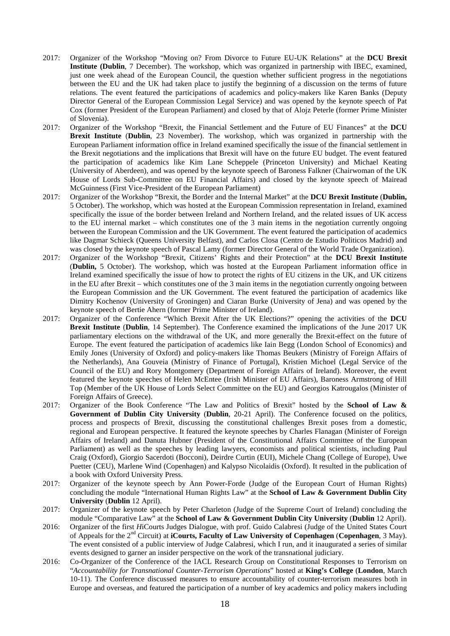- 2017: Organizer of the Workshop "Moving on? From Divorce to Future EU-UK Relations" at the **DCU Brexit Institute (Dublin**, 7 December). The workshop, which was organized in partnership with IBEC, examined, just one week ahead of the European Council, the question whether sufficient progress in the negotiations between the EU and the UK had taken place to justify the beginning of a discussion on the terms of future relations. The event featured the participations of academics and policy-makers like Karen Banks (Deputy Director General of the European Commission Legal Service) and was opened by the keynote speech of Pat Cox (former President of the European Parliament) and closed by that of Alojz Peterle (former Prime Minister of Slovenia).
- 2017: Organizer of the Workshop "Brexit, the Financial Settlement and the Future of EU Finances" at the **DCU Brexit Institute** (**Dublin**, 23 November). The workshop, which was organized in partnership with the European Parliament information office in Ireland examined specifically the issue of the financial settlement in the Brexit negotiations and the implications that Brexit will have on the future EU budget. The event featured the participation of academics like Kim Lane Scheppele (Princeton University) and Michael Keating (University of Aberdeen), and was opened by the keynote speech of Baroness Falkner (Chairwoman of the UK House of Lords Sub-Committee on EU Financial Affairs) and closed by the keynote speech of Mairead McGuinness (First Vice-President of the European Parliament)
- 2017: Organizer of the Workshop "Brexit, the Border and the Internal Market" at the **DCU Brexit Institute** (**Dublin,** 5 October). The workshop, which was hosted at the European Commission representation in Ireland, examined specifically the issue of the border between Ireland and Northern Ireland, and the related issues of UK access to the EU internal market – which constitutes one of the 3 main items in the negotiation currently ongoing between the European Commission and the UK Government. The event featured the participation of academics like Dagmar Schieck (Queens University Belfast), and Carlos Closa (Centro de Estudio Politicos Madrid) and was closed by the keynote speech of Pascal Lamy (former Director General of the World Trade Organization).
- 2017: Organizer of the Workshop "Brexit, Citizens' Rights and their Protection" at the **DCU Brexit Institute**  (**Dublin,** 5 October). The workshop, which was hosted at the European Parliament information office in Ireland examined specifically the issue of how to protect the rights of EU citizens in the UK, and UK citizens in the EU after Brexit – which constitutes one of the 3 main items in the negotiation currently ongoing between the European Commission and the UK Government. The event featured the participation of academics like Dimitry Kochenov (University of Groningen) and Ciaran Burke (University of Jena) and was opened by the keynote speech of Bertie Ahern (former Prime Minister of Ireland).
- 2017: Organizer of the Conference "Which Brexit After the UK Elections?" opening the activities of the **DCU** Brexit Institute (Dublin, 14 September). The Conference examined the implications of the June 2017 UK parliamentary elections on the withdrawal of the UK, and more generally the Brexit-effect on the future of Europe. The event featured the participation of academics like Iain Begg (London School of Economics) and Emily Jones (University of Oxford) and policy-makers like Thomas Beukers (Ministry of Foreign Affairs of the Netherlands), Ana Gouveia (Ministry of Finance of Portugal), Kristien Michoel (Legal Service of the Council of the EU) and Rory Montgomery (Department of Foreign Affairs of Ireland). Moreover, the event featured the keynote speeches of Helen McEntee (Irish Minister of EU Affairs), Baroness Armstrong of Hill Top (Member of the UK House of Lords Select Committee on the EU) and Georgios Katrougalos (Minister of Foreign Affairs of Greece).
- 2017: Organizer of the Book Conference "The Law and Politics of Brexit" hosted by the **School of Law & Government of Dublin City University** (**Dublin**, 20-21 April). The Conference focused on the politics, process and prospects of Brexit, discussing the constitutional challenges Brexit poses from a domestic, regional and European perspective. It featured the keynote speeches by Charles Flanagan (Minister of Foreign Affairs of Ireland) and Danuta Hubner (President of the Constitutional Affairs Committee of the European Parliament) as well as the speeches by leading lawyers, economists and political scientists, including Paul Craig (Oxford), Giorgio Sacerdoti (Bocconi), Deirdre Curtin (EUI), Michele Chang (College of Europe), Uwe Puetter (CEU), Marlene Wind (Copenhagen) and Kalypso Nicolaidis (Oxford). It resulted in the publication of a book with Oxford University Press.
- 2017: Organizer of the keynote speech by Ann Power-Forde (Judge of the European Court of Human Rights) concluding the module "International Human Rights Law" at the **School of Law & Government Dublin City University** (**Dublin** 12 April).
- 2017: Organizer of the keynote speech by Peter Charleton (Judge of the Supreme Court of Ireland) concluding the module "Comparative Law" at the **School of Law & Government Dublin City University** (**Dublin** 12 April).
- 2016: Organizer of the first *H*iCourts Judges Dialogue, with prof. Guido Calabresi (Judge of the United States Court of Appeals for the 2nd Circuit) at **iCourts, Faculty of Law University of Copenhagen** (**Copenhagen**, 3 May). The event consisted of a public interview of Judge Calabresi, which I run, and it inaugurated a series of similar events designed to garner an insider perspective on the work of the transnational judiciary.
- 2016: Co-Organizer of the Conference of the IACL Research Group on Constitutional Responses to Terrorism on "*Accountability for Transnational Counter-Terrorism Operations*" hosted at **King's College** (**London**, March 10-11). The Conference discussed measures to ensure accountability of counter-terrorism measures both in Europe and overseas, and featured the participation of a number of key academics and policy makers including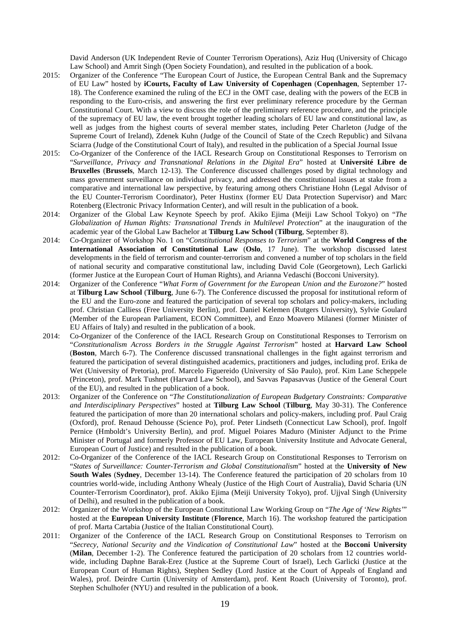David Anderson (UK Independent Revie of Counter Terrorism Operations), Aziz Huq (University of Chicago Law School) and Amrit Singh (Open Society Foundation), and resulted in the publication of a book.

- 2015: Organizer of the Conference "The European Court of Justice, the European Central Bank and the Supremacy of EU Law" hosted by **iCourts, Faculty of Law University of Copenhagen** (**Copenhagen**, September 17- 18). The Conference examined the ruling of the ECJ in the OMT case, dealing with the powers of the ECB in responding to the Euro-crisis, and answering the first ever preliminary reference procedure by the German Constitutional Court. With a view to discuss the role of the preliminary reference procedure, and the principle of the supremacy of EU law, the event brought together leading scholars of EU law and constitutional law, as well as judges from the highest courts of several member states, including Peter Charleton (Judge of the Supreme Court of Ireland), Zdenek Kuhn (Judge of the Council of State of the Czech Republic) and Silvana Sciarra (Judge of the Constitutional Court of Italy), and resulted in the publication of a Special Journal Issue
- 2015: Co-Organizer of the Conference of the IACL Research Group on Constitutional Responses to Terrorism on "*Surveillance, Privacy and Transnational Relations in the Digital Era*" hosted at **Université Libre de Bruxelles** (**Brussels**, March 12-13). The Conference discussed challenges posed by digital technology and mass government surveillance on individual privacy, and addressed the constitutional issues at stake from a comparative and international law perspective, by featuring among others Christiane Hohn (Legal Advisor of the EU Counter-Terrorism Coordinator), Peter Hustinx (former EU Data Protection Supervisor) and Marc Rotenberg (Electronic Privacy Information Center), and will result in the publication of a book.
- 2014: Organizer of the Global Law Keynote Speech by prof. Akiko Ejima (Meiji Law School Tokyo) on "*The Globalization of Human Rights: Transnational Trends in Multilevel Protection*" at the inauguration of the academic year of the Global Law Bachelor at **Tilburg Law School** (**Tilburg**, September 8).
- 2014: Co-Organizer of Workshop No. 1 on "*Constitutional Responses to Terrorism*" at the **World Congress of the International Association of Constitutional Law** (**Oslo**, 17 June). The workshop discussed latest developments in the field of terrorism and counter-terrorism and convened a number of top scholars in the field of national security and comparative constitutional law, including David Cole (Georgetown), Lech Garlicki (former Justice at the European Court of Human Rights), and Arianna Vedaschi (Bocconi University).
- 2014: Organizer of the Conference "*What Form of Government for the European Union and the Eurozone?*" hosted at **Tilburg Law School** (**Tilburg**, June 6-7). The Conference discussed the proposal for institutional reform of the EU and the Euro-zone and featured the participation of several top scholars and policy-makers, including prof. Christian Calliess (Free University Berlin), prof. Daniel Kelemen (Rutgers University), Sylvie Goulard (Member of the European Parliament, ECON Committee), and Enzo Moavero Milanesi (former Minister of EU Affairs of Italy) and resulted in the publication of a book.
- 2014: Co-Organizer of the Conference of the IACL Research Group on Constitutional Responses to Terrorism on "*Constitutionalism Across Borders in the Struggle Against Terrorism*" hosted at **Harvard Law School** (**Boston**, March 6-7). The Conference discussed transnational challenges in the fight against terrorism and featured the participation of several distinguished academics, practitioners and judges, including prof. Erika de Wet (University of Pretoria), prof. Marcelo Figuereido (University of São Paulo), prof. Kim Lane Scheppele (Princeton), prof. Mark Tushnet (Harvard Law School), and Savvas Papasavvas (Justice of the General Court of the EU), and resulted in the publication of a book.
- 2013: Organizer of the Conference on "*The Constitutionalization of European Budgetary Constraints: Comparative and Interdisciplinary Perspectives*" hosted at **Tilburg Law School** (**Tilburg**, May 30-31). The Conference featured the participation of more than 20 international scholars and policy-makers, including prof. Paul Craig (Oxford), prof. Renaud Dehousse (Science Po), prof. Peter Lindseth (Connecticut Law School), prof. Ingolf Pernice (Hmboldt's University Berlin), and prof. Miguel Poiares Maduro (Minister Adjunct to the Prime Minister of Portugal and formerly Professor of EU Law, European University Institute and Advocate General, European Court of Justice) and resulted in the publication of a book.
- 2012: Co-Organizer of the Conference of the IACL Research Group on Constitutional Responses to Terrorism on "*States of Surveillance: Counter-Terrorism and Global Constitutionalism*" hosted at the **University of New South Wales** (**Sydney**, December 13-14). The Conference featured the participation of 20 scholars from 10 countries world-wide, including Anthony Whealy (Justice of the High Court of Australia), David Scharia (UN Counter-Terrorism Coordinator), prof. Akiko Ejima (Meiji University Tokyo), prof. Ujjval Singh (University of Delhi), and resulted in the publication of a book.
- 2012: Organizer of the Workshop of the European Constitutional Law Working Group on "*The Age of 'New Rights'*" hosted at the **European University Institute** (**Florence**, March 16). The workshop featured the participation of prof. Marta Cartabia (Justice of the Italian Constitutional Court).
- 2011: Organizer of the Conference of the IACL Research Group on Constitutional Responses to Terrorism on "*Secrecy, National Security and the Vindication of Constitutional Law*" hosted at the **Bocconi University** (**Milan**, December 1-2). The Conference featured the participation of 20 scholars from 12 countries worldwide, including Daphne Barak-Erez (Justice at the Supreme Court of Israel), Lech Garlicki (Justice at the European Court of Human Rights), Stephen Sedley (Lord Justice at the Court of Appeals of England and Wales), prof. Deirdre Curtin (University of Amsterdam), prof. Kent Roach (University of Toronto), prof. Stephen Schulhofer (NYU) and resulted in the publication of a book.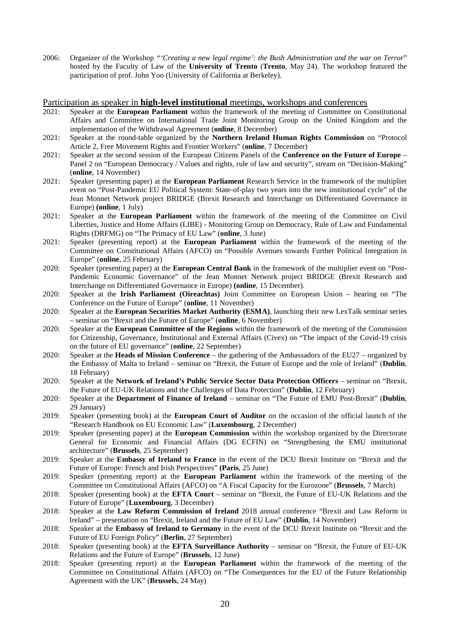2006: Organizer of the Workshop *"'Creating a new legal regime': the Bush Administration and the war on Terror*" hosted by the Faculty of Law of the **University of Trento** (**Trento**, May 24). The workshop featured the participation of prof. John Yoo (University of California at Berkeley).

### Participation as speaker in **high-level institutional** meetings, workshops and conferences

- 2021: Speaker at the **European Parliament** within the framework of the meeting of Committee on Constitutional Affairs and Committee on International Trade Joint Monitoring Group on the United Kingdom and the implementation of the Withdrawal Agreement (**online**, 8 December)
- 2021: Speaker at the round-table organized by the **Northern Ireland Human Rights Commission** on "Protocol Article 2, Free Movement Rights and Frontier Workers" (**online**, 7 December)
- 2021: Speaker at the second session of the European Citizens Panels of the **Conference on the Future of Europe** Panel 2 on "European Democracy / Values and rights, rule of law and security", stream on "Decision-Making" (**online**, 14 November)
- 2021: Speaker (presenting paper) at the **European Parliament** Research Service in the framework of the multiplier event on "Post-Pandemic EU Political System: State-of-play two years into the new institutional cycle" of the Jean Monnet Network project BRIDGE (Brexit Research and Interchange on Differentiated Governance in Europe) **(online**, 1 July)
- 2021: Speaker at the **European Parliament** within the framework of the meeting of the Committee on Civil Liberties, Justice and Home Affairs (LIBE) - Monitoring Group on Democracy, Rule of Law and Fundamental Rights (DRFMG) on "The Primacy of EU Law" (**online**, 3 June)
- 2021: Speaker (presenting report) at the **European Parliament** within the framework of the meeting of the Committee on Constitutional Affairs (AFCO) on "Possible Avenues towards Further Political Integration in Europe" (**online**, 25 February)
- 2020: Speaker (presenting paper) at the **European Central Bank** in the framework of the multiplier event on "Post-Pandemic Economic Governance" of the Jean Monnet Network project BRIDGE (Brexit Research and Interchange on Differentiated Governance in Europe) **(online**, 15 December).
- 2020: Speaker at the **Irish Parliament (Oireachtas)** Joint Committee on European Union hearing on "The Conference on the Future of Europe" (**online**, 11 November)
- 2020: Speaker at the **European Securities Market Authority (ESMA)**, launching their new LexTalk seminar series – seminar on "Brexit and the Future of Europe" (**online**, 6 November)
- 2020: Speaker at the **European Committee of the Regions** within the framework of the meeting of the Commission for Citizenship, Governance, Institutional and External Affairs (Civex) on "The impact of the Covid-19 crisis on the future of EU governance" (**online**, 22 September)
- 2020: Speaker at the **Heads of Mission Conference** the gathering of the Ambassadors of the EU27 organized by the Embassy of Malta to Ireland – seminar on "Brexit, the Future of Europe and the role of Ireland" (**Dublin**, 18 February)
- 2020: Speaker at the **Network of Ireland's Public Service Sector Data Protection Officers** seminar on "Brexit, the Future of EU-UK Relations and the Challenges of Data Protection" (**Dublin**, 12 February)
- 2020: Speaker at the **Department of Finance of Ireland** seminar on "The Future of EMU Post-Brexit" (**Dublin**, 29 January)
- 2019: Speaker (presenting book) at the **European Court of Auditor** on the occasion of the official launch of the "Research Handbook on EU Economic Law" (**Luxembourg**, 2 December)
- 2019: Speaker (presenting paper) at the **European Commission** within the workshop organized by the Directorate General for Economic and Financial Affairs (DG ECFIN) on "Strengthening the EMU institutional architecture" (**Brussels**, 25 September)
- 2019: Speaker at the **Embassy of Ireland to France** in the event of the DCU Brexit Institute on "Brexit and the Future of Europe: French and Irish Perspectives" **(Paris**, 25 June)
- 2019: Speaker (presenting report) at the **European Parliament** within the framework of the meeting of the Committee on Constitutional Affairs (AFCO) on "A Fiscal Capacity for the Eurozone" (**Brussels**, 7 March)
- 2018: Speaker (presenting book) at the **EFTA Court** seminar on "Brexit, the Future of EU-UK Relations and the Future of Europe" (**Luxembourg**, 3 December)
- 2018: Speaker at the **Law Reform Commission of Ireland** 2018 annual conference "Brexit and Law Reform in Ireland" – presentation on "Brexit, Ireland and the Future of EU Law" (**Dublin**, 14 November)
- 2018: Speaker at the **Embassy of Ireland to Germany** in the event of the DCU Brexit Institute on "Brexit and the Future of EU Foreign Policy" (**Berlin**, 27 September)
- 2018: Speaker (presenting book) at the **EFTA Surveillance Authority** seminar on "Brexit, the Future of EU-UK Relations and the Future of Europe" (**Brussels**, 12 June)
- 2018: Speaker (presenting report) at the **European Parliament** within the framework of the meeting of the Committee on Constitutional Affairs (AFCO) on "The Consequences for the EU of the Future Relationship Agreement with the UK" (**Brussels**, 24 May)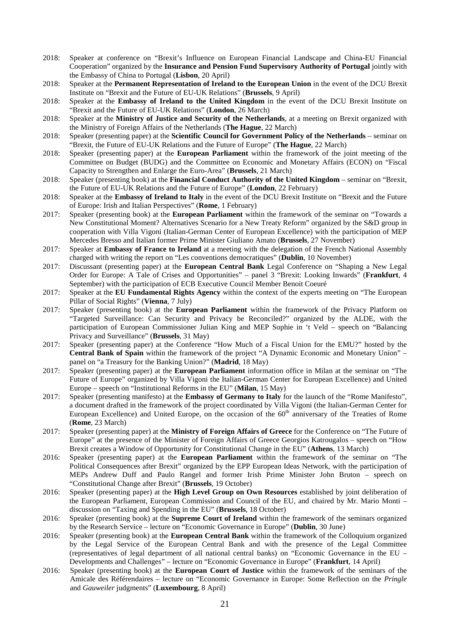- 2018: Speaker at conference on "Brexit's Influence on European Financial Landscape and China-EU Financial Cooperation" organized by the **Insurance and Pension Fund Supervisory Authority of Portugal** jointly with the Embassy of China to Portugal (**Lisbon**, 20 April)
- 2018: Speaker at the **Permanent Representation of Ireland to the European Union** in the event of the DCU Brexit Institute on "Brexit and the Future of EU-UK Relations" (**Brussels**, 9 April)
- 2018: Speaker at the **Embassy of Ireland to the United Kingdom** in the event of the DCU Brexit Institute on "Brexit and the Future of EU-UK Relations" (**London**, 26 March)
- 2018: Speaker at the **Ministry of Justice and Security of the Netherlands**, at a meeting on Brexit organized with the Ministry of Foreign Affairs of the Netherlands (**The Hague**, 22 March)
- 2018: Speaker (presenting paper) at the **Scientific Council for Government Policy of the Netherlands** seminar on "Brexit, the Future of EU-UK Relations and the Future of Europe" (**The Hague**, 22 March)
- 2018: Speaker (presenting paper) at the **European Parliament** within the framework of the joint meeting of the Committee on Budget (BUDG) and the Committee on Economic and Monetary Affairs (ECON) on "Fiscal Capacity to Strengthen and Enlarge the Euro-Area" (**Brussels**, 21 March)
- 2018: Speaker (presenting book) at the **Financial Conduct Authority of the United Kingdom** seminar on "Brexit, the Future of EU-UK Relations and the Future of Europe" (**London**, 22 February)
- 2018: Speaker at the **Embassy of Ireland to Italy** in the event of the DCU Brexit Institute on "Brexit and the Future of Europe: Irish and Italian Perspectives" (**Rome**, 1 February)
- 2017: Speaker (presenting book) at the **European Parliament** within the framework of the seminar on "Towards a New Constitutional Moment? Alternatives Scenario for a New Treaty Reform" organized by the S&D group in cooperation with Villa Vigoni (Italian-German Center of European Excellence) with the participation of MEP Mercedes Bresso and Italian former Prime Minister Giuliano Amato (**Brussels**, 27 November)
- 2017: Speaker at **Embassy of France to Ireland** at a meeting with the delegation of the French National Assembly charged with writing the report on "Les conventions democratiques" (**Dublin**, 10 November)
- 2017: Discussant (presenting paper) at the **European Central Bank** Legal Conference on "Shaping a New Legal Order for Europe: A Tale of Crises and Opportunities" – panel 3 "Brexit: Looking Inwards" (**Frankfurt**, 4 September) with the participation of ECB Executive Council Member Benoit Coeuré
- 2017: Speaker at the **EU Fundamental Rights Agency** within the context of the experts meeting on "The European Pillar of Social Rights" (**Vienna**, 7 July)
- 2017: Speaker (presenting book) at the **European Parliament** within the framework of the Privacy Platform on "Targeted Surveillance: Can Security and Privacy be Reconciled?" organized by the ALDE, with the participation of European Commissioner Julian King and MEP Sophie in 't Veld – speech on "Balancing Privacy and Surveillance" (**Brussels**, 31 May)
- 2017: Speaker (presenting paper) at the Conference "How Much of a Fiscal Union for the EMU?" hosted by the **Central Bank of Spain** within the framework of the project "A Dynamic Economic and Monetary Union" – panel on "a Treasury for the Banking Union?" (**Madrid**, 18 May)
- 2017: Speaker (presenting paper) at the **European Parliament** information office in Milan at the seminar on "The Future of Europe" organized by Villa Vigoni the Italian-German Center for European Excellence) and United Europe – speech on "Institutional Reforms in the EU" (**Milan**, 15 May)
- 2017: Speaker (presenting manifesto) at the **Embassy of Germany to Italy** for the launch of the "Rome Manifesto", a document drafted in the framework of the project coordinated by Villa Vigoni (the Italian-German Center for European Excellence) and United Europe, on the occasion of the 60<sup>th</sup> anniversary of the Treaties of Rome (**Rome**, 23 March)
- 2017: Speaker (presenting paper) at the **Ministry of Foreign Affairs of Greece** for the Conference on "The Future of Europe" at the presence of the Minister of Foreign Affairs of Greece Georgios Katrougalos – speech on "How Brexit creates a Window of Opportunity for Constitutional Change in the EU" (**Athens**, 13 March)
- 2016: Speaker (presenting paper) at the **European Parliament** within the framework of the seminar on "The Political Consequences after Brexit" organized by the EPP European Ideas Network, with the participation of MEPs Andrew Duff and Paulo Rangel and former Irish Prime Minister John Bruton – speech on "Constitutional Change after Brexit" (**Brussels**, 19 October)
- 2016: Speaker (presenting paper) at the **High Level Group on Own Resources** established by joint deliberation of the European Parliament, European Commission and Council of the EU, and chaired by Mr. Mario Monti – discussion on "Taxing and Spending in the EU" (**Brussels**, 18 October)
- 2016: Speaker (presenting book) at the **Supreme Court of Ireland** within the framework of the seminars organized by the Research Service – lecture on "Economic Governance in Europe" (**Dublin**, 30 June)
- 2016: Speaker (presenting book) at the **European Central Bank** within the framework of the Colloquium organized by the Legal Service of the European Central Bank and with the presence of the Legal Committee (representatives of legal department of all national central banks) on "Economic Governance in the EU – Developments and Challenges" – lecture on "Economic Governance in Europe" (**Frankfurt**, 14 April)
- 2016: Speaker (presenting book) at the **European Court of Justice** within the framework of the seminars of the Amicale des Référendaires – lecture on "Economic Governance in Europe: Some Reflection on the *Pringle* and *Gauweiler* judgments" (**Luxembourg**, 8 April)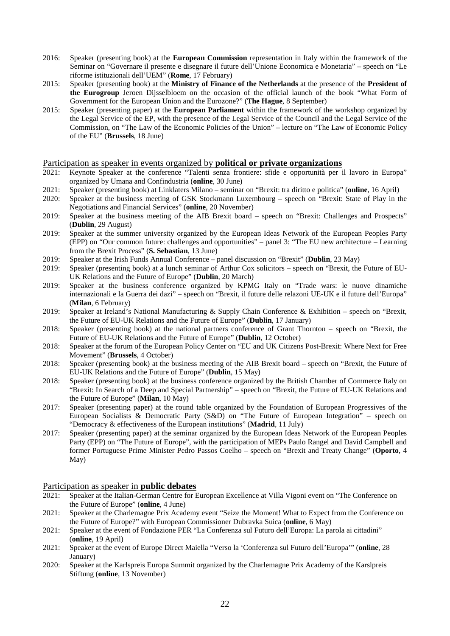- 2016: Speaker (presenting book) at the **European Commission** representation in Italy within the framework of the Seminar on "Governare il presente e disegnare il future dell'Unione Economica e Monetaria" – speech on "Le riforme istituzionali dell'UEM" (**Rome**, 17 February)
- 2015: Speaker (presenting book) at the **Ministry of Finance of the Netherlands** at the presence of the **President of the Eurogroup** Jeroen Dijsselbloem on the occasion of the official launch of the book "What Form of Government for the European Union and the Eurozone?" (**The Hague**, 8 September)
- 2015: Speaker (presenting paper) at the **European Parliament** within the framework of the workshop organized by the Legal Service of the EP, with the presence of the Legal Service of the Council and the Legal Service of the Commission, on "The Law of the Economic Policies of the Union" – lecture on "The Law of Economic Policy of the EU" (**Brussels**, 18 June)

### Participation as speaker in events organized by **political or private organizations**

- 2021: Keynote Speaker at the conference "Talenti senza frontiere: sfide e opportunità per il lavoro in Europa" organized by Umana and Confindustria (**online**, 30 June)
- 2021: Speaker (presenting book) at Linklaters Milano seminar on "Brexit: tra diritto e politica" (**online**, 16 April)
- 2020: Speaker at the business meeting of GSK Stockmann Luxembourg speech on "Brexit: State of Play in the Negotiations and Financial Services" (**online**, 20 November)
- 2019: Speaker at the business meeting of the AIB Brexit board speech on "Brexit: Challenges and Prospects" (**Dublin**, 29 August)
- 2019: Speaker at the summer university organized by the European Ideas Network of the European Peoples Party (EPP) on "Our common future: challenges and opportunities" – panel 3: "The EU new architecture – Learning from the Brexit Process" (**S. Sebastian**, 13 June)
- 2019: Speaker at the Irish Funds Annual Conference panel discussion on "Brexit" (**Dublin**, 23 May)
- 2019: Speaker (presenting book) at a lunch seminar of Arthur Cox solicitors speech on "Brexit, the Future of EU-UK Relations and the Future of Europe" (**Dublin**, 20 March)
- 2019: Speaker at the business conference organized by KPMG Italy on "Trade wars: le nuove dinamiche internazionali e la Guerra dei dazi" – speech on "Brexit, il future delle relazoni UE-UK e il future dell'Europa" (**Milan**, 6 February)
- 2019: Speaker at Ireland's National Manufacturing & Supply Chain Conference & Exhibition speech on "Brexit, the Future of EU-UK Relations and the Future of Europe" (**Dublin**, 17 January)
- 2018: Speaker (presenting book) at the national partners conference of Grant Thornton speech on "Brexit, the Future of EU-UK Relations and the Future of Europe" (**Dublin**, 12 October)
- 2018: Speaker at the forum of the European Policy Center on "EU and UK Citizens Post-Brexit: Where Next for Free Movement" (**Brussels**, 4 October)
- 2018: Speaker (presenting book) at the business meeting of the AIB Brexit board speech on "Brexit, the Future of EU-UK Relations and the Future of Europe" (**Dublin**, 15 May)
- 2018: Speaker (presenting book) at the business conference organized by the British Chamber of Commerce Italy on "Brexit: In Search of a Deep and Special Partnership" – speech on "Brexit, the Future of EU-UK Relations and the Future of Europe" (**Milan**, 10 May)
- 2017: Speaker (presenting paper) at the round table organized by the Foundation of European Progressives of the European Socialists & Democratic Party (S&D) on "The Future of European Integration" – speech on "Democracy & effectiveness of the European institutions" (**Madrid**, 11 July)
- 2017: Speaker (presenting paper) at the seminar organized by the European Ideas Network of the European Peoples Party (EPP) on "The Future of Europe", with the participation of MEPs Paulo Rangel and David Campbell and former Portuguese Prime Minister Pedro Passos Coelho – speech on "Brexit and Treaty Change" (**Oporto**, 4 May)

# Participation as speaker in **public debates**

- 2021: Speaker at the Italian-German Centre for European Excellence at Villa Vigoni event on "The Conference on the Future of Europe" (**online**, 4 June)
- 2021: Speaker at the Charlemagne Prix Academy event "Seize the Moment! What to Expect from the Conference on the Future of Europe?" with European Commissioner Dubravka Suica (**online**, 6 May)
- 2021: Speaker at the event of Fondazione PER "La Conferenza sul Futuro dell'Europa: La parola ai cittadini" (**online**, 19 April)
- 2021: Speaker at the event of Europe Direct Maiella "Verso la 'Conferenza sul Futuro dell'Europa'" (**online**, 28 January)
- 2020: Speaker at the Karlspreis Europa Summit organized by the Charlemagne Prix Academy of the Karslpreis Stiftung (**online**, 13 November)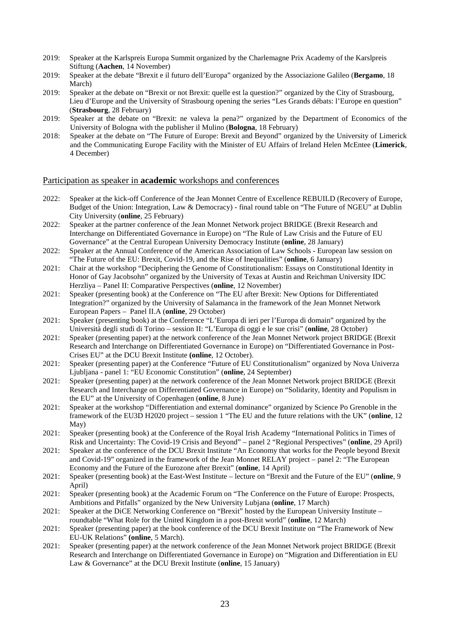- 2019: Speaker at the Karlspreis Europa Summit organized by the Charlemagne Prix Academy of the Karslpreis Stiftung (**Aachen**, 14 November)
- 2019: Speaker at the debate "Brexit e il futuro dell'Europa" organized by the Associazione Galileo (**Bergamo**, 18 March)
- 2019: Speaker at the debate on "Brexit or not Brexit: quelle est la question?" organized by the City of Strasbourg, Lieu d'Europe and the University of Strasbourg opening the series "Les Grands débats: l'Europe en question" (**Strasbourg**, 28 February)
- 2019: Speaker at the debate on "Brexit: ne valeva la pena?" organized by the Department of Economics of the University of Bologna with the publisher il Mulino (**Bologna**, 18 February)
- 2018: Speaker at the debate on "The Future of Europe: Brexit and Beyond" organized by the University of Limerick and the Communicating Europe Facility with the Minister of EU Affairs of Ireland Helen McEntee (**Limerick**, 4 December)

### Participation as speaker in **academic** workshops and conferences

- 2022: Speaker at the kick-off Conference of the Jean Monnet Centre of Excellence REBUILD (Recovery of Europe, Budget of the Union: Integration, Law & Democracy) - final round table on "The Future of NGEU" at Dublin City University (**online**, 25 February)
- 2022: Speaker at the partner conference of the Jean Monnet Network project BRIDGE (Brexit Research and Interchange on Differentiated Governance in Europe) on "The Rule of Law Crisis and the Future of EU Governance" at the Central European University Democracy Institute (**online**, 28 January)
- 2022: Speaker at the Annual Conference of the American Association of Law Schools European law session on "The Future of the EU: Brexit, Covid-19, and the Rise of Inequalities" (**online**, 6 January)
- 2021: Chair at the workshop "Deciphering the Genome of Constitutionalism: Essays on Constitutional Identity in Honor of Gay Jacobsohn" organized by the University of Texas at Austin and Reichman University IDC Herzliya – Panel II: Comparative Perspectives (**online**, 12 November)
- 2021: Speaker (presenting book) at the Conference on "The EU after Brexit: New Options for Differentiated Integration?" organized by the University of Salamanca in the framework of the Jean Monnet Network European Papers – Panel II.A (**online**, 29 October)
- 2021: Speaker (presenting book) at the Conference "L'Europa di ieri per l'Europa di domain" organized by the Università degli studi di Torino – session II: "L'Europa di oggi e le sue crisi" (**online**, 28 October)
- 2021: Speaker (presenting paper) at the network conference of the Jean Monnet Network project BRIDGE (Brexit Research and Interchange on Differentiated Governance in Europe) on "Differentiated Governance in Post-Crises EU" at the DCU Brexit Institute **(online**, 12 October).
- 2021: Speaker (presenting paper) at the Conference "Future of EU Constitutionalism" organized by Nova Univerza Ljubljana - panel 1: "EU Economic Constitution" (**online**, 24 September)
- 2021: Speaker (presenting paper) at the network conference of the Jean Monnet Network project BRIDGE (Brexit Research and Interchange on Differentiated Governance in Europe) on "Solidarity, Identity and Populism in the EU" at the University of Copenhagen (**online**, 8 June)
- 2021: Speaker at the workshop "Differentiation and external dominance" organized by Science Po Grenoble in the framework of the EU3D H2020 project – session 1 "The EU and the future relations with the UK" (**online**, 12 May)
- 2021: Speaker (presenting book) at the Conference of the Royal Irish Academy "International Politics in Times of Risk and Uncertainty: The Covid-19 Crisis and Beyond" – panel 2 "Regional Perspectives" (**online**, 29 April)
- 2021: Speaker at the conference of the DCU Brexit Institute "An Economy that works for the People beyond Brexit and Covid-19" organized in the framework of the Jean Monnet RELAY project – panel 2: "The European Economy and the Future of the Eurozone after Brexit" (**online**, 14 April)
- 2021: Speaker (presenting book) at the East-West Institute lecture on "Brexit and the Future of the EU" (**online**, 9 April)
- 2021: Speaker (presenting book) at the Academic Forum on "The Conference on the Future of Europe: Prospects, Ambitions and Pitfalls" organized by the New University Lubjana (**online**, 17 March)
- 2021: Speaker at the DiCE Networking Conference on "Brexit" hosted by the European University Institute roundtable "What Role for the United Kingdom in a post-Brexit world" (**online**, 12 March)
- 2021: Speaker (presenting paper) at the book conference of the DCU Brexit Institute on "The Framework of New EU-UK Relations" **(online**, 5 March).
- 2021: Speaker (presenting paper) at the network conference of the Jean Monnet Network project BRIDGE (Brexit Research and Interchange on Differentiated Governance in Europe) on "Migration and Differentiation in EU Law & Governance" at the DCU Brexit Institute (**online**, 15 January)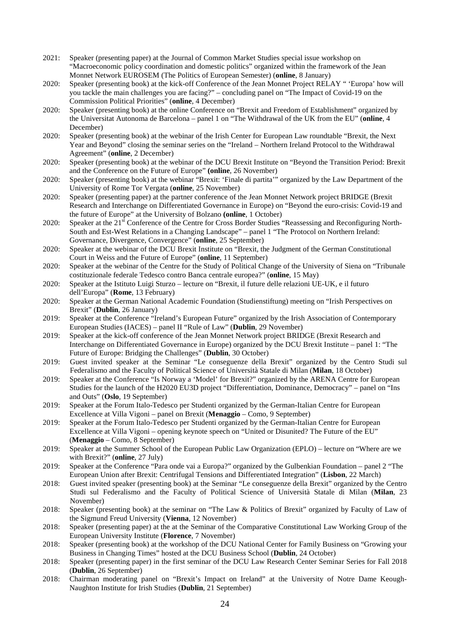- 2021: Speaker (presenting paper) at the Journal of Common Market Studies special issue workshop on "Macroeconomic policy coordination and domestic politics" organized within the framework of the Jean Monnet Network EUROSEM (The Politics of European Semester) (**online**, 8 January)
- 2020: Speaker (presenting book) at the kick-off Conference of the Jean Monnet Project RELAY " 'Europa' how will you tackle the main challenges you are facing?" – concluding panel on "The Impact of Covid-19 on the Commission Political Priorities" (**online**, 4 December)
- 2020: Speaker (presenting book) at the online Conference on "Brexit and Freedom of Establishment" organized by the Universitat Autonoma de Barcelona – panel 1 on "The Withdrawal of the UK from the EU" (**online**, 4 December)
- 2020: Speaker (presenting book) at the webinar of the Irish Center for European Law roundtable "Brexit, the Next Year and Beyond" closing the seminar series on the "Ireland – Northern Ireland Protocol to the Withdrawal Agreement" (**online**, 2 December)
- 2020: Speaker (presenting book) at the webinar of the DCU Brexit Institute on "Beyond the Transition Period: Brexit and the Conference on the Future of Europe" **(online**, 26 November)
- 2020: Speaker (presenting book) at the webinar "Brexit: 'Finale di partita'" organized by the Law Department of the University of Rome Tor Vergata (**online**, 25 November)
- 2020: Speaker (presenting paper) at the partner conference of the Jean Monnet Network project BRIDGE (Brexit Research and Interchange on Differentiated Governance in Europe) on "Beyond the euro-crisis: Covid-19 and the future of Europe" at the University of Bolzano **(online**, 1 October)
- 2020: Speaker at the 21<sup>st</sup> Conference of the Centre for Cross Border Studies "Reassessing and Reconfiguring North-South and Est-West Relations in a Changing Landscape" – panel 1 "The Protocol on Northern Ireland: Governance, Divergence, Convergence" (**online**, 25 September)
- 2020: Speaker at the webinar of the DCU Brexit Institute on "Brexit, the Judgment of the German Constitutional Court in Weiss and the Future of Europe" (**online**, 11 September)
- 2020: Speaker at the webinar of the Centre for the Study of Political Change of the University of Siena on "Tribunale costituzionale federale Tedesco contro Banca centrale europea?" (**online**, 15 May)
- 2020: Speaker at the Istituto Luigi Sturzo lecture on "Brexit, il future delle relazioni UE-UK, e il futuro dell'Europa" (**Rome**, 13 February)
- 2020: Speaker at the German National Academic Foundation (Studienstiftung) meeting on "Irish Perspectives on Brexit" (**Dublin**, 26 January)
- 2019: Speaker at the Conference "Ireland's European Future" organized by the Irish Association of Contemporary European Studies (IACES) – panel II "Rule of Law" (**Dublin**, 29 November)
- 2019: Speaker at the kick-off conference of the Jean Monnet Network project BRIDGE (Brexit Research and Interchange on Differentiated Governance in Europe) organized by the DCU Brexit Institute – panel 1: "The Future of Europe: Bridging the Challenges" (**Dublin**, 30 October)
- 2019: Guest invited speaker at the Seminar "Le conseguenze della Brexit" organized by the Centro Studi sul Federalismo and the Faculty of Political Science of Università Statale di Milan (**Milan**, 18 October)
- 2019: Speaker at the Conference "Is Norway a 'Model' for Brexit?" organized by the ARENA Centre for European Studies for the launch of the H2020 EU3D project "Differentiation, Dominance, Democracy" – panel on "Ins and Outs" (**Oslo**, 19 September)
- 2019: Speaker at the Forum Italo-Tedesco per Studenti organized by the German-Italian Centre for European Excellence at Villa Vigoni – panel on Brexit (**Menaggio** – Como, 9 September)
- 2019: Speaker at the Forum Italo-Tedesco per Studenti organized by the German-Italian Centre for European Excellence at Villa Vigoni – opening keynote speech on "United or Disunited? The Future of the EU" (**Menaggio** – Como, 8 September)
- 2019: Speaker at the Summer School of the European Public Law Organization (EPLO) lecture on "Where are we with Brexit?" (**online**, 27 July)
- 2019: Speaker at the Conference "Para onde vai a Europa?" organized by the Gulbenkian Foundation panel 2 "The European Union after Brexit: Centrifugal Tensions and Differentiated Integration" (**Lisbon**, 22 March)
- 2018: Guest invited speaker (presenting book) at the Seminar "Le conseguenze della Brexit" organized by the Centro Studi sul Federalismo and the Faculty of Political Science of Università Statale di Milan (**Milan**, 23 November)
- 2018: Speaker (presenting book) at the seminar on "The Law & Politics of Brexit" organized by Faculty of Law of the Sigmund Freud University (**Vienna**, 12 November)
- 2018: Speaker (presenting paper) at the at the Seminar of the Comparative Constitutional Law Working Group of the European University Institute (**Florence**, 7 November)
- 2018: Speaker (presenting book) at the workshop of the DCU National Center for Family Business on "Growing your Business in Changing Times" hosted at the DCU Business School (**Dublin**, 24 October)
- 2018: Speaker (presenting paper) in the first seminar of the DCU Law Research Center Seminar Series for Fall 2018 (**Dublin**, 26 September)
- 2018: Chairman moderating panel on "Brexit's Impact on Ireland" at the University of Notre Dame Keough-Naughton Institute for Irish Studies (**Dublin**, 21 September)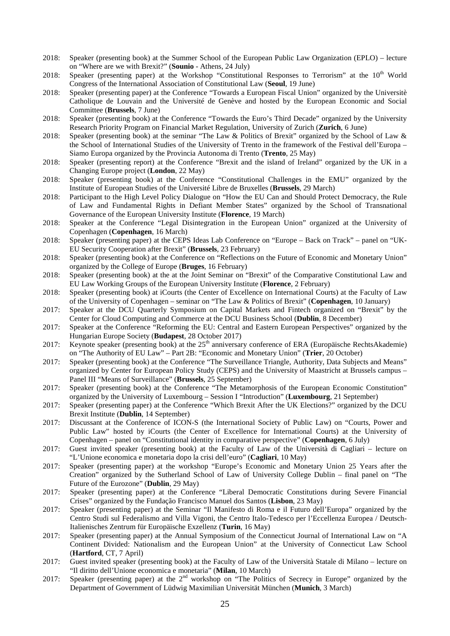- 2018: Speaker (presenting book) at the Summer School of the European Public Law Organization (EPLO) lecture on "Where are we with Brexit?" (**Sounio** - Athens, 24 July)
- 2018: Speaker (presenting paper) at the Workshop "Constitutional Responses to Terrorism" at the 10<sup>th</sup> World Congress of the International Association of Constitutional Law (**Seoul**, 19 June)
- 2018: Speaker (presenting paper) at the Conference "Towards a European Fiscal Union" organized by the Universitè Catholique de Louvain and the Université de Genève and hosted by the European Economic and Social Committee (**Brussels**, 7 June)
- 2018: Speaker (presenting book) at the Conference "Towards the Euro's Third Decade" organized by the University Research Priority Program on Financial Market Regulation, University of Zurich (**Zurich**, 6 June)
- 2018: Speaker (presenting book) at the seminar "The Law & Politics of Brexit" organized by the School of Law & the School of International Studies of the University of Trento in the framework of the Festival dell'Europa – Siamo Europa organized by the Provincia Autonoma di Trento (**Trento**, 25 May)
- 2018: Speaker (presenting report) at the Conference "Brexit and the island of Ireland" organized by the UK in a Changing Europe project (**London**, 22 May)
- 2018: Speaker (presenting book) at the Conference "Constitutional Challenges in the EMU" organized by the Institute of European Studies of the Université Libre de Bruxelles (**Brussels**, 29 March)
- 2018: Participant to the High Level Policy Dialogue on "How the EU Can and Should Protect Democracy, the Rule of Law and Fundamental Rights in Defiant Member States" organized by the School of Transnational Governance of the European University Institute (**Florence**, 19 March)
- 2018: Speaker at the Conference "Legal Disintegration in the European Union" organized at the University of Copenhagen (**Copenhagen**, 16 March)
- 2018: Speaker (presenting paper) at the CEPS Ideas Lab Conference on "Europe Back on Track" panel on "UK-EU Security Cooperation after Brexit" (**Brussels**, 23 February)
- 2018: Speaker (presenting book) at the Conference on "Reflections on the Future of Economic and Monetary Union" organized by the College of Europe (**Bruges**, 16 February)
- 2018: Speaker (presenting book) at the at the Joint Seminar on "Brexit" of the Comparative Constitutional Law and EU Law Working Groups of the European University Institute (**Florence**, 2 February)
- 2018: Speaker (presenting book) at iCourts (the Center of Excellence on International Courts) at the Faculty of Law of the University of Copenhagen – seminar on "The Law & Politics of Brexit" (**Copenhagen**, 10 January)
- 2017: Speaker at the DCU Quarterly Symposium on Capital Markets and Fintech organized on "Brexit" by the Center for Cloud Computing and Commerce at the DCU Business School (**Dublin**, 8 December)
- 2017: Speaker at the Conference "Reforming the EU: Central and Eastern European Perspectives" organized by the Hungarian Europe Society (**Budapest**, 28 October 2017)
- 2017: Keynote speaker (presenting book) at the 25<sup>th</sup> anniversary conference of ERA (Europäische RechtsAkademie) on "The Authority of EU Law" – Part 2B: "Economic and Monetary Union" (**Trier**, 20 October)
- 2017: Speaker (presenting book) at the Conference "The Surveillance Triangle, Authority, Data Subjects and Means" organized by Center for European Policy Study (CEPS) and the University of Maastricht at Brussels campus – Panel III "Means of Surveillance" (**Brussels**, 25 September)
- 2017: Speaker (presenting book) at the Conference "The Metamorphosis of the European Economic Constitution" organized by the University of Luxembourg – Session I "Introduction" (**Luxembourg**, 21 September)
- 2017: Speaker (presenting paper) at the Conference "Which Brexit After the UK Elections?" organized by the DCU Brexit Institute (**Dublin**, 14 September)
- 2017: Discussant at the Conference of ICON-S (the International Society of Public Law) on "Courts, Power and Public Law" hosted by iCourts (the Center of Excellence for International Courts) at the University of Copenhagen – panel on "Constitutional identity in comparative perspective" (**Copenhagen**, 6 July)
- 2017: Guest invited speaker (presenting book) at the Faculty of Law of the Università di Cagliari lecture on "L'Unione economica e monetaria dopo la crisi dell'euro" (**Cagliari**, 10 May)
- 2017: Speaker (presenting paper) at the workshop "Europe's Economic and Monetary Union 25 Years after the Creation" organized by the Sutherland School of Law of University College Dublin – final panel on "The Future of the Eurozone" (**Dublin**, 29 May)
- 2017: Speaker (presenting paper) at the Conference "Liberal Democratic Constitutions during Severe Financial Crises" organized by the Fundação Francisco Manuel dos Santos (**Lisbon**, 23 May)
- 2017: Speaker (presenting paper) at the Seminar "Il Manifesto di Roma e il Futuro dell'Europa" organized by the Centro Studi sul Federalismo and Villa Vigoni, the Centro Italo-Tedesco per l'Eccellenza Europea / Deutsch-Italienisches Zentrum für Europäische Exzellenz (**Turin**, 16 May)
- 2017: Speaker (presenting paper) at the Annual Symposium of the Connecticut Journal of International Law on "A Continent Divided: Nationalism and the European Union" at the University of Connecticut Law School (**Hartford**, CT, 7 April)
- 2017: Guest invited speaker (presenting book) at the Faculty of Law of the Università Statale di Milano lecture on "Il diritto dell'Unione economica e monetaria" (**Milan**, 10 March)
- 2017: Speaker (presenting paper) at the 2<sup>nd</sup> workshop on "The Politics of Secrecy in Europe" organized by the Department of Government of Lüdwig Maximilian Universität München (**Munich**, 3 March)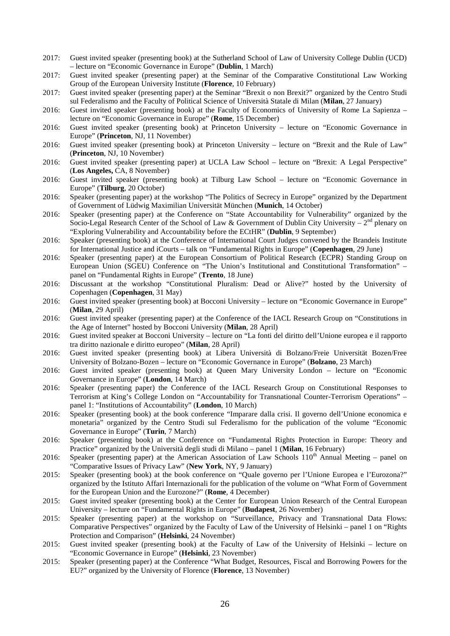- 2017: Guest invited speaker (presenting book) at the Sutherland School of Law of University College Dublin (UCD) – lecture on "Economic Governance in Europe" (**Dublin**, 1 March)
- 2017: Guest invited speaker (presenting paper) at the Seminar of the Comparative Constitutional Law Working Group of the European University Institute (**Florence**, 10 February)
- 2017: Guest invited speaker (presenting paper) at the Seminar "Brexit o non Brexit?" organized by the Centro Studi sul Federalismo and the Faculty of Political Science of Università Statale di Milan (**Milan**, 27 January)
- 2016: Guest invited speaker (presenting book) at the Faculty of Economics of University of Rome La Sapienza lecture on "Economic Governance in Europe" (**Rome**, 15 December)
- 2016: Guest invited speaker (presenting book) at Princeton University lecture on "Economic Governance in Europe" (**Princeton**, NJ, 11 November)
- 2016: Guest invited speaker (presenting book) at Princeton University lecture on "Brexit and the Rule of Law" (**Princeton**, NJ, 10 November)
- 2016: Guest invited speaker (presenting paper) at UCLA Law School lecture on "Brexit: A Legal Perspective" (**Los Angeles,** CA, 8 November)
- 2016: Guest invited speaker (presenting book) at Tilburg Law School lecture on "Economic Governance in Europe" (**Tilburg**, 20 October)
- 2016: Speaker (presenting paper) at the workshop "The Politics of Secrecy in Europe" organized by the Department of Government of Lüdwig Maximilian Universität München (**Munich**, 14 October)
- 2016: Speaker (presenting paper) at the Conference on "State Accountability for Vulnerability" organized by the Socio-Legal Research Center of the School of Law & Government of Dublin City University –  $2<sup>nd</sup>$  plenary on "Exploring Vulnerability and Accountability before the ECtHR" (**Dublin**, 9 September)
- 2016: Speaker (presenting book) at the Conference of International Court Judges convened by the Brandeis Institute for International Justice and iCourts – talk on "Fundamental Rights in Europe" (**Copenhagen**, 29 June)
- 2016: Speaker (presenting paper) at the European Consortium of Political Research (ECPR) Standing Group on European Union (SGEU) Conference on "The Union's Institutional and Constitutional Transformation" – panel on "Fundamental Rights in Europe" (**Trento**, 18 June)
- 2016: Discussant at the workshop "Constitutional Pluralism: Dead or Alive?" hosted by the University of Copenhagen (**Copenhagen**, 31 May)
- 2016: Guest invited speaker (presenting book) at Bocconi University lecture on "Economic Governance in Europe" (**Milan**, 29 April)
- 2016: Guest invited speaker (presenting paper) at the Conference of the IACL Research Group on "Constitutions in the Age of Internet" hosted by Bocconi University (**Milan**, 28 April)
- 2016: Guest invited speaker at Bocconi University lecture on "La fonti del diritto dell'Unione europea e il rapporto tra diritto nazionale e diritto europeo" (**Milan**, 28 April)
- 2016: Guest invited speaker (presenting book) at Libera Università di Bolzano/Freie Universität Bozen/Free University of Bolzano-Bozen – lecture on "Economic Governance in Europe" (**Bolzano**, 23 March)
- 2016: Guest invited speaker (presenting book) at Queen Mary University London lecture on "Economic Governance in Europe" (**London**, 14 March)
- 2016: Speaker (presenting paper) the Conference of the IACL Research Group on Constitutional Responses to Terrorism at King's College London on "Accountability for Transnational Counter-Terrorism Operations" – panel 1: "Institutions of Accountability" (**London**, 10 March)
- 2016: Speaker (presenting book) at the book conference "Imparare dalla crisi. Il governo dell'Unione economica e monetaria" organized by the Centro Studi sul Federalismo for the publication of the volume "Economic Governance in Europe" (**Turin**, 7 March)
- 2016: Speaker (presenting book) at the Conference on "Fundamental Rights Protection in Europe: Theory and Practice" organized by the Università degli studi di Milano – panel 1 (**Milan**, 16 February)
- 2016: Speaker (presenting paper) at the American Association of Law Schools 110<sup>th</sup> Annual Meeting panel on "Comparative Issues of Privacy Law" (**New York**, NY, 9 January)
- 2015: Speaker (presenting book) at the book conference on "Quale governo per l'Unione Europea e l'Eurozona?" organized by the Istituto Affari Internazionali for the publication of the volume on "What Form of Government for the European Union and the Eurozone?" (**Rome**, 4 December)
- 2015: Guest invited speaker (presenting book) at the Center for European Union Research of the Central European University – lecture on "Fundamental Rights in Europe" (**Budapest**, 26 November)
- 2015: Speaker (presenting paper) at the workshop on "Surveillance, Privacy and Transnational Data Flows: Comparative Perspectives" organized by the Faculty of Law of the University of Helsinki – panel 1 on "Rights Protection and Comparison" (**Helsinki**, 24 November)
- 2015: Guest invited speaker (presenting book) at the Faculty of Law of the University of Helsinki lecture on "Economic Governance in Europe" (**Helsinki**, 23 November)
- 2015: Speaker (presenting paper) at the Conference "What Budget, Resources, Fiscal and Borrowing Powers for the EU?" organized by the University of Florence (**Florence**, 13 November)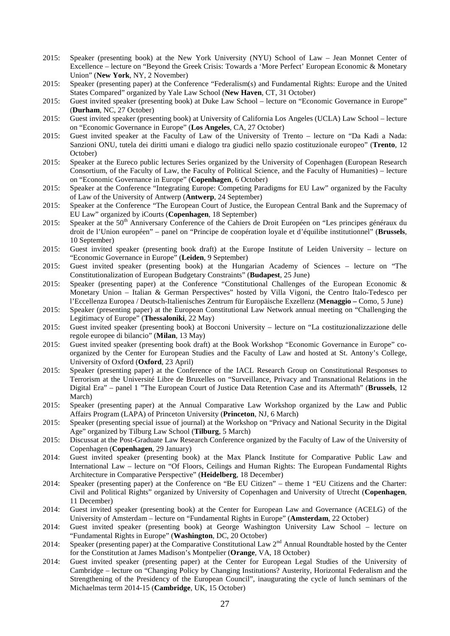- 2015: Speaker (presenting book) at the New York University (NYU) School of Law Jean Monnet Center of Excellence – lecture on "Beyond the Greek Crisis: Towards a 'More Perfect' European Economic & Monetary Union" (**New York**, NY, 2 November)
- 2015: Speaker (presenting paper) at the Conference "Federalism(s) and Fundamental Rights: Europe and the United States Compared" organized by Yale Law School (**New Haven**, CT, 31 October)
- 2015: Guest invited speaker (presenting book) at Duke Law School lecture on "Economic Governance in Europe" (**Durham**, NC, 27 October)
- 2015: Guest invited speaker (presenting book) at University of California Los Angeles (UCLA) Law School lecture on "Economic Governance in Europe" (**Los Angeles**, CA, 27 October)
- 2015: Guest invited speaker at the Faculty of Law of the University of Trento lecture on "Da Kadi a Nada: Sanzioni ONU, tutela dei diritti umani e dialogo tra giudici nello spazio costituzionale europeo" (**Trento**, 12 October)
- 2015: Speaker at the Eureco public lectures Series organized by the University of Copenhagen (European Research Consortium, of the Faculty of Law, the Faculty of Political Science, and the Faculty of Humanities) – lecture on "Economic Governance in Europe" (**Copenhagen**, 6 October)
- 2015: Speaker at the Conference "Integrating Europe: Competing Paradigms for EU Law" organized by the Faculty of Law of the University of Antwerp (**Antwerp**, 24 September)
- 2015: Speaker at the Conference "The European Court of Justice, the European Central Bank and the Supremacy of EU Law" organized by iCourts (**Copenhagen**, 18 September)
- 2015: Speaker at the 50<sup>th</sup> Anniversary Conference of the Cahiers de Droit Européen on "Les principes généraux du droit de l'Union européen" – panel on "Principe de coopération loyale et d'équilibe institutionnel" (**Brussels**, 10 September)
- 2015: Guest invited speaker (presenting book draft) at the Europe Institute of Leiden University lecture on "Economic Governance in Europe" (**Leiden**, 9 September)
- 2015: Guest invited speaker (presenting book) at the Hungarian Academy of Sciences lecture on "The Constitutionalization of European Budgetary Constraints" (**Budapest**, 25 June)
- 2015: Speaker (presenting paper) at the Conference "Constitutional Challenges of the European Economic & Monetary Union – Italian & German Perspectives" hosted by Villa Vigoni, the Centro Italo-Tedesco per l'Eccellenza Europea / Deutsch-Italienisches Zentrum für Europäische Exzellenz (**Menaggio –** Como, 5 June)
- 2015: Speaker (presenting paper) at the European Constitutional Law Network annual meeting on "Challenging the Legitimacy of Europe" (**Thessaloniki**, 22 May)
- 2015: Guest invited speaker (presenting book) at Bocconi University lecture on "La costituzionalizzazione delle regole europee di bilancio" (**Milan**, 13 May)
- 2015: Guest invited speaker (presenting book draft) at the Book Workshop "Economic Governance in Europe" coorganized by the Center for European Studies and the Faculty of Law and hosted at St. Antony's College, University of Oxford (**Oxford**, 23 April)
- 2015: Speaker (presenting paper) at the Conference of the IACL Research Group on Constitutional Responses to Terrorism at the Université Libre de Bruxelles on "Surveillance, Privacy and Transnational Relations in the Digital Era" – panel 1 "The European Court of Justice Data Retention Case and its Aftermath" (**Brussels**, 12 March)
- 2015: Speaker (presenting paper) at the Annual Comparative Law Workshop organized by the Law and Public Affairs Program (LAPA) of Princeton University (**Princeton**, NJ, 6 March)
- 2015: Speaker (presenting special issue of journal) at the Workshop on "Privacy and National Security in the Digital Age" organized by Tilburg Law School (**Tilburg**, 5 March)
- 2015: Discussat at the Post-Graduate Law Research Conference organized by the Faculty of Law of the University of Copenhagen (**Copenhagen**, 29 January)
- 2014: Guest invited speaker (presenting book) at the Max Planck Institute for Comparative Public Law and International Law – lecture on "Of Floors, Ceilings and Human Rights: The European Fundamental Rights Architecture in Comparative Perspective" (**Heidelberg**, 18 December)
- 2014: Speaker (presenting paper) at the Conference on "Be EU Citizen" theme 1 "EU Citizens and the Charter: Civil and Political Rights" organized by University of Copenhagen and University of Utrecht (**Copenhagen**, 11 December)
- 2014: Guest invited speaker (presenting book) at the Center for European Law and Governance (ACELG) of the University of Amsterdam – lecture on "Fundamental Rights in Europe" (**Amsterdam**, 22 October)
- 2014: Guest invited speaker (presenting book) at George Washington University Law School lecture on "Fundamental Rights in Europe" (**Washington**, DC, 20 October)
- 2014: Speaker (presenting paper) at the Comparative Constitutional Law 2<sup>nd</sup> Annual Roundtable hosted by the Center for the Constitution at James Madison's Montpelier (**Orange**, VA, 18 October)
- 2014: Guest invited speaker (presenting paper) at the Center for European Legal Studies of the University of Cambridge – lecture on "Changing Policy by Changing Institutions? Austerity, Horizontal Federalism and the Strengthening of the Presidency of the European Council", inaugurating the cycle of lunch seminars of the Michaelmas term 2014-15 (**Cambridge**, UK, 15 October)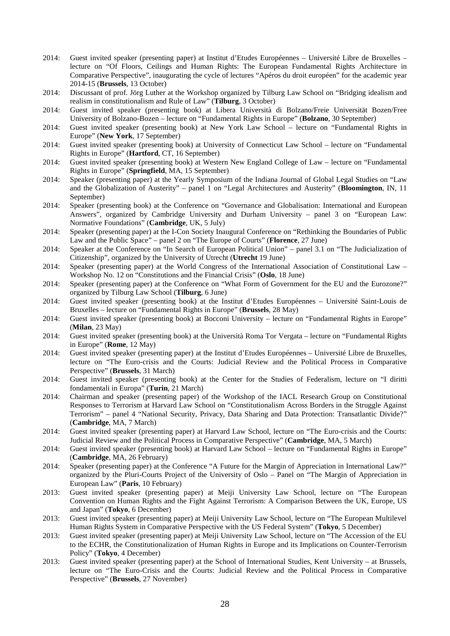- 2014: Guest invited speaker (presenting paper) at Institut d'Etudes Européennes Université Libre de Bruxelles lecture on "Of Floors, Ceilings and Human Rights: The European Fundamental Rights Architecture in Comparative Perspective", inaugurating the cycle of lectures "Apéros du droit européen" for the academic year 2014-15 (**Brussels**, 13 October)
- 2014: Discussant of prof. Jörg Luther at the Workshop organized by Tilburg Law School on "Bridging idealism and realism in constitutionalism and Rule of Law" (**Tilburg**, 3 October)
- 2014: Guest invited speaker (presenting book) at Libera Università di Bolzano/Freie Universität Bozen/Free University of Bolzano-Bozen – lecture on "Fundamental Rights in Europe" (**Bolzano**, 30 September)
- 2014: Guest invited speaker (presenting book) at New York Law School lecture on "Fundamental Rights in Europe" (**New York**, 17 September)
- 2014: Guest invited speaker (presenting book) at University of Connecticut Law School lecture on "Fundamental Rights in Europe" (**Hartford**, CT, 16 September)
- 2014: Guest invited speaker (presenting book) at Western New England College of Law lecture on "Fundamental Rights in Europe" (**Springfield**, MA, 15 September)
- 2014: Speaker (presenting paper) at the Yearly Symposium of the Indiana Journal of Global Legal Studies on "Law and the Globalization of Austerity" – panel 1 on "Legal Architectures and Austerity" (**Bloomington**, IN, 11 September)
- 2014: Speaker (presenting book) at the Conference on "Governance and Globalisation: International and European Answers", organized by Cambridge University and Durham University – panel 3 on "European Law: Normative Foundations" (**Cambridge**, UK, 5 July)
- 2014: Speaker (presenting paper) at the I-Con Society Inaugural Conference on "Rethinking the Boundaries of Public Law and the Public Space" – panel 2 on "The Europe of Courts" (**Florence**, 27 June)
- 2014: Speaker at the Conference on "In Search of European Political Union" panel 3.1 on "The Judicialization of Citizenship", organized by the University of Utrecht (**Utrecht** 19 June)
- 2014: Speaker (presenting paper) at the World Congress of the International Association of Constitutional Law Workshop No. 12 on "Constitutions and the Financial Crisis" (**Oslo**, 18 June)
- 2014: Speaker (presenting paper) at the Conference on "What Form of Government for the EU and the Eurozone?" organized by Tilburg Law School (**Tilburg**, 6 June)
- 2014: Guest invited speaker (presenting book) at the Institut d'Etudes Européennes Université Saint-Louis de Bruxelles – lecture on "Fundamental Rights in Europe" (**Brussels**, 28 May)
- 2014: Guest invited speaker (presenting book) at Bocconi University lecture on "Fundamental Rights in Europe" (**Milan**, 23 May)
- 2014: Guest invited speaker (presenting book) at the Università Roma Tor Vergata lecture on "Fundamental Rights in Europe" (**Rome**, 12 May)
- 2014: Guest invited speaker (presenting paper) at the Institut d'Etudes Européennes Université Libre de Bruxelles, lecture on "The Euro-crisis and the Courts: Judicial Review and the Political Process in Comparative Perspective" (**Brussels**, 31 March)
- 2014: Guest invited speaker (presenting book) at the Center for the Studies of Federalism, lecture on "I diritti fondamentali in Europa" (**Turin**, 21 March)
- 2014: Chairman and speaker (presenting paper) of the Workshop of the IACL Research Group on Constitutional Responses to Terrorism at Harvard Law School on "Constitutionalism Across Borders in the Struggle Against Terrorism" – panel 4 "National Security, Privacy, Data Sharing and Data Protection: Transatlantic Divide?" (**Cambridge**, MA, 7 March)
- 2014: Guest invited speaker (presenting paper) at Harvard Law School, lecture on "The Euro-crisis and the Courts: Judicial Review and the Political Process in Comparative Perspective" (**Cambridge**, MA, 5 March)
- 2014: Guest invited speaker (presenting book) at Harvard Law School lecture on "Fundamental Rights in Europe" (**Cambridge**, MA, 26 February)
- 2014: Speaker (presenting paper) at the Conference "A Future for the Margin of Appreciation in International Law?" organized by the Pluri-Courts Project of the University of Oslo – Panel on "The Margin of Appreciation in European Law" (**Paris**, 10 February)
- 2013: Guest invited speaker (presenting paper) at Meiji University Law School, lecture on "The European Convention on Human Rights and the Fight Against Terrorism: A Comparison Between the UK, Europe, US and Japan" (**Tokyo**, 6 December)
- 2013: Guest invited speaker (presenting paper) at Meiji University Law School, lecture on "The European Multilevel Human Rights System in Comparative Perspective with the US Federal System" (**Tokyo**, 5 December)
- 2013: Guest invited speaker (presenting paper) at Meiji University Law School, lecture on "The Accession of the EU to the ECHR, the Constitutionalization of Human Rights in Europe and its Implications on Counter-Terrorism Policy" (**Tokyo**, 4 December)
- 2013: Guest invited speaker (presenting paper) at the School of International Studies, Kent University at Brussels, lecture on "The Euro-Crisis and the Courts: Judicial Review and the Political Process in Comparative Perspective" (**Brussels**, 27 November)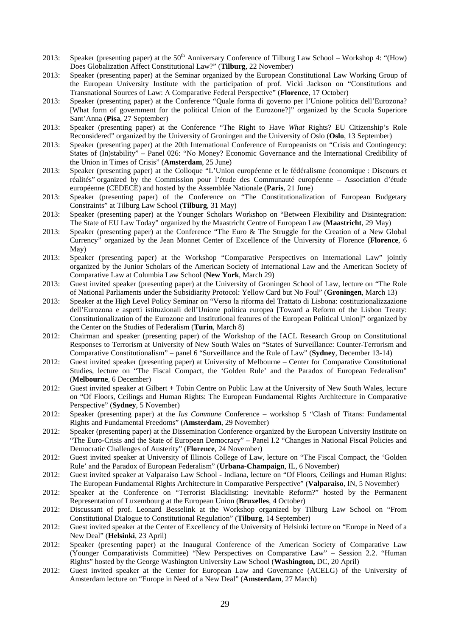- 2013: Speaker (presenting paper) at the 50<sup>th</sup> Anniversary Conference of Tilburg Law School Workshop 4: "(How) Does Globalization Affect Constitutional Law?" (**Tilburg**, 22 November)
- 2013: Speaker (presenting paper) at the Seminar organized by the European Constitutional Law Working Group of the European University Institute with the participation of prof. Vicki Jackson on "Constitutions and Transnational Sources of Law: A Comparative Federal Perspective" (**Florence**, 17 October)
- 2013: Speaker (presenting paper) at the Conference "Quale forma di governo per l'Unione politica dell'Eurozona? [What form of government for the political Union of the Eurozone?]" organized by the Scuola Superiore Sant'Anna (**Pisa**, 27 September)
- 2013: Speaker (presenting paper) at the Conference "The Right to Have *What* Rights? EU Citizenship's Role Reconsidered" organized by the University of Groningen and the University of Oslo (**Oslo**, 13 September)
- 2013: Speaker (presenting paper) at the 20th International Conference of Europeanists on "Crisis and Contingency: States of (In)stability" – Panel 026: "No Money? Economic Governance and the International Credibility of the Union in Times of Crisis" (**Amsterdam**, 25 June)
- 2013: Speaker (presenting paper) at the Colloque "L'Union européenne et le fédéralisme économique : Discours et réalités" organized by the Commission pour l'étude des Communauté européenne – Association d'étude européenne (CEDECE) and hosted by the Assemblée Nationale (**Paris**, 21 June)
- 2013: Speaker (presenting paper) of the Conference on "The Constitutionalization of European Budgetary Constraints" at Tilburg Law School (**Tilburg**, 31 May)
- 2013: Speaker (presenting paper) at the Younger Scholars Workshop on "Between Flexibility and Disintegration: The State of EU Law Today" organized by the Maastricht Centre of European Law (**Maastricht**, 29 May)
- 2013: Speaker (presenting paper) at the Conference "The Euro & The Struggle for the Creation of a New Global Currency" organized by the Jean Monnet Center of Excellence of the University of Florence (**Florence**, 6 May)
- 2013: Speaker (presenting paper) at the Workshop "Comparative Perspectives on International Law" jointly organized by the Junior Scholars of the American Society of International Law and the American Society of Comparative Law at Columbia Law School (**New York**, March 29)
- 2013: Guest invited speaker (presenting paper) at the University of Groningen School of Law, lecture on "The Role of National Parliaments under the Subsidiarity Protocol: Yellow Card but No Foul" (**Groningen**, March 13)
- 2013: Speaker at the High Level Policy Seminar on "Verso la riforma del Trattato di Lisbona: costituzionalizzazione dell'Eurozona e aspetti istituzionali dell'Unione politica europea [Toward a Reform of the Lisbon Treaty: Constitutionalization of the Eurozone and Institutional features of the European Political Union]" organized by the Center on the Studies of Federalism (**Turin**, March 8)
- 2012: Chairman and speaker (presenting paper) of the Workshop of the IACL Research Group on Constitutional Responses to Terrorism at University of New South Wales on "States of Surveillance: Counter-Terrorism and Comparative Constitutionalism" – panel 6 "Surveillance and the Rule of Law" (**Sydney**, December 13-14)
- 2012: Guest invited speaker (presenting paper) at University of Melbourne Center for Comparative Constitutional Studies, lecture on "The Fiscal Compact, the 'Golden Rule' and the Paradox of European Federalism" (**Melbourne**, 6 December)
- 2012: Guest invited speaker at Gilbert + Tobin Centre on Public Law at the University of New South Wales, lecture on "Of Floors, Ceilings and Human Rights: The European Fundamental Rights Architecture in Comparative Perspective" (**Sydney**, 5 November)
- 2012: Speaker (presenting paper) at the *Ius Commune* Conference workshop 5 "Clash of Titans: Fundamental Rights and Fundamental Freedoms" (**Amsterdam**, 29 November)
- 2012: Speaker (presenting paper) at the Dissemination Conference organized by the European University Institute on "The Euro-Crisis and the State of European Democracy" – Panel I.2 "Changes in National Fiscal Policies and Democratic Challenges of Austerity" (**Florence**, 24 November)
- 2012: Guest invited speaker at University of Illinois College of Law, lecture on "The Fiscal Compact, the 'Golden Rule' and the Paradox of European Federalism" (**Urbana-Champaign**, IL, 6 November)
- 2012: Guest invited speaker at Valparaiso Law School Indiana, lecture on "Of Floors, Ceilings and Human Rights: The European Fundamental Rights Architecture in Comparative Perspective" (**Valparaiso**, IN, 5 November)
- 2012: Speaker at the Conference on "Terrorist Blacklisting: Inevitable Reform?" hosted by the Permanent Representation of Luxembourg at the European Union (**Bruxelles**, 4 October)
- 2012: Discussant of prof. Leonard Besselink at the Workshop organized by Tilburg Law School on "From Constitutional Dialogue to Constitutional Regulation" (**Tilburg**, 14 September)
- 2012: Guest invited speaker at the Center of Excellency of the University of Helsinki lecture on "Europe in Need of a New Deal" (**Helsinki**, 23 April)
- 2012: Speaker (presenting paper) at the Inaugural Conference of the American Society of Comparative Law (Younger Comparativists Committee) "New Perspectives on Comparative Law" – Session 2.2. "Human Rights" hosted by the George Washington University Law School (**Washington,** DC, 20 April)
- 2012: Guest invited speaker at the Center for European Law and Governance (ACELG) of the University of Amsterdam lecture on "Europe in Need of a New Deal" (**Amsterdam**, 27 March)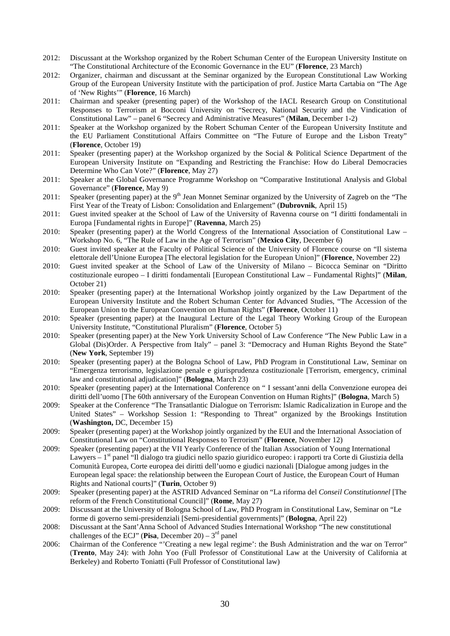- 2012: Discussant at the Workshop organized by the Robert Schuman Center of the European University Institute on "The Constitutional Architecture of the Economic Governance in the EU" (**Florence**, 23 March)
- 2012: Organizer, chairman and discussant at the Seminar organized by the European Constitutional Law Working Group of the European University Institute with the participation of prof. Justice Marta Cartabia on "The Age of 'New Rights'" (**Florence**, 16 March)
- 2011: Chairman and speaker (presenting paper) of the Workshop of the IACL Research Group on Constitutional Responses to Terrorism at Bocconi University on "Secrecy, National Security and the Vindication of Constitutional Law" – panel 6 "Secrecy and Administrative Measures" (**Milan**, December 1-2)
- 2011: Speaker at the Workshop organized by the Robert Schuman Center of the European University Institute and the EU Parliament Constitutional Affairs Committee on "The Future of Europe and the Lisbon Treaty" (**Florence**, October 19)
- 2011: Speaker (presenting paper) at the Workshop organized by the Social & Political Science Department of the European University Institute on "Expanding and Restricting the Franchise: How do Liberal Democracies Determine Who Can Vote?" (**Florence**, May 27)
- 2011: Speaker at the Global Governance Programme Workshop on "Comparative Institutional Analysis and Global Governance" (**Florence**, May 9)
- 2011: Speaker (presenting paper) at the 9<sup>th</sup> Jean Monnet Seminar organized by the University of Zagreb on the "The First Year of the Treaty of Lisbon: Consolidation and Enlargement" (**Dubrovnik**, April 15)
- 2011: Guest invited speaker at the School of Law of the University of Ravenna course on "I diritti fondamentali in Europa [Fundamental rights in Europe]" (**Ravenna**, March 25)
- 2010: Speaker (presenting paper) at the World Congress of the International Association of Constitutional Law Workshop No. 6, "The Rule of Law in the Age of Terrorism" (**Mexico City**, December 6)
- 2010: Guest invited speaker at the Faculty of Political Science of the University of Florence course on "Il sistema elettorale dell'Unione Europea [The electoral legislation for the European Union]" (**Florence**, November 22)
- 2010: Guest invited speaker at the School of Law of the University of Milano Bicocca Seminar on "Diritto costituzionale europeo – I diritti fondamentali [European Constitutional Law – Fundamental Rights]" (**Milan**, October 21)
- 2010: Speaker (presenting paper) at the International Workshop jointly organized by the Law Department of the European University Institute and the Robert Schuman Center for Advanced Studies, "The Accession of the European Union to the European Convention on Human Rights" (**Florence**, October 11)
- 2010: Speaker (presenting paper) at the Inaugural Lecture of the Legal Theory Working Group of the European University Institute, "Constitutional Pluralism" (**Florence**, October 5)
- 2010: Speaker (presenting paper) at the New York University School of Law Conference "The New Public Law in a Global (Dis)Order. A Perspective from Italy" – panel 3: "Democracy and Human Rights Beyond the State" (**New York**, September 19)
- 2010: Speaker (presenting paper) at the Bologna School of Law, PhD Program in Constitutional Law, Seminar on "Emergenza terrorismo, legislazione penale e giurisprudenza costituzionale [Terrorism, emergency, criminal law and constitutional adjudication]" (**Bologna**, March 23)
- 2010: Speaker (presenting paper) at the International Conference on " I sessant'anni della Convenzione europea dei diritti dell'uomo [The 60th anniversary of the European Convention on Human Rights]" (**Bologna**, March 5)
- 2009: Speaker at the Conference "The Transatlantic Dialogue on Terrorism: Islamic Radicalization in Europe and the United States" – Workshop Session 1: "Responding to Threat" organized by the Brookings Institution (**Washington,** DC, December 15)
- 2009: Speaker (presenting paper) at the Workshop jointly organized by the EUI and the International Association of Constitutional Law on "Constitutional Responses to Terrorism" (**Florence**, November 12)
- 2009: Speaker (presenting paper) at the VII Yearly Conference of the Italian Association of Young International Lawyers  $-1$ <sup>st</sup> panel "Il dialogo tra giudici nello spazio giuridico europeo: i rapporti tra Corte di Giustizia della Comunità Europea, Corte europea dei diritti dell'uomo e giudici nazionali [Dialogue among judges in the European legal space: the relationship between the European Court of Justice, the European Court of Human Rights and National courts]" (**Turin**, October 9)
- 2009: Speaker (presenting paper) at the ASTRID Advanced Seminar on "La riforma del *Conseil Constitutionnel* [The reform of the French Constitutional Council]" (**Rome**, May 27)
- 2009: Discussant at the University of Bologna School of Law, PhD Program in Constitutional Law, Seminar on "Le forme di governo semi-presidenziali [Semi-presidential governments]" (**Bologna**, April 22)
- 2008: Discussant at the Sant'Anna School of Advanced Studies International Workshop "The new constitutional challenges of the ECJ" (**Pisa**, December 20) –  $3<sup>rd</sup>$  panel
- 2006: Chairman of the Conference "'Creating a new legal regime': the Bush Administration and the war on Terror" (**Trento**, May 24): with John Yoo (Full Professor of Constitutional Law at the University of California at Berkeley) and Roberto Toniatti (Full Professor of Constitutional law)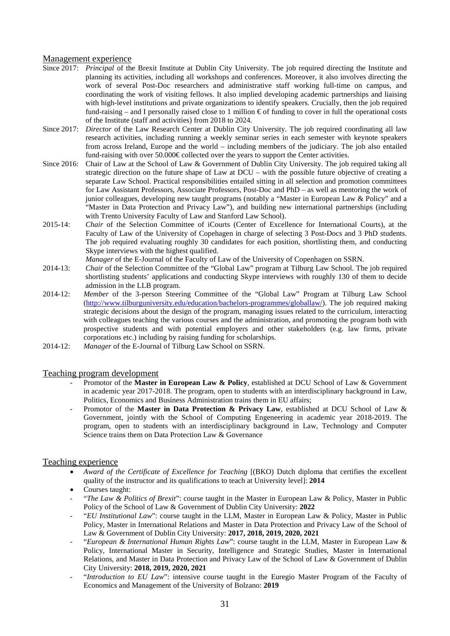### Management experience

- Since 2017: *Principal* of the Brexit Institute at Dublin City University. The job required directing the Institute and planning its activities, including all workshops and conferences. Moreover, it also involves directing the work of several Post-Doc researchers and administrative staff working full-time on campus, and coordinating the work of visiting fellows. It also implied developing academic partnerships and liaising with high-level institutions and private organizations to identify speakers. Crucially, then the job required fund-raising – and I personally raised close to 1 million  $\epsilon$  of funding to cover in full the operational costs of the Institute (staff and activities) from 2018 to 2024.
- Since 2017: *Director* of the Law Research Center at Dublin City University. The job required coordinating all law research activities, including running a weekly seminar series in each semester with keynote speakers from across Ireland, Europe and the world – including members of the judiciary. The job also entailed fund-raising with over  $50.000 \in \text{collected over the years to support the Center activities.}$
- Since 2016: Chair of Law at the School of Law & Government of Dublin City University. The job required taking all strategic direction on the future shape of Law at DCU – with the possible future objective of creating a separate Law School. Practical responsibilities entailed sitting in all selection and promotion committees for Law Assistant Professors, Associate Professors, Post-Doc and PhD – as well as mentoring the work of junior colleagues, developing new taught programs (notably a "Master in European Law & Policy" and a "Master in Data Protection and Privacy Law"), and building new international partnerships (including with Trento University Faculty of Law and Stanford Law School).
- 2015-14: *Chair* of the Selection Committee of iCourts (Center of Excellence for International Courts), at the Faculty of Law of the University of Copehagen in charge of selecting 3 Post-Docs and 3 PhD students. The job required evaluating roughly 30 candidates for each position, shortlisting them, and conducting Skype interviews with the highest qualified.

*Manager* of the E-Journal of the Faculty of Law of the University of Copenhagen on SSRN.

- 2014-13: *Chair* of the Selection Committee of the "Global Law" program at Tilburg Law School. The job required shortlisting students' applications and conducting Skype interviews with roughly 130 of them to decide admission in the LLB program.
- 2014-12: *Member* of the 3-person Steering Committee of the "Global Law" Program at Tilburg Law School [\(http://www.tilburguniversity.edu/education/bachelors-programmes/globallaw/\)](http://www.tilburguniversity.edu/education/bachelors-programmes/globallaw/). The job required making strategic decisions about the design of the program, managing issues related to the curriculum, interacting with colleagues teaching the various courses and the administration, and promoting the program both with prospective students and with potential employers and other stakeholders (e.g. law firms, private corporations etc.) including by raising funding for scholarships.
- 2014-12: *Manager* of the E-Journal of Tilburg Law School on SSRN.

## Teaching program development

- Promotor of the **Master in European Law & Policy**, established at DCU School of Law & Government in academic year 2017-2018. The program, open to students with an interdisciplinary background in Law, Politics, Economics and Business Administration trains them in EU affairs;
- Promotor of the **Master in Data Protection & Privacy Law**, established at DCU School of Law & Government, jointly with the School of Computing Engeneering in academic year 2018-2019. The program, open to students with an interdisciplinary background in Law, Technology and Computer Science trains them on Data Protection Law & Governance

### Teaching experience

- *Award of the Certificate of Excellence for Teaching* [(BKO) Dutch diploma that certifies the excellent quality of the instructor and its qualifications to teach at University level]: **2014**
- Courses taught:
- "*The Law & Politics of Brexit*": course taught in the Master in European Law & Policy, Master in Public Policy of the School of Law & Government of Dublin City University: **2022**
- "*EU Institutional Law*": course taught in the LLM, Master in European Law & Policy, Master in Public Policy, Master in International Relations and Master in Data Protection and Privacy Law of the School of Law & Government of Dublin City University: **2017, 2018, 2019, 2020, 2021**
- "*European & International Human Rights Law*": course taught in the LLM, Master in European Law & Policy, International Master in Security, Intelligence and Strategic Studies, Master in International Relations, and Master in Data Protection and Privacy Law of the School of Law & Government of Dublin City University: **2018, 2019, 2020, 2021**
- "*Introduction to EU Law*": intensive course taught in the Euregio Master Program of the Faculty of Economics and Management of the University of Bolzano: **2019**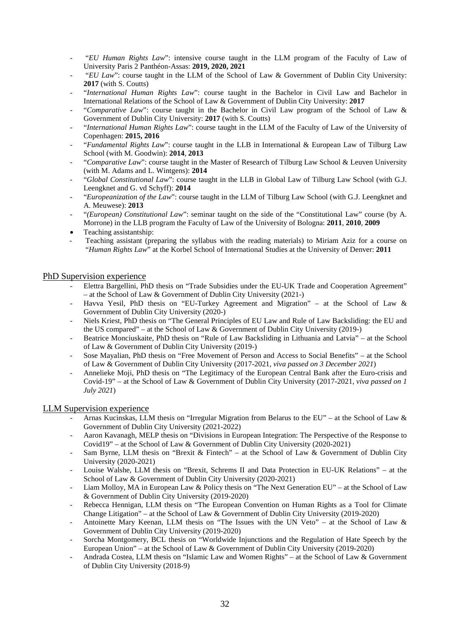- "*EU Human Rights Law*": intensive course taught in the LLM program of the Faculty of Law of University Paris 2 Panthéon-Assas: **2019, 2020, 2021**
- "*EU Law*": course taught in the LLM of the School of Law & Government of Dublin City University: **2017** (with S. Coutts)
- "*International Human Rights Law*": course taught in the Bachelor in Civil Law and Bachelor in International Relations of the School of Law & Government of Dublin City University: **2017**
- "*Comparative Law*": course taught in the Bachelor in Civil Law program of the School of Law & Government of Dublin City University: **2017** (with S. Coutts)
- "*International Human Rights Law*": course taught in the LLM of the Faculty of Law of the University of Copenhagen: **2015, 2016**
- "*Fundamental Rights Law*": course taught in the LLB in International & European Law of Tilburg Law School (with M. Goodwin): **2014**, **2013**
- "*Comparative Law*": course taught in the Master of Research of Tilburg Law School & Leuven University (with M. Adams and L. Wintgens): **2014**
- "*Global Constitutional Law*": course taught in the LLB in Global Law of Tilburg Law School (with G.J. Leengknet and G. vd Schyff): **2014**
- "*Europeanization of the Law*": course taught in the LLM of Tilburg Law School (with G.J. Leengknet and A. Meuwese): **2013**
- "*(European) Constitutional Law*": seminar taught on the side of the "Constitutional Law" course (by A. Morrone) in the LLB program the Faculty of Law of the University of Bologna: **2011**, **2010**, **2009**
- Teaching assistantship:
- Teaching assistant (preparing the syllabus with the reading materials) to Miriam Aziz for a course on "*Human Rights Law*" at the Korbel School of International Studies at the University of Denver: **2011**

### PhD Supervision experience

- Elettra Bargellini, PhD thesis on "Trade Subsidies under the EU-UK Trade and Cooperation Agreement" – at the School of Law & Government of Dublin City University (2021-)
- Havva Yesil, PhD thesis on "EU-Turkey Agreement and Migration" at the School of Law  $\&$ Government of Dublin City University (2020-)
- Niels Kriest, PhD thesis on "The General Principles of EU Law and Rule of Law Backsliding: the EU and the US compared" – at the School of Law & Government of Dublin City University (2019-)
- Beatrice Monciuskaite, PhD thesis on "Rule of Law Backsliding in Lithuania and Latvia" at the School of Law & Government of Dublin City University (2019-)
- Sose Mayalian, PhD thesis on "Free Movement of Person and Access to Social Benefits" at the School of Law & Government of Dublin City University (2017-2021, *viva passed on 3 December 2021*)
- Annelieke Moji, PhD thesis on "The Legitimacy of the European Central Bank after the Euro-crisis and Covid-19" – at the School of Law & Government of Dublin City University (2017-2021, *viva passed on 1 July 2021*)

### LLM Supervision experience

- Arnas Kucinskas, LLM thesis on "Irregular Migration from Belarus to the EU" at the School of Law  $\&$ Government of Dublin City University (2021-2022)
- Aaron Kavanagh, MELP thesis on "Divisions in European Integration: The Perspective of the Response to Covid19" – at the School of Law & Government of Dublin City University (2020-2021)
- Sam Byrne, LLM thesis on "Brexit & Fintech" at the School of Law & Government of Dublin City University (2020-2021)
- Louise Walshe, LLM thesis on "Brexit, Schrems II and Data Protection in EU-UK Relations" at the School of Law & Government of Dublin City University (2020-2021)
- Liam Molloy, MA in European Law & Policy thesis on "The Next Generation EU" at the School of Law & Government of Dublin City University (2019-2020)
- Rebecca Hennigan, LLM thesis on "The European Convention on Human Rights as a Tool for Climate Change Litigation" – at the School of Law & Government of Dublin City University (2019-2020)
- Antoinette Mary Keenan, LLM thesis on "The Issues with the UN Veto" at the School of Law  $\&$ Government of Dublin City University (2019-2020)
- Sorcha Montgomery, BCL thesis on "Worldwide Injunctions and the Regulation of Hate Speech by the European Union" – at the School of Law & Government of Dublin City University (2019-2020)
- Andrada Costea, LLM thesis on "Islamic Law and Women Rights" at the School of Law & Government of Dublin City University (2018-9)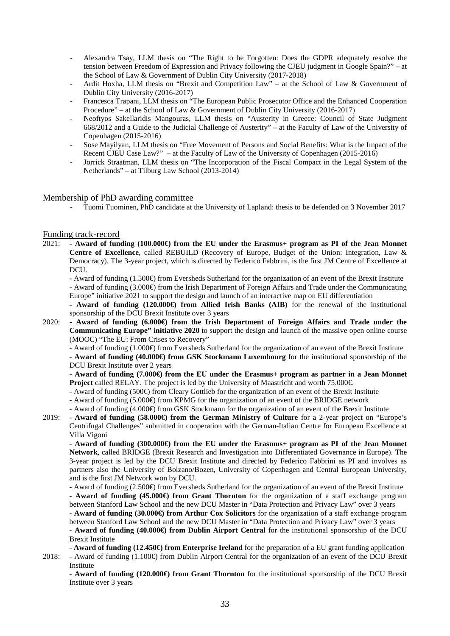- Alexandra Tsay, LLM thesis on "The Right to be Forgotten: Does the GDPR adequately resolve the tension between Freedom of Expression and Privacy following the CJEU judgment in Google Spain?" – at the School of Law & Government of Dublin City University (2017-2018)
- Ardit Hoxha, LLM thesis on "Brexit and Competition Law" at the School of Law & Government of Dublin City University (2016-2017)
- Francesca Trapani, LLM thesis on "The European Public Prosecutor Office and the Enhanced Cooperation Procedure" – at the School of Law & Government of Dublin City University (2016-2017)
- Neoftyos Sakellaridis Mangouras, LLM thesis on "Austerity in Greece: Council of State Judgment 668/2012 and a Guide to the Judicial Challenge of Austerity" – at the Faculty of Law of the University of Copenhagen (2015-2016)
- Sose Mayilyan, LLM thesis on "Free Movement of Persons and Social Benefits: What is the Impact of the Recent CJEU Case Law?" – at the Faculty of Law of the University of Copenhagen (2015-2016)
- Jorrick Straatman, LLM thesis on "The Incorporation of the Fiscal Compact in the Legal System of the Netherlands" – at Tilburg Law School (2013-2014)

### Membership of PhD awarding committee

- Tuomi Tuominen, PhD candidate at the University of Lapland: thesis to be defended on 3 November 2017

### Funding track-record

2021: **- Award of funding (100.000€) from the EU under the Erasmus+ program as PI of the Jean Monnet Centre of Excellence**, called REBUILD (Recovery of Europe, Budget of the Union: Integration, Law & Democracy). The 3-year project, which is directed by Federico Fabbrini, is the first JM Centre of Excellence at DCU.

**-** Award of funding (1.500€) from Eversheds Sutherland for the organization of an event of the Brexit Institute - Award of funding (3.000€) from the Irish Department of Foreign Affairs and Trade under the Communicating

Europe" initiative 2021 to support the design and launch of an interactive map on EU differentiation

**- Award of funding (120.000€) from Allied Irish Banks (AIB)** for the renewal of the institutional sponsorship of the DCU Brexit Institute over 3 years

2020: **- Award of funding (6.000€) from the Irish Department of Foreign Affairs and Trade under the Communicating Europe" initiative 2020** to support the design and launch of the massive open online course (MOOC) "The EU: From Crises to Recovery"

- Award of funding (1.000€) from Eversheds Sutherland for the organization of an event of the Brexit Institute

- **Award of funding (40.000€) from GSK Stockmann Luxembourg** for the institutional sponsorship of the DCU Brexit Institute over 2 years

- **Award of funding (7.000€) from the EU under the Erasmus+ program as partner in a Jean Monnet Project** called RELAY. The project is led by the University of Maastricht and worth 75.000€.

- Award of funding (500€) from Cleary Gottlieb for the organization of an event of the Brexit Institute
- **-** Award of funding (5.000€) from KPMG for the organization of an event of the BRIDGE network
- Award of funding (4.000€) from GSK Stockmann for the organization of an event of the Brexit Institute
- 2019: **Award of funding (58.000€) from the German Ministry of Culture** for a 2-year project on "Europe's Centrifugal Challenges" submitted in cooperation with the German-Italian Centre for European Excellence at Villa Vigoni

- **Award of funding (300.000€) from the EU under the Erasmus+ program as PI of the Jean Monnet Network**, called BRIDGE (Brexit Research and Investigation into Differentiated Governance in Europe). The 3-year project is led by the DCU Brexit Institute and directed by Federico Fabbrini as PI and involves as partners also the University of Bolzano/Bozen, University of Copenhagen and Central European University, and is the first JM Network won by DCU.

**-** Award of funding (2.500€) from Eversheds Sutherland for the organization of an event of the Brexit Institute **- Award of funding (45.000€) from Grant Thornton** for the organization of a staff exchange program between Stanford Law School and the new DCU Master in "Data Protection and Privacy Law" over 3 years

**- Award of funding (30.000€) from Arthur Cox Solicitors** for the organization of a staff exchange program between Stanford Law School and the new DCU Master in "Data Protection and Privacy Law" over 3 years

- **Award of funding (40.000€) from Dublin Airport Central** for the institutional sponsorship of the DCU Brexit Institute

- **Award of funding (12.450€) from Enterprise Ireland** for the preparation of a EU grant funding application 2018: - Award of funding (1.100€) from Dublin Airport Central for the organization of an event of the DCU Brexit

Institute

- **Award of funding (120.000€) from Grant Thornton** for the institutional sponsorship of the DCU Brexit Institute over 3 years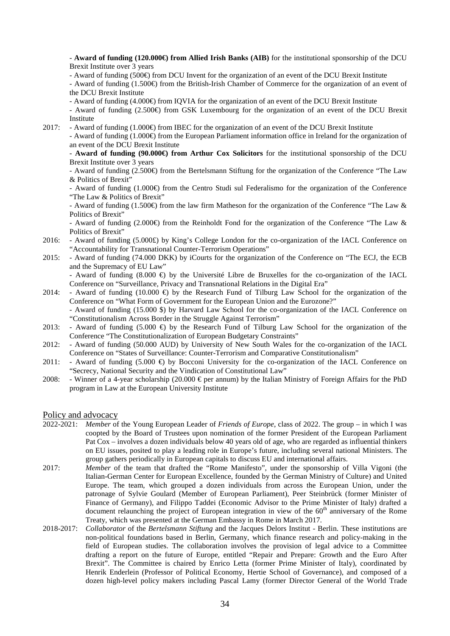- **Award of funding (120.000€) from Allied Irish Banks (AIB)** for the institutional sponsorship of the DCU Brexit Institute over 3 years

- Award of funding (500€) from DCU Invent for the organization of an event of the DCU Brexit Institute

- Award of funding (1.500€) from the British-Irish Chamber of Commerce for the organization of an event of the DCU Brexit Institute

- Award of funding (4.000€) from IQVIA for the organization of an event of the DCU Brexit Institute

- Award of funding (2.500€) from GSK Luxembourg for the organization of an event of the DCU Brexit Institute

2017: - Award of funding (1.000€) from IBEC for the organization of an event of the DCU Brexit Institute

- Award of funding (1.000€) from the European Parliament information office in Ireland for the organization of an event of the DCU Brexit Institute

- **Award of funding (90.000€) from Arthur Cox Solicitors** for the institutional sponsorship of the DCU Brexit Institute over 3 years

- Award of funding (2.500€) from the Bertelsmann Stiftung for the organization of the Conference "The Law & Politics of Brexit"

- Award of funding (1.000€) from the Centro Studi sul Federalismo for the organization of the Conference "The Law & Politics of Brexit"

- Award of funding (1.500€) from the law firm Matheson for the organization of the Conference "The Law & Politics of Brexit"

- Award of funding (2.000€) from the Reinholdt Fond for the organization of the Conference "The Law & Politics of Brexit"

- 2016: Award of funding (5.000£) by King's College London for the co-organization of the IACL Conference on "Accountability for Transnational Counter-Terrorism Operations"
- 2015: Award of funding (74.000 DKK) by iCourts for the organization of the Conference on "The ECJ, the ECB and the Supremacy of EU Law" - Award of funding  $(8.000 \oplus \text{by the University Libre de Bruxelles for the co-organization of the IACL)$

Conference on "Surveillance, Privacy and Transnational Relations in the Digital Era"

- 2014: Award of funding (10.000  $\bigoplus$  by the Research Fund of Tilburg Law School for the organization of the Conference on "What Form of Government for the European Union and the Eurozone?" - Award of funding (15.000 \$) by Harvard Law School for the co-organization of the IACL Conference on "Constitutionalism Across Border in the Struggle Against Terrorism"
- 2013: Award of funding  $(5.000 \Leftrightarrow$  by the Research Fund of Tilburg Law School for the organization of the Conference "The Constitutionalization of European Budgetary Constraints"
- 2012: Award of funding (50.000 AUD) by University of New South Wales for the co-organization of the IACL Conference on "States of Surveillance: Counter-Terrorism and Comparative Constitutionalism"
- 2011: Award of funding  $(5.000 \oplus$  by Bocconi University for the co-organization of the IACL Conference on "Secrecy, National Security and the Vindication of Constitutional Law"
- 2008: Winner of a 4-year scholarship (20.000 € per annum) by the Italian Ministry of Foreign Affairs for the PhD program in Law at the European University Institute

## Policy and advocacy

- 2022-2021: *Member* of the Young European Leader of *Friends of Europe*, class of 2022. The group in which I was coopted by the Board of Trustees upon nomination of the former President of the European Parliament Pat Cox – involves a dozen individuals below 40 years old of age, who are regarded as influential thinkers on EU issues, posited to play a leading role in Europe's future, including several national Ministers. The group gathers periodically in European capitals to discuss EU and international affairs.
- 2017: *Member* of the team that drafted the "Rome Manifesto", under the sponsorship of Villa Vigoni (the Italian-German Center for European Excellence, founded by the German Ministry of Culture) and United Europe. The team, which grouped a dozen individuals from across the European Union, under the patronage of Sylvie Goulard (Member of European Parliament), Peer Steinbrück (former Minister of Finance of Germany), and Filippo Taddei (Economic Advisor to the Prime Minister of Italy) drafted a document relaunching the project of European integration in view of the  $60<sup>th</sup>$  anniversary of the Rome Treaty, which was presented at the German Embassy in Rome in March 2017.
- 2018-2017: *Collaborator* of the *Bertelsmann Stiftung* and the Jacques Delors Institut Berlin. These institutions are non-political foundations based in Berlin, Germany, which finance research and policy-making in the field of European studies. The collaboration involves the provision of legal advice to a Committee drafting a report on the future of Europe, entitled "Repair and Prepare: Growth and the Euro After Brexit". The Committee is chaired by Enrico Letta (former Prime Minister of Italy), coordinated by Henrik Enderlein (Professor of Political Economy, Hertie School of Governance), and composed of a dozen high-level policy makers including Pascal Lamy (former Director General of the World Trade